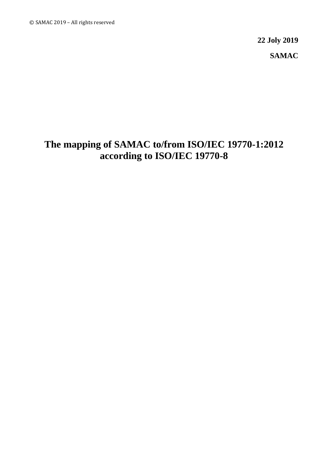**22 Joly 2019 SAMAC**

# **The mapping of SAMAC to/from ISO/IEC 19770-1:2012 according to ISO/IEC 19770-8**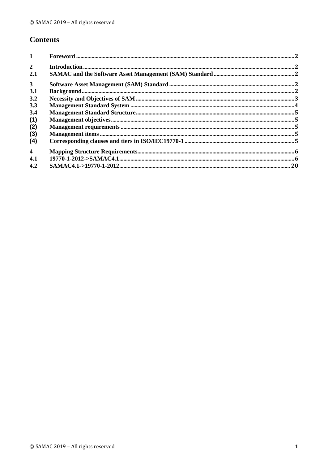## **Contents**

| $\mathbf{1}$            |  |
|-------------------------|--|
| $\overline{2}$          |  |
| 2.1                     |  |
| 3 <sup>1</sup>          |  |
| 3.1                     |  |
| 3.2                     |  |
| 3.3                     |  |
| 3.4                     |  |
| (1)                     |  |
| (2)                     |  |
| (3)                     |  |
| (4)                     |  |
| $\overline{\mathbf{4}}$ |  |
| 4.1                     |  |
| 4.2                     |  |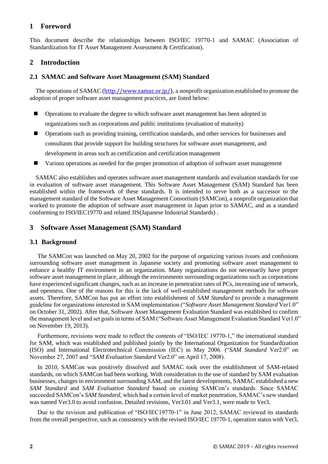#### <span id="page-3-0"></span>**1 Foreword**

This document describe the relationships between ISO/IEC 19770-1 and SAMAC (Association of Standardization for IT Asset Management Assessment & Certification).

#### <span id="page-3-1"></span>**2 Introduction**

#### <span id="page-3-2"></span>**2.1 SAMAC and Software Asset Management (SAM) Standard**

The operations of SAMAC ([http://www.samac.or.jp/\)](http://www.samac.or.jp/), a nonprofit organization established to promote the adoption of proper software asset management practices, are listed below:

- Operations to evaluate the degree to which software asset management has been adopted in organizations such as corporations and public institutions (evaluation of maturity)
- Operations such as providing training, certification standards, and other services for businesses and consultants that provide support for building structures for software asset management, and development in areas such as certification and certification management
- Various operations as needed for the proper promotion of adoption of software asset management

SAMAC also establishes and operates software asset management standards and evaluation standards for use in evaluation of software asset management. This Software Asset Management (SAM) Standard has been established within the framework of these standards. It is intended to serve both as a successor to the management standard of the Software Asset Management Consortium (SAMCon), a nonprofit organization that worked to promote the adoption of software asset management in Japan prior to SAMAC, and as a standard conforming to ISO/IEC19770 and related JIS(Japanese Industrial Standards) .

#### <span id="page-3-3"></span>**3 Software Asset Management (SAM) Standard**

#### <span id="page-3-4"></span>**3.1 Background**

The SAMCon was launched on May 20, 2002 for the purpose of organizing various issues and confusions surrounding software asset management in Japanese society and promoting software asset management to enhance a healthy IT environment in an organization. Many organizations do not necessarily have proper software asset management in place, although the environments surrounding organizations such as corporations have experienced significant changes, such as an increase in penetration rates of PCs, increasing use of network, and openness. One of the reasons for this is the lack of well-established management methods for software assets. Therefore, SAMCon has put an effort into establishment of *SAM Standard* to provide a management guideline for organizations interested in SAM implementation ("*Software Asset Management Standard* Ver1.0" on October 31, 2002). After that, Software Asset Management Evaluation Standard was established to confirm the management level and set goals in terms of SAM ("Software Asset Management Evaluation Standard Ver1.0" on November 19, 2013).

Furthermore, revisions were made to reflect the contents of "ISO/IEC 19770-1," the international standard for SAM, which was established and published jointly by the International Organization for Standardization (ISO) and International Electrotechnical Commission (IEC) in May 2006. ("*SAM Standard* Ver2.0" on November 27, 2007 and "*SAM Evaluation Standard* Ver2.0" on April 17, 2008).

In 2010, SAMCon was positively dissolved and SAMAC took over the establishment of SAM-related standards, on which SAMCon had been working. With consideration to the use of standard by SAM evaluation businesses, changes in environment surrounding SAM, and the latest developments, SAMAC established a new *SAM Standard* and *SAM Evaluation Standard* based on existing SAMCon's standards. Since SAMAC succeeded SAMCon's *SAM Standard*, which had a certain level of market penetration, SAMAC's new standard was named Ver3.0 to avoid confusion. Detailed revisions, Ver3.01 and Ver3.1, were made to Ver3.

Due to the revision and publication of "ISO/IEC19770-1" in June 2012, SAMAC reviewed its standards from the overall perspective, such as consistency with the revised ISO/IEC 19770-1, operation status with Ver3,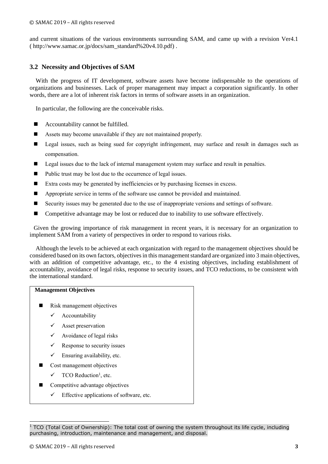and current situations of the various environments surrounding SAM, and came up with a revision Ver4.1 ( http://www.samac.or.jp/docs/sam\_standard%20v4.10.pdf) .

#### <span id="page-4-0"></span>**3.2 Necessity and Objectives of SAM**

With the progress of IT development, software assets have become indispensable to the operations of organizations and businesses. Lack of proper management may impact a corporation significantly. In other words, there are a lot of inherent risk factors in terms of software assets in an organization.

In particular, the following are the conceivable risks.

- Accountability cannot be fulfilled.
- Assets may become unavailable if they are not maintained properly.
- Legal issues, such as being sued for copyright infringement, may surface and result in damages such as compensation.
- Legal issues due to the lack of internal management system may surface and result in penalties.
- Public trust may be lost due to the occurrence of legal issues.
- Extra costs may be generated by inefficiencies or by purchasing licenses in excess.
- Appropriate service in terms of the software use cannot be provided and maintained.
- Security issues may be generated due to the use of inappropriate versions and settings of software.
- Competitive advantage may be lost or reduced due to inability to use software effectively.

Given the growing importance of risk management in recent years, it is necessary for an organization to implement SAM from a variety of perspectives in order to respond to various risks.

Although the levels to be achieved at each organization with regard to the management objectives should be considered based on its own factors, objectives in this management standard are organized into 3 main objectives, with an addition of competitive advantage, etc., to the 4 existing objectives, including establishment of accountability, avoidance of legal risks, response to security issues, and TCO reductions, to be consistent with the international standard.

#### **Management Objectives**

- Risk management objectives
	- ✓ Accountability
	- $\checkmark$  Asset preservation
	- $\checkmark$  Avoidance of legal risks
	- $\checkmark$  Response to security issues
	- $\checkmark$  Ensuring availability, etc.
- Cost management objectives
	- $\checkmark$  TCO Reduction<sup>1</sup>, etc.
- Competitive advantage objectives
	- $\checkmark$  Effective applications of software, etc.

 $1$  TCO (Total Cost of Ownership): The total cost of owning the system throughout its life cycle, including purchasing, introduction, maintenance and management, and disposal.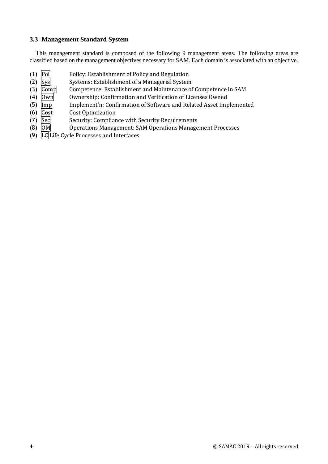#### <span id="page-5-0"></span>**3.3 Management Standard System**

This management standard is composed of the following 9 management areas. The following areas are classified based on the management objectives necessary for SAM. Each domain is associated with an objective.

- (1) Pol Policy: Establishment of Policy and Regulation
- 
- (2) Sys Systems: Establishment of a Managerial System<br>
(3) Comp Competence: Establishment and Maintenance of Competence: Establishment and Maintenance of Competence in SAM
- (4)  $|0$ wn Ownership: Confirmation and Verification of Licenses Owned
- (5)  $\text{Im } p$  Implement'n: Confirmation of Software and Related Asset Implemented
- (6) Cost Cost Optimization
- (7) Sec Security: Compliance with Security Requirements
- (8) OM Operations Management: SAM Operations Management Processes
- (9) LC Life Cycle Processes and Interfaces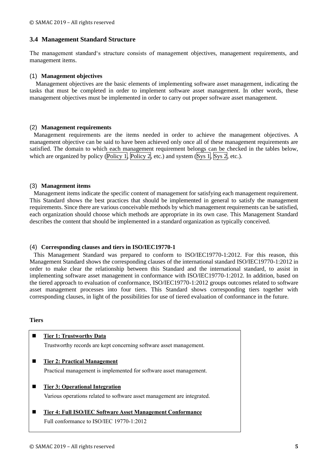#### <span id="page-6-0"></span>**3.4 Management Standard Structure**

The management standard's structure consists of management objectives, management requirements, and management items.

#### <span id="page-6-1"></span>(1) **Management objectives**

Management objectives are the basic elements of implementing software asset management, indicating the tasks that must be completed in order to implement software asset management. In other words, these management objectives must be implemented in order to carry out proper software asset management.

#### <span id="page-6-2"></span>(2) **Management requirements**

Management requirements are the items needed in order to achieve the management objectives. A management objective can be said to have been achieved only once all of these management requirements are satisfied. The domain to which each management requirement belongs can be checked in the tables below, which are organized by policy (Policy 1, Policy 2, etc.) and system (Sys 1, Sys 2, etc.).

#### <span id="page-6-3"></span>(3) **Management items**

Management items indicate the specific content of management for satisfying each management requirement. This Standard shows the best practices that should be implemented in general to satisfy the management requirements. Since there are various conceivable methods by which management requirements can be satisfied, each organization should choose which methods are appropriate in its own case. This Management Standard describes the content that should be implemented in a standard organization as typically conceived.

#### <span id="page-6-4"></span>(4) **Corresponding clauses and tiers in ISO/IEC19770-1**

This Management Standard was prepared to conform to ISO/IEC19770-1:2012. For this reason, this Management Standard shows the corresponding clauses of the international standard ISO/IEC19770-1:2012 in order to make clear the relationship between this Standard and the international standard, to assist in implementing software asset management in conformance with ISO/IEC19770-1:2012. In addition, based on the tiered approach to evaluation of conformance, ISO/IEC19770-1:2012 groups outcomes related to software asset management processes into four tiers. This Standard shows corresponding tiers together with corresponding clauses, in light of the possibilities for use of tiered evaluation of conformance in the future.

#### **Tiers**

| <b>Tier 1: Trustworthy Data</b>                                         |
|-------------------------------------------------------------------------|
| Trustworthy records are kept concerning software asset management.      |
| Tier 2: Practical Management                                            |
| Practical management is implemented for software asset management.      |
| <b>Tier 3: Operational Integration</b>                                  |
| Various operations related to software asset management are integrated. |
| Tier 4: Full ISO/IEC Software Asset Management Conformance              |
| Full conformance to ISO/IEC 19770-1:2012                                |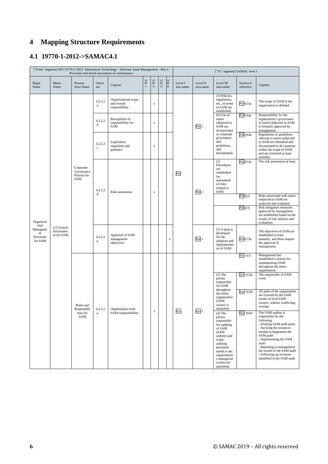## <span id="page-7-0"></span>**4 Mapping Structure Requirements**

## <span id="page-7-1"></span>**4.1 19770-1-2012->SAMAC4.1**

|                                                |                                        |                                               |                        | ["From" segment] ISO 19770-1:2012 Information Technology - Software Asset Management - Part 1:<br>Processes and tiered assessment of conformance |        |             |            |             | ["To" segment] SAMAC ver4.1 |                       |                                                                                                                                                                                                     |                        |                                                                                                                                                                                                                                                                                                                      |  |
|------------------------------------------------|----------------------------------------|-----------------------------------------------|------------------------|--------------------------------------------------------------------------------------------------------------------------------------------------|--------|-------------|------------|-------------|-----------------------------|-----------------------|-----------------------------------------------------------------------------------------------------------------------------------------------------------------------------------------------------|------------------------|----------------------------------------------------------------------------------------------------------------------------------------------------------------------------------------------------------------------------------------------------------------------------------------------------------------------|--|
| Major<br>Name                                  | Minor<br>Name                          | Process<br>Area Name                          | Outco<br>me            | Caption                                                                                                                                          | Tier 1 | Tier $2\,$  | Tier $3\,$ | Tier 4      | Level I<br>area name        | Level II<br>area name | Level III<br>area name                                                                                                                                                                              | Section #<br>reference | Caption                                                                                                                                                                                                                                                                                                              |  |
|                                                |                                        |                                               | 4.2.2.2<br>$\bf{.}a$   | Organizational scope<br>and overall<br>responsibility                                                                                            |        | $\mathbf x$ |            |             |                             |                       | (1) Policies,<br>regulations,<br>etc., in terms<br>of SAM are<br>established.                                                                                                                       | Pol1(1)a               | The scope of SAM in the<br>organization is defined.                                                                                                                                                                                                                                                                  |  |
|                                                |                                        |                                               | 4.2.2.2<br>.b          | Recognition of<br>responsibility for<br>SAM                                                                                                      |        | $\mathbf x$ |            |             |                             | Pol <sub>1</sub>      | $(6)$ Use of<br>assets<br>subjected to<br>SAM are<br>incorporated                                                                                                                                   | Pol1(6)a               | Responsibility for the<br>organization's governance<br>of assets subjected to SAM<br>is formally approved by<br>management.                                                                                                                                                                                          |  |
|                                                |                                        |                                               | 4.2.2.2<br>$_{\rm .C}$ | Legislation,<br>regulation and<br>guidance                                                                                                       |        | $\mathbf X$ |            |             |                             |                       | in corporate<br>governance<br>and<br>guidelines,<br>and<br>documented.                                                                                                                              | Pol1(6)b               | Regulations or guidelines<br>relevant to assets subjected<br>to SAM are identified and<br>documented in all countries<br>within the scope of SAM<br>and are reviewed at least<br>annually.                                                                                                                           |  |
| Organizati                                     |                                        | Corporate<br>Governance<br>Process for<br>SAM | 4.2.2.2                | Risk assessment                                                                                                                                  |        | $\mathbf x$ |            |             | Pol                         | Pol <sub>2</sub>      | (1)<br>Procedures<br>$\operatorname{\sf are}$<br>established<br>for<br>assessment<br>of risks<br>related to<br>SAM.                                                                                 | Pol2(1)a               | The risk assessment at least.                                                                                                                                                                                                                                                                                        |  |
|                                                | 4.2 Control<br>Environme<br>nt for SAM |                                               | .d                     |                                                                                                                                                  |        |             |            |             |                             |                       |                                                                                                                                                                                                     | Pol2(2)                | Risks associated with assets<br>subjected to SAM are<br>analyzed and evaluated.                                                                                                                                                                                                                                      |  |
|                                                |                                        |                                               |                        |                                                                                                                                                  |        |             |            |             |                             |                       |                                                                                                                                                                                                     | Pol2(3)                | Risk mitigation measures<br>approved by management<br>are established based on the<br>results of risk analysis and<br>evaluation.                                                                                                                                                                                    |  |
| onal<br>Manageme<br>nt<br>Processes<br>for SAM |                                        |                                               | 4.2.2.2<br>$_{\rm .e}$ | Approval of SAM<br>management<br>objectives                                                                                                      |        |             |            | $\mathbf X$ |                             | Pol <sub>1</sub>      | $(7)$ A plan is<br>developed<br>for the<br>adoption and<br>implementati<br>on of SAM.                                                                                                               | Pol1(7)b               | The objectives of SAM are<br>established at least<br>annually, and these require<br>the approval of<br>management.                                                                                                                                                                                                   |  |
|                                                |                                        |                                               |                        |                                                                                                                                                  |        |             |            |             |                             |                       |                                                                                                                                                                                                     | Sys $1(1)$             | Management has<br>established a system for<br>implementing SAM<br>throughout the entire<br>organization.                                                                                                                                                                                                             |  |
|                                                |                                        |                                               |                        |                                                                                                                                                  |        |             |            |             |                             |                       | $(2)$ The<br>person<br>responsible<br>for SAM                                                                                                                                                       | Sys $1(2)a$            | The responsible of SAM<br>owne                                                                                                                                                                                                                                                                                       |  |
|                                                |                                        | Roles and<br>Responsibil                      | 4.2.3.2                | Organization-wide                                                                                                                                |        |             |            |             |                             |                       | throughout<br>the entire<br>organization<br>(SAM<br>owner) is<br>identified.                                                                                                                        | Sys $1(2)d$            | All parts of the organization<br>are covered by the SAM<br>owner or local SAM<br>owners, without conflicting<br>overlap.                                                                                                                                                                                             |  |
|                                                |                                        | ities for<br>SAM                              |                        | SAM responsibilities                                                                                                                             |        | $\mathbf x$ |            |             | Sys                         | Sys 1                 | $(4)$ The<br>person<br>responsible<br>for auditing<br>of SAM<br>(SAM)<br>auditor) and<br>SAM<br>auditing<br>personnel<br>suited to the<br>organization'<br>s managerial<br>system are<br>appointed. | Sys $1(4)a$            | The SAM auditor is<br>responsible for the<br>following:<br>- Drafting SAM audit plans<br>- Securing the resources<br>needed to implement the<br>SAM audit<br>- Implementing the SAM<br>audit<br>- Reporting to management<br>the results of the SAM audit<br>- Following up on issues<br>identified in the SAM audit |  |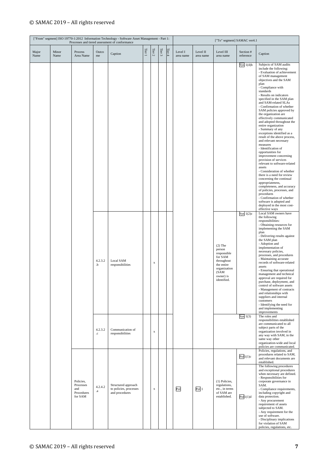| ["From" segment] ISO 19770-1:2012 Information Technology - Software Asset Management - Part 1:<br>Processes and tiered assessment of conformance |               |                                                                      |                      |                                                                 |        |             |            | ["To" segment] SAMAC ver4.1 |                      |                       |                                                                                                                               |                           |                                                                                                                                                                                                                                                                                                                                                                                                                                                                                                                                                                                                                                                                                                                                                                                                                                                                                                                                                                                            |
|--------------------------------------------------------------------------------------------------------------------------------------------------|---------------|----------------------------------------------------------------------|----------------------|-----------------------------------------------------------------|--------|-------------|------------|-----------------------------|----------------------|-----------------------|-------------------------------------------------------------------------------------------------------------------------------|---------------------------|--------------------------------------------------------------------------------------------------------------------------------------------------------------------------------------------------------------------------------------------------------------------------------------------------------------------------------------------------------------------------------------------------------------------------------------------------------------------------------------------------------------------------------------------------------------------------------------------------------------------------------------------------------------------------------------------------------------------------------------------------------------------------------------------------------------------------------------------------------------------------------------------------------------------------------------------------------------------------------------------|
| Major<br>Name                                                                                                                                    | Minor<br>Name | Process<br>Area Name                                                 | Outco<br>me          | Caption                                                         | Tier 1 | Tier $2\,$  | Tier $3\,$ | Tier 4                      | Level I<br>area name | Level II<br>area name | Level III<br>area name                                                                                                        | Section #<br>reference    | Caption                                                                                                                                                                                                                                                                                                                                                                                                                                                                                                                                                                                                                                                                                                                                                                                                                                                                                                                                                                                    |
|                                                                                                                                                  |               |                                                                      |                      |                                                                 |        |             |            |                             |                      |                       |                                                                                                                               | Sys $1(4)b$               | Subjects of SAM audits<br>include the following:<br>- Evaluation of achievement<br>of SAM management<br>objectives and the SAM<br>plan<br>- Compliance with<br>standards<br>- Results on indicators<br>specified in the SAM plan<br>and SAM-related SLAs<br>- Confirmation of whether<br>SAM policies approved by<br>the organization are<br>effectively communicated<br>and adopted throughout the<br>entire organization<br>- Summary of any<br>exceptions identified as a<br>result of the above process,<br>and relevant necessary<br>measures<br>- Identification of<br>opportunities for<br>improvement concerning<br>provision of services<br>relevant to software-related<br>assets<br>- Consideration of whether<br>there is a need for review<br>concerning the continual<br>appropriateness,<br>completeness, and accuracy<br>of policies, processes, and<br>procedures<br>- Confirmation of whether<br>software is adopted and<br>deployed in the most cost-<br>effective ways |
|                                                                                                                                                  |               |                                                                      | 4.2.3.2<br>.b        | Local SAM<br>responsibilities                                   |        | $\mathbf x$ |            |                             |                      |                       | $(2)$ The<br>person<br>responsible<br>for SAM<br>throughout<br>the entire<br>organization<br>(SAM<br>owner) is<br>identified. | Sys $1(2)c$<br>Sys $1(3)$ | Local SAM owners have<br>the following<br>responsibilities:<br>- Obtaining resources for<br>implementing the SAM<br>plan<br>- Delivering results against<br>the SAM plan<br>- Adoption and<br>implementation of<br>necessary policies,<br>processes, and procedures<br>- Maintaining accurate<br>records of software-related<br>assets<br>- Ensuring that operational<br>management and technical<br>approval are required for<br>purchase, deployment, and<br>control of software assets<br>- Management of contracts<br>and relationships with<br>suppliers and internal<br>customers<br>- Identifying the need for<br>and implementing<br>improvements<br>The roles and<br>responsibilities established                                                                                                                                                                                                                                                                                 |
|                                                                                                                                                  |               |                                                                      | 4.2.3.2<br>$\cdot c$ | Communication of<br>responsibilities                            |        | $\mathbf x$ |            |                             |                      |                       |                                                                                                                               |                           | are communicated to all<br>subject parts of the<br>organization involved in<br>any way with SAM, in the<br>same way other<br>organization-wide and local<br>policies are communicated.                                                                                                                                                                                                                                                                                                                                                                                                                                                                                                                                                                                                                                                                                                                                                                                                     |
|                                                                                                                                                  |               |                                                                      |                      |                                                                 |        |             |            |                             |                      |                       |                                                                                                                               | Pol1(1)c                  | Policies, regulations, and<br>procedures related to SAM,<br>and relevant documents are<br>established.<br>The following procedures                                                                                                                                                                                                                                                                                                                                                                                                                                                                                                                                                                                                                                                                                                                                                                                                                                                         |
|                                                                                                                                                  |               | Policies,<br>Processes<br>and<br>$_{\rm a}$<br>Procedures<br>for SAM | 4.2.4.2              | Structured approach<br>to policies, processes<br>and procedures |        | $\mathbf x$ |            |                             | Pol                  | Pol 1                 | (1) Policies,<br>regulations,<br>etc., in terms<br>of SAM are<br>established.                                                 | Pol1(1)d                  | and exceptional procedures<br>when necessary are defined.<br>- Responsibilities for<br>corporate governance in<br>SAM.<br>- Compliance requirements,<br>including copyright and<br>data protection.<br>- Any procurement<br>requirement of assets<br>subjected to SAM.<br>- Any requirement for the<br>use of software.<br>- Disciplinary implications<br>for violation of SAM<br>policies, regulations, etc.                                                                                                                                                                                                                                                                                                                                                                                                                                                                                                                                                                              |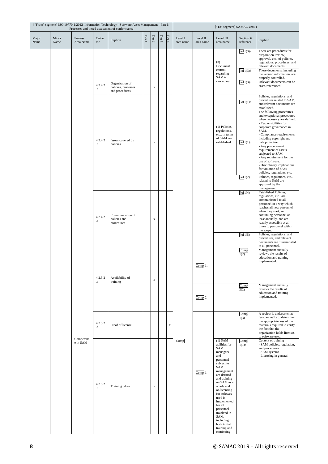|               | ["From" segment] ISO 19770-1:2012 Information Technology - Software Asset Management - Part 1:<br>Processes and tiered assessment of conformance |                      |                                        |                                                |                             |             |                  |             |                      |                       | ["To" segment] SAMAC ver4.1                                                   |                                                                                                                                                                                                                                                                                                                                     |                                                                                                                                                                                                                                                                                                                                                                                                                                           |
|---------------|--------------------------------------------------------------------------------------------------------------------------------------------------|----------------------|----------------------------------------|------------------------------------------------|-----------------------------|-------------|------------------|-------------|----------------------|-----------------------|-------------------------------------------------------------------------------|-------------------------------------------------------------------------------------------------------------------------------------------------------------------------------------------------------------------------------------------------------------------------------------------------------------------------------------|-------------------------------------------------------------------------------------------------------------------------------------------------------------------------------------------------------------------------------------------------------------------------------------------------------------------------------------------------------------------------------------------------------------------------------------------|
| Major<br>Name | Minor<br>Name                                                                                                                                    | Process<br>Area Name | Outco<br>me                            | Caption                                        | Tier 1                      | Tier $2\,$  | Tier $\mathbf 3$ | Tier $4$    | Level I<br>area name | Level II<br>area name | Level III<br>area name                                                        | Section #<br>reference                                                                                                                                                                                                                                                                                                              | Caption                                                                                                                                                                                                                                                                                                                                                                                                                                   |
|               |                                                                                                                                                  |                      | 4.2.4.2                                | Organization of<br>policies, processes         |                             | $\mathbf x$ |                  |             |                      |                       | (3)<br>Document<br>control<br>regarding<br>SAM is<br>carried out.             | Pol1(3)a<br>Pol1(3)b<br>Pol1(3)c                                                                                                                                                                                                                                                                                                    | There are procedures for<br>preparation, review,<br>approval, etc., of policies,<br>regulations, procedures, and<br>relevant documents.<br>These documents, including<br>the version information, are<br>properly controlled.<br>Relevant documents can be<br>cross-referenced.                                                                                                                                                           |
|               |                                                                                                                                                  |                      | .b                                     | and procedures                                 |                             |             |                  |             |                      |                       |                                                                               | Pol1(1)c                                                                                                                                                                                                                                                                                                                            | Policies, regulations, and<br>procedures related to SAM,<br>and relevant documents are<br>established.                                                                                                                                                                                                                                                                                                                                    |
|               |                                                                                                                                                  |                      | 4.2.4.2<br>$_{\rm{c}}$                 | Issues covered by<br>policies                  |                             | $\mathbf X$ |                  |             |                      |                       | (1) Policies,<br>regulations,<br>etc., in terms<br>of SAM are<br>established. | Pol1(1)d                                                                                                                                                                                                                                                                                                                            | The following procedures<br>and exceptional procedures<br>when necessary are defined.<br>- Responsibilities for<br>corporate governance in<br>SAM.<br>- Compliance requirements,<br>including copyright and<br>data protection.<br>- Any procurement<br>requirement of assets<br>subjected to SAM.<br>- Any requirement for the<br>use of software.<br>- Disciplinary implications<br>for violation of SAM<br>policies, regulations, etc. |
|               |                                                                                                                                                  |                      |                                        |                                                |                             |             |                  |             |                      |                       |                                                                               | Pol1(2)                                                                                                                                                                                                                                                                                                                             | Policies, regulations, etc.,<br>related to SAM are<br>approved by the<br>management.                                                                                                                                                                                                                                                                                                                                                      |
|               |                                                                                                                                                  |                      | 4.2.4.2<br>.d                          | Communication of<br>policies and<br>procedures |                             | $\mathbf x$ |                  |             |                      |                       |                                                                               | Pol1(4)                                                                                                                                                                                                                                                                                                                             | Established Policies,<br>regulations, etc., are<br>communicated to all<br>personnel in a way which<br>reaches all new personnel<br>when they start, and<br>continuing personnel at<br>least annually, and are<br>readily accessible at all<br>times to personnel within<br>the scope.                                                                                                                                                     |
|               |                                                                                                                                                  |                      |                                        |                                                |                             |             |                  |             |                      |                       |                                                                               | Pol1(5)                                                                                                                                                                                                                                                                                                                             | Policies, regulations, and<br>procedures, and relevant<br>documents are disseminated<br>to all personnel.                                                                                                                                                                                                                                                                                                                                 |
|               |                                                                                                                                                  |                      |                                        | 4.2.5.2<br>$_{\rm a}$                          | Availability of<br>training |             | $\mathbf X$      |             |                      |                       | $Comp1$ .                                                                     |                                                                                                                                                                                                                                                                                                                                     | Comp<br>1(2)                                                                                                                                                                                                                                                                                                                                                                                                                              |
|               |                                                                                                                                                  |                      |                                        |                                                |                             |             |                  |             |                      | Comp <sub>2</sub>     |                                                                               | Comp<br>2(2)                                                                                                                                                                                                                                                                                                                        | Management annually<br>reviews the results of<br>education and training<br>implemented.                                                                                                                                                                                                                                                                                                                                                   |
|               |                                                                                                                                                  |                      | 4.2.5.2<br>Proof of license<br>$\cdot$ |                                                |                             |             |                  | $\mathbf x$ |                      |                       |                                                                               | Comp<br>1(3)                                                                                                                                                                                                                                                                                                                        | A review is undertaken at<br>least annually to determine<br>the appropriateness of the<br>materials required to verify<br>the fact that the<br>organization holds licenses<br>to software used.                                                                                                                                                                                                                                           |
|               |                                                                                                                                                  | e in SAM             | Competenc                              | 4.2.5.2<br>$_{\rm .c}$                         | Training taken              |             | $\mathbf x$      |             |                      | Comp                  | Comp 1                                                                        | $(1)$ SAM<br>abilities for<br>SAM<br>managers<br>and<br>personnel<br>subject to<br>SAM<br>management<br>are defined<br>and training<br>on SAM as a<br>whole and<br>on licensing<br>for software<br>used is<br>implemented<br>for all<br>personnel<br>involved in<br>SAM,<br>including<br>both initial<br>training and<br>continuing | Comp<br>1(1)a                                                                                                                                                                                                                                                                                                                                                                                                                             |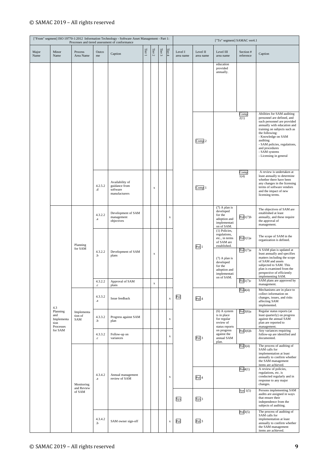|               |                                                    |                                    | ["From" segment] ISO 19770-1:2012 Information Technology - Software Asset Management - Part 1:<br>Processes and tiered assessment of conformance |                                                               |                                                |            |             |             |                      |                       | ["To" segment] SAMAC ver4.1                                                   |                                                                                       |                                                                                                                                                                                                                                                                                                         |                                                                                                                                                                                                                        |
|---------------|----------------------------------------------------|------------------------------------|--------------------------------------------------------------------------------------------------------------------------------------------------|---------------------------------------------------------------|------------------------------------------------|------------|-------------|-------------|----------------------|-----------------------|-------------------------------------------------------------------------------|---------------------------------------------------------------------------------------|---------------------------------------------------------------------------------------------------------------------------------------------------------------------------------------------------------------------------------------------------------------------------------------------------------|------------------------------------------------------------------------------------------------------------------------------------------------------------------------------------------------------------------------|
| Major<br>Name | Minor<br>Name                                      | Process<br>Area Name               | Outco<br>me                                                                                                                                      | Caption                                                       | Tier 1                                         | Tier $2\,$ | Tier $3$    | Tier 4      | Level I<br>area name | Level II<br>area name | Level III<br>area name                                                        | Section #<br>reference                                                                | Caption                                                                                                                                                                                                                                                                                                 |                                                                                                                                                                                                                        |
|               |                                                    |                                    |                                                                                                                                                  |                                                               |                                                |            |             |             |                      |                       | education<br>provided<br>annually.                                            |                                                                                       |                                                                                                                                                                                                                                                                                                         |                                                                                                                                                                                                                        |
|               |                                                    |                                    |                                                                                                                                                  |                                                               |                                                |            |             |             |                      |                       |                                                                               |                                                                                       |                                                                                                                                                                                                                                                                                                         |                                                                                                                                                                                                                        |
|               |                                                    |                                    |                                                                                                                                                  |                                                               |                                                |            |             |             |                      | Comp 2                |                                                                               | Comp<br>2(1)                                                                          | Abilities for SAM auditing<br>personnel are defined, and<br>such personnel are provided<br>annually with education and<br>training on subjects such as<br>the following:<br>- Knowledge on SAM<br>auditing<br>- SAM policies, regulations,<br>and procedures<br>- SAM systems<br>- Licensing in general |                                                                                                                                                                                                                        |
|               |                                                    |                                    | 4.2.5.2<br>$_{\rm d}$                                                                                                                            | Availability of<br>guidance from<br>software<br>manufacturers |                                                | X          |             |             |                      | Comp 1                |                                                                               | Comp<br>1(4)                                                                          | A review is undertaken at<br>least annually to determine<br>whether there have been<br>any changes in the licensing<br>terms of software vendors<br>and the impact of new<br>licensing terms.                                                                                                           |                                                                                                                                                                                                                        |
|               |                                                    | Planning<br>for SAM                |                                                                                                                                                  | 4.3.2.2<br>$\bf{.a}$                                          | Development of SAM<br>management<br>objectives |            |             |             | $\mathbf x$          |                       |                                                                               | $(7)$ A plan is<br>developed<br>for the<br>adoption and<br>implementati<br>on of SAM. | Pol1(7)b                                                                                                                                                                                                                                                                                                | The objectives of SAM are<br>established at least<br>annually, and these require<br>the approval of<br>management.                                                                                                     |
|               |                                                    |                                    |                                                                                                                                                  |                                                               |                                                |            |             |             |                      | Pol <sub>1</sub>      | (1) Policies,<br>regulations,<br>etc., in terms<br>of SAM are<br>established. | Pol1(1)a                                                                              | The scope of SAM in the<br>organization is defined.                                                                                                                                                                                                                                                     |                                                                                                                                                                                                                        |
|               |                                                    |                                    |                                                                                                                                                  | 4.3.2.2<br>$\cdot b$                                          | Development of SAM<br>plans                    |            | $\mathbf x$ |             |                      |                       |                                                                               | $(7)$ A plan is<br>developed<br>for the<br>adoption and<br>implementati<br>on of SAM. | Pol1(7)a                                                                                                                                                                                                                                                                                                | A SAM plan is updated at<br>least annually and specifies<br>matters including the scope<br>of SAM and assets<br>subjected to SAM. This<br>plan is examined from the<br>perspective of efficiently<br>implementing SAM. |
|               |                                                    |                                    | 4.3.2.2<br>$_{\rm{c}}$                                                                                                                           | Approval of SAM<br>plans                                      |                                                | X          |             |             |                      |                       |                                                                               | Pol1(7)c                                                                              | SAM plans are approved by<br>management.                                                                                                                                                                                                                                                                |                                                                                                                                                                                                                        |
|               | 4.3                                                |                                    | 4.3.3.2<br>$_{\rm a}$                                                                                                                            | Issue feedback                                                |                                                |            |             | $\mathbf X$ | Pol                  | Pol <sub>4</sub>      |                                                                               | Pol4(4)                                                                               | Mechanisms are in place to<br>collect information on<br>changes, issues, and risks<br>affecting SAM<br>implemented.                                                                                                                                                                                     |                                                                                                                                                                                                                        |
|               | Planning<br>and<br>Implementa<br>tion<br>Processes | Implementa<br>tion of<br>SAM       | 4.3.3.2<br>$\cdot b$                                                                                                                             | Progress against SAM<br>plan                                  |                                                |            |             | $\mathbf x$ |                      |                       | $(6)$ A system<br>is in place<br>for regular<br>review of<br>status reports   | Pol3(6)a                                                                              | Regular status reports (at<br>least quarterly) on progress<br>against the annual SAM<br>plan are reported to<br>management.                                                                                                                                                                             |                                                                                                                                                                                                                        |
|               | for SAM                                            |                                    | 4.3.3.2<br>$_{\rm{c}}$                                                                                                                           | Follow-up on<br>variances                                     |                                                |            |             | $\mathbf X$ |                      | Pol <sub>3</sub>      | on progress<br>against the<br>annual SAM<br>plan.                             | Pol3(6)b                                                                              | Any variances requiring<br>follow-up are identified and<br>documented.                                                                                                                                                                                                                                  |                                                                                                                                                                                                                        |
|               |                                                    | Monitoring<br>and Review<br>of SAM |                                                                                                                                                  |                                                               |                                                |            |             |             |                      |                       |                                                                               | Pol3(4)                                                                               | The process of auditing of<br>SAM calls for<br>implementation at least<br>annually to confirm whether<br>the SAM management<br>items are achieved.                                                                                                                                                      |                                                                                                                                                                                                                        |
|               |                                                    |                                    | 4.3.4.2<br>$\cdot a$                                                                                                                             | Annual management<br>review of SAM                            |                                                |            |             | $\mathbf x$ |                      | Pol 4                 |                                                                               | Pol4(1)                                                                               | A review of policies,<br>regulations, etc. is<br>conducted regularly and in<br>response to any major<br>changes.                                                                                                                                                                                        |                                                                                                                                                                                                                        |
|               |                                                    |                                    |                                                                                                                                                  |                                                               |                                                |            |             |             | Sys                  | Sys 1                 |                                                                               | Sys $1(5)$                                                                            | Persons implementing SAM<br>audits are assigned in ways<br>that ensure their<br>independence from the<br>subjects of auditing.                                                                                                                                                                          |                                                                                                                                                                                                                        |
|               |                                                    |                                    | 4.3.4.2<br>.b                                                                                                                                    | SAM owner sign-off                                            |                                                |            |             | $\mathbf x$ | Pol                  | Pol <sub>3</sub>      |                                                                               | Pol3(5)                                                                               | The process of auditing of<br>SAM calls for<br>implementation at least<br>annually to confirm whether<br>the SAM management<br>items are achieved.                                                                                                                                                      |                                                                                                                                                                                                                        |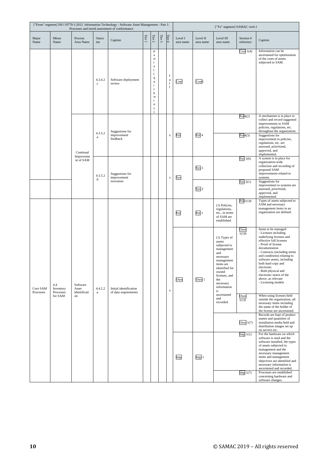|                       |                               |                                   |                        | ["From" segment] ISO 19770-1:2012 Information Technology - Software Asset Management - Part 1:<br>Processes and tiered assessment of conformance |                       |                                                                                                          |            |                  | ["To" segment] SAMAC ver4.1 |                       |                                                                                                                                                                                            |                                          |                                                                                                                                                                                                                                                                                                                                                                          |
|-----------------------|-------------------------------|-----------------------------------|------------------------|--------------------------------------------------------------------------------------------------------------------------------------------------|-----------------------|----------------------------------------------------------------------------------------------------------|------------|------------------|-----------------------------|-----------------------|--------------------------------------------------------------------------------------------------------------------------------------------------------------------------------------------|------------------------------------------|--------------------------------------------------------------------------------------------------------------------------------------------------------------------------------------------------------------------------------------------------------------------------------------------------------------------------------------------------------------------------|
| Major<br>Name         | Minor<br>Name                 | Process<br>Area Name              | Outco<br>me            | Caption                                                                                                                                          | Tier $\boldsymbol{1}$ | Tier $2\,$                                                                                               | Tier $3\,$ | Tier $4$         | Level I<br>area name        | Level II<br>area name | Level III<br>area name                                                                                                                                                                     | Section #<br>reference                   | Caption                                                                                                                                                                                                                                                                                                                                                                  |
|                       |                               |                                   | 4.3.4.2<br>$_{\rm{c}}$ | Software deployment<br>review                                                                                                                    |                       | p<br>a<br>rt<br>i.<br>a<br>1<br>(<br>q<br>u<br>i.<br>$\mathbf c$<br>k<br>W<br>i<br>$\mathbf n$<br>s<br>١ |            | f<br>u<br>1<br>1 | Cost                        | Cost1                 |                                                                                                                                                                                            | Cost $1(4)$                              | Information can be<br>ascertained for optimization<br>of the costs of assets<br>subjected to SAM.                                                                                                                                                                                                                                                                        |
|                       |                               |                                   | 4.3.5.2                | Suggestions for<br>improvement                                                                                                                   |                       |                                                                                                          |            | $\mathbf x$      | Pol                         | Pol <sub>4</sub>      |                                                                                                                                                                                            | Pol4(2)<br>Pol4(3)                       | A mechanism is in place to<br>collect and record suggested<br>improvements to SAM<br>policies, regulations, etc.<br>throughout the organization.<br>Suggestions for                                                                                                                                                                                                      |
|                       |                               | Continual<br>Improveme            | $\cdot a$              | feedback                                                                                                                                         |                       |                                                                                                          |            |                  |                             |                       |                                                                                                                                                                                            |                                          | improvement to policies,<br>regulations, etc. are<br>assessed, prioritized,<br>approved, and<br>implemented.                                                                                                                                                                                                                                                             |
|                       |                               | nt of SAM                         | 4.3.5.2<br>.b          | Suggestions for<br>improvement                                                                                                                   |                       |                                                                                                          |            | $\mathbf X$      | Sys                         | Sys 1                 |                                                                                                                                                                                            | Sys $1(6)$                               | A system is in place for<br>organization-wide<br>collection and recording of<br>proposed SAM<br>improvements related to<br>systems.                                                                                                                                                                                                                                      |
|                       |                               |                                   |                        | execution                                                                                                                                        |                       |                                                                                                          |            |                  |                             | $Sys$ 2               |                                                                                                                                                                                            | $Sys$ 2(1)                               | Suggestions for<br>improvement to systems are<br>assessed, prioritized,<br>approved, and<br>implemented.                                                                                                                                                                                                                                                                 |
| Core SAM<br>Processes |                               |                                   |                        |                                                                                                                                                  |                       |                                                                                                          |            |                  | Pol                         | Pol <sub>1</sub>      | (1) Policies,<br>regulations,<br>etc., in terms<br>of SAM are<br>established.                                                                                                              | Pol1(1)b                                 | Types of assets subjected to<br>SAM and necessary<br>management items in an<br>organization are defined.                                                                                                                                                                                                                                                                 |
|                       | 4.4<br>Inventory<br>Processes | Software<br>Asset<br>Identificati | 4.4.2.2<br>$\cdot a$   | Initial identification<br>of data requirements                                                                                                   |                       |                                                                                                          |            | $\mathbf X$      | Own                         | Own 1                 | $(1)$ Types of<br>assets<br>subjected to<br>management<br>and<br>necessary<br>management<br>items are<br>identified for<br>owned<br>licenses, and<br>the<br>necessary<br>information<br>is | Own<br>1(1)b                             | Items to be managed<br>- Licenses including<br>underlying licenses and<br>effective full licenses<br>- Proof of license<br>documentation<br>- Contracts (including terms<br>and conditions) relating to<br>software assets, including<br>both hard copy and<br>electronic<br>- Both physical and<br>electronic stores of the<br>above, as relevant<br>- Licensing models |
|                       | for SAM                       | on                                |                        |                                                                                                                                                  |                       |                                                                                                          |            |                  |                             |                       | ascertained<br>and<br>recorded.                                                                                                                                                            | $\frac{\text{Own}}{\text{1}(1)\text{f}}$ | When using licenses held<br>outside the organization, all<br>necessary items including<br>the name of the holder of<br>the license are ascertained.<br>Records are kept of product                                                                                                                                                                                       |
|                       |                               |                                   |                        |                                                                                                                                                  |                       |                                                                                                          |            |                  |                             |                       |                                                                                                                                                                                            | Own $1(7)$<br>Imp1(1)                    | names and quantities of<br>installation media held and<br>distribution images set up<br>on servers etc.<br>For the hardware on which                                                                                                                                                                                                                                     |
|                       |                               |                                   |                        |                                                                                                                                                  |                       |                                                                                                          |            |                  | Imp                         | Imp <sub>1</sub>      |                                                                                                                                                                                            | Imp1(7)                                  | software is used and the<br>software installed, the types<br>of assets subjected to<br>management and the<br>necessary management<br>items and management<br>objectives are identified and<br>necessary information is<br>ascertained and recorded.<br>Processes are established                                                                                         |
|                       |                               |                                   |                        |                                                                                                                                                  |                       |                                                                                                          |            |                  |                             |                       |                                                                                                                                                                                            |                                          | concerning hardware and<br>software changes.                                                                                                                                                                                                                                                                                                                             |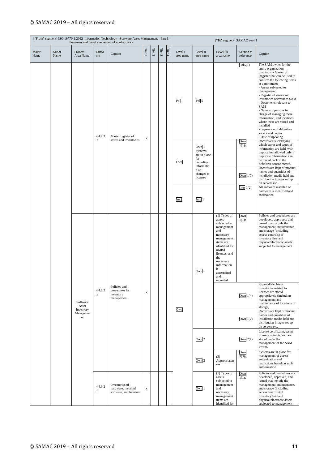|               |               |                                      |                         | ["From" segment] ISO 19770-1:2012 Information Technology - Software Asset Management - Part 1:<br>Processes and tiered assessment of conformance |             |            |        |          |                      |                                                                    | ["To" segment] SAMAC ver4.1                                                                                                                                                                                                   |                        |                                                                                                                                                                                                                                                                                                                                                                                                                                                                                                  |
|---------------|---------------|--------------------------------------|-------------------------|--------------------------------------------------------------------------------------------------------------------------------------------------|-------------|------------|--------|----------|----------------------|--------------------------------------------------------------------|-------------------------------------------------------------------------------------------------------------------------------------------------------------------------------------------------------------------------------|------------------------|--------------------------------------------------------------------------------------------------------------------------------------------------------------------------------------------------------------------------------------------------------------------------------------------------------------------------------------------------------------------------------------------------------------------------------------------------------------------------------------------------|
| Major<br>Name | Minor<br>Name | Process<br>Area Name                 | Outco<br>me             | Caption                                                                                                                                          | Tier 1      | Tier $2\,$ | Tier 3 | Tier $4$ | Level I<br>area name | Level II<br>area name                                              | Level III<br>area name                                                                                                                                                                                                        | Section #<br>reference | Caption                                                                                                                                                                                                                                                                                                                                                                                                                                                                                          |
|               |               |                                      | 4.4.2.2                 | Master register of                                                                                                                               | $\mathbf X$ |            |        |          | Pol                  | Pol <sub>5</sub>                                                   |                                                                                                                                                                                                                               | Pol5(1)                | The SAM owner for the<br>entire organization<br>maintains a Master of<br>Register that can be used to<br>confirm the following items<br>at a minimum:<br>- Assets subjected to<br>management<br>- Register of stores and<br>inventories relevant to SAM<br>- Documents relevant to<br>SAM<br>- Names of persons in<br>charge of managing these<br>information, and locations<br>where these are stored and<br>installed<br>- Separation of definitive<br>source and copies<br>- Date of updating |
|               |               |                                      | .b                      | stores and inventories                                                                                                                           |             |            |        |          | Own                  | Own 1<br>Systems<br>are in place<br>for<br>recording<br>informatio |                                                                                                                                                                                                                               | Own<br>$1(1)$ g        | Records exist clarifying<br>which stores and types of<br>information are held, with<br>duplication allowed only if<br>duplicate information can<br>be traced back to the<br>definitive source record.                                                                                                                                                                                                                                                                                            |
|               |               |                                      |                         |                                                                                                                                                  |             |            |        |          |                      | n on<br>changes to<br>licenses                                     |                                                                                                                                                                                                                               | Own $1(7)$             | Records are kept of product<br>names and quantities of<br>installation media held and<br>distribution images set up<br>on servers etc.                                                                                                                                                                                                                                                                                                                                                           |
|               |               |                                      |                         |                                                                                                                                                  |             |            |        |          | Imp                  | Imp <sub>1</sub>                                                   |                                                                                                                                                                                                                               | Imp $1(2)$             | All software installed on<br>hardware is identified and<br>ascertained.                                                                                                                                                                                                                                                                                                                                                                                                                          |
|               |               |                                      |                         |                                                                                                                                                  |             |            |        |          |                      | Own 1                                                              | $(1)$ Types of<br>assets<br>subjected to<br>management<br>and<br>necessary<br>management<br>items are<br>identified for<br>owned<br>licenses, and<br>the<br>necessary<br>information<br>is<br>ascertained<br>and<br>recorded. | $\frac{Own}{1(1)a}$    | Policies and procedures are<br>developed, approved, and<br>issued that include the<br>management, maintenance,<br>and storage (including<br>access controls) of<br>inventory lists and<br>physical/electronic assets<br>subjected to management                                                                                                                                                                                                                                                  |
|               |               | Software<br>Asset<br>Inventory       | 4.4.3.2<br>$\mathbf{a}$ | Policies and<br>procedures for<br>inventory<br>management                                                                                        | $\mathbf X$ |            |        |          | Own                  |                                                                    |                                                                                                                                                                                                                               | Own $1(4)$             | Physical/electronic<br>inventories related to<br>licenses are stored<br>appropriately (including<br>management and<br>maintenance of locations of<br>storage)<br>Records are kept of product                                                                                                                                                                                                                                                                                                     |
|               |               | Manageme<br>$\mathop{\hbox{\rm nt}}$ |                         |                                                                                                                                                  |             |            |        |          |                      |                                                                    |                                                                                                                                                                                                                               | Own $1(7)$             | names and quantities of<br>installation media held and<br>distribution images set up<br>on servers etc.                                                                                                                                                                                                                                                                                                                                                                                          |
|               |               |                                      |                         |                                                                                                                                                  |             |            |        |          |                      | Own 2                                                              |                                                                                                                                                                                                                               | Own $2(1)$             | License certificates, terms<br>of use, contracts, etc. are<br>stored under the<br>management of the SAM<br>owner.                                                                                                                                                                                                                                                                                                                                                                                |
|               |               |                                      |                         |                                                                                                                                                  |             |            |        |          |                      | Own 3                                                              | (3)<br>Appropriaten<br>ess                                                                                                                                                                                                    | Own<br>3(3)g           | Systems are in place for<br>management of access<br>authorization and<br>restrictions based on such<br>authorization.                                                                                                                                                                                                                                                                                                                                                                            |
|               |               |                                      |                         | Inventories of<br>hardware, installed<br>software, and licenses                                                                                  | $\mathbf X$ |            |        |          |                      | Own 1                                                              | $(1)$ Types of<br>assets<br>subjected to<br>management<br>and<br>necessary<br>management<br>items are<br>identified for                                                                                                       | $\frac{Own}{1(1)a}$    | Policies and procedures are<br>developed, approved, and<br>issued that include the<br>management, maintenance,<br>and storage (including<br>access controls) of<br>inventory lists and<br>physical/electronic assets<br>subjected to management                                                                                                                                                                                                                                                  |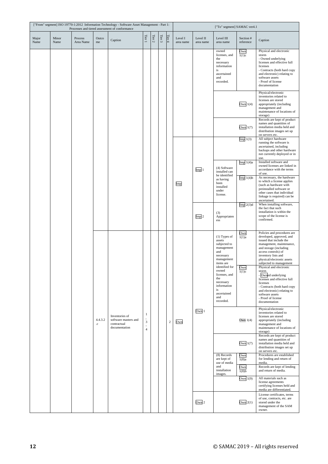|               | ["From" segment] ISO 19770-1:2012 Information Technology - Software Asset Management - Part 1:<br>Processes and tiered assessment of conformance |                      |                        |                                                                        |                                           |            |          |         |                      |                       | ["To" segment] SAMAC ver4.1                                                                                          |                           |                                                                                                                                                                                                                                                 |
|---------------|--------------------------------------------------------------------------------------------------------------------------------------------------|----------------------|------------------------|------------------------------------------------------------------------|-------------------------------------------|------------|----------|---------|----------------------|-----------------------|----------------------------------------------------------------------------------------------------------------------|---------------------------|-------------------------------------------------------------------------------------------------------------------------------------------------------------------------------------------------------------------------------------------------|
| Major<br>Name | Minor<br>Name                                                                                                                                    | Process<br>Area Name | Outco<br>me            | Caption                                                                | Tier 1                                    | Tier $2\,$ | Tier $3$ | Tier 4  | Level I<br>area name | Level II<br>area name | Level III<br>area name                                                                                               | Section #<br>reference    | Caption                                                                                                                                                                                                                                         |
|               |                                                                                                                                                  |                      |                        |                                                                        |                                           |            |          |         |                      |                       | owned<br>licenses, and<br>the<br>necessary<br>information<br>is<br>ascertained<br>and<br>recorded.                   | Own<br>$\overline{1(1)c}$ | Physical and electronic<br>stores<br>- Owned underlying<br>licenses and effective full<br>licenses<br>- Contracts (both hard copy<br>and electronic) relating to<br>software assets<br>- Proof of license<br>documentation                      |
|               |                                                                                                                                                  |                      |                        |                                                                        |                                           |            |          |         |                      |                       |                                                                                                                      | Own $1(4)$                | Physical/electronic<br>inventories related to<br>licenses are stored<br>appropriately (including<br>management and<br>maintenance of locations of<br>storage)                                                                                   |
|               |                                                                                                                                                  |                      |                        |                                                                        |                                           |            |          |         |                      |                       |                                                                                                                      | Own $1(7)$                | Records are kept of product<br>names and quantities of<br>installation media held and<br>distribution images set up<br>on servers etc.                                                                                                          |
|               |                                                                                                                                                  |                      |                        |                                                                        |                                           |            |          |         |                      |                       |                                                                                                                      | Imp1(3)                   | All subject hardware<br>running the software is<br>ascertained, including<br>backups and other hardware<br>not currently deployed or in<br>use.                                                                                                 |
|               |                                                                                                                                                  |                      |                        |                                                                        |                                           |            |          |         |                      | Imp <sub>1</sub>      | (4) Software<br>installed can<br>be identified                                                                       | Imp $1(4)a$               | Installed software and<br>owned licenses are linked in<br>accordance with the terms<br>of use.                                                                                                                                                  |
|               |                                                                                                                                                  |                      |                        |                                                                        |                                           |            |          |         | Imp                  |                       | as having<br>been<br>installed<br>under<br>license.                                                                  | Imp1(4)b                  | As necessary, the hardware<br>to which a license applies<br>(such as hardware with<br>preinstalled software or<br>other cases that individual<br>linkage is required) can be<br>ascertained.                                                    |
|               |                                                                                                                                                  |                      |                        |                                                                        |                                           |            |          |         |                      | Imp <sub>2</sub>      | (3)<br>Appropriaten<br>ess                                                                                           | Imp $2(3)d$               | When installing software,<br>the fact that such<br>installation is within the<br>scope of the license is<br>confirmed.                                                                                                                          |
|               |                                                                                                                                                  |                      |                        |                                                                        |                                           |            |          |         |                      |                       | $(1)$ Types of<br>assets<br>subjected to<br>management<br>and<br>necessary<br>management<br>items are                | Own<br>$\overline{1(1)a}$ | Policies and procedures are<br>developed, approved, and<br>issued that include the<br>management, maintenance,<br>and storage (including<br>access controls) of<br>inventory lists and<br>physical/electronic assets<br>subjected to management |
|               |                                                                                                                                                  |                      |                        |                                                                        |                                           |            |          |         |                      |                       | identified for<br>owned<br>licenses, and<br>the<br>necessary<br>information<br>is<br>ascertained<br>and<br>recorded. | Own<br>1(1)c              | Physical and electronic<br>stores<br>- Owned underlying<br>licenses and effective full<br>licenses<br>- Contracts (both hard copy<br>and electronic) relating to<br>software assets<br>- Proof of license<br>documentation                      |
|               |                                                                                                                                                  |                      | 4.4.3.2<br>$_{\rm .C}$ | Inventories of<br>software masters and<br>contractual<br>documentation | $\mathbf{1}$<br>3<br>Ĭ.<br>$\overline{4}$ |            |          | $\,2\,$ | Own                  | Own 1                 |                                                                                                                      | Own $1(4)$                | Physical/electronic<br>inventories related to<br>licenses are stored<br>appropriately (including<br>management and<br>maintenance of locations of<br>storage)                                                                                   |
|               |                                                                                                                                                  |                      |                        |                                                                        |                                           |            |          |         |                      |                       |                                                                                                                      | Own $1(7)$                | Records are kept of product<br>names and quantities of<br>installation media held and<br>distribution images set up<br>on servers etc.                                                                                                          |
|               |                                                                                                                                                  |                      |                        |                                                                        |                                           |            |          |         |                      |                       | (8) Records<br>are kept of<br>use of media                                                                           | Own<br>$\overline{1(8)a}$ | Procedures are established<br>for lending and return of<br>media.                                                                                                                                                                               |
|               |                                                                                                                                                  |                      |                        |                                                                        |                                           |            |          |         |                      |                       | and<br>installation<br>images.                                                                                       | Own<br>$1(8)$ b           | Records are kept of lending<br>and return of media.                                                                                                                                                                                             |
|               |                                                                                                                                                  |                      |                        |                                                                        |                                           |            |          |         |                      |                       |                                                                                                                      | Own $1(9)$                | All materials such as<br>license agreements<br>certifying licenses held and<br>media are differentiated.                                                                                                                                        |
|               |                                                                                                                                                  |                      |                        |                                                                        |                                           |            |          |         |                      | Own <sub>2</sub>      |                                                                                                                      | Own $2(1)$                | License certificates, terms<br>of use, contracts, etc. are<br>stored under the<br>management of the SAM<br>owner.                                                                                                                               |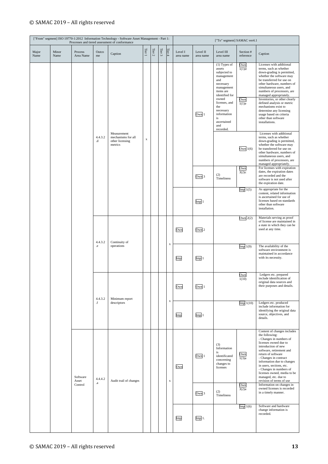| ["From" segment] ISO 19770-1:2012 Information Technology - Software Asset Management - Part 1:<br>Processes and tiered assessment of conformance |               |                              |                                             |                                                                 |                |          |            |             | ["To" segment] SAMAC ver4.1 |                       |                                                                                                                                                                                                                             |                              |                                                                                                                                                                                                                                                                                                                                                                                                                                                 |                                                                                                                 |
|--------------------------------------------------------------------------------------------------------------------------------------------------|---------------|------------------------------|---------------------------------------------|-----------------------------------------------------------------|----------------|----------|------------|-------------|-----------------------------|-----------------------|-----------------------------------------------------------------------------------------------------------------------------------------------------------------------------------------------------------------------------|------------------------------|-------------------------------------------------------------------------------------------------------------------------------------------------------------------------------------------------------------------------------------------------------------------------------------------------------------------------------------------------------------------------------------------------------------------------------------------------|-----------------------------------------------------------------------------------------------------------------|
| Major<br>Name                                                                                                                                    | Minor<br>Name | Process<br>Area Name         | Outco<br>me                                 | Caption                                                         | Tier 1         | Tier $2$ | Tier $3\,$ | Tier $4$    | Level I<br>area name        | Level II<br>area name | Level III<br>area name                                                                                                                                                                                                      | Section #<br>reference       | Caption                                                                                                                                                                                                                                                                                                                                                                                                                                         |                                                                                                                 |
|                                                                                                                                                  |               |                              |                                             |                                                                 |                |          |            |             |                             | Own 1                 | (1) Types of<br>assets<br>subjected to<br>management<br>and<br>necessary<br>management<br>items are<br>identified for<br>owned<br>licenses, and<br>the<br>necessary<br>information<br>is<br>ascertained<br>and<br>recorded. | Own<br>1(1)d<br>Own<br>1(1)e | Licenses with additional<br>terms, such as whether<br>down-grading is permitted,<br>whether the software may<br>be transferred for use on<br>other hardware, numbers of<br>simultaneous users, and<br>numbers of processors, are<br>managed appropriately.<br>Inventories, or other clearly<br>defined analysis or metric<br>mechanisms exist to<br>determine any licensing<br>usage based on criteria<br>other than software<br>installations. |                                                                                                                 |
|                                                                                                                                                  |               |                              | 4.4.3.2<br>.d                               | Measurement<br>mechanisms for all<br>other licensing<br>metrics | $\mathbf x$    |          |            |             |                             |                       |                                                                                                                                                                                                                             | Own $1(6)$                   | Licenses with additional<br>terms, such as whether<br>down-grading is permitted,<br>whether the software may<br>be transferred for use on<br>other hardware, numbers of<br>simultaneous users, and<br>numbers of processors, are<br>managed appropriately.                                                                                                                                                                                      |                                                                                                                 |
|                                                                                                                                                  |               |                              |                                             |                                                                 |                |          |            |             |                             | Own 3                 | (2)<br>Timeliness                                                                                                                                                                                                           | Own<br>3(2)c                 | For licenses with expiration<br>dates, the expiration dates<br>are recorded and the<br>software is not used after<br>the expiration date.                                                                                                                                                                                                                                                                                                       |                                                                                                                 |
|                                                                                                                                                  |               |                              |                                             |                                                                 |                |          |            |             |                             | Imp <sub>1</sub>      |                                                                                                                                                                                                                             | Imp1(5)                      | As appropriate for the<br>content, related information<br>is ascertained for use of<br>licenses based on standards<br>other than software<br>installation.                                                                                                                                                                                                                                                                                      |                                                                                                                 |
|                                                                                                                                                  |               | Software<br>Asset<br>Control | 4.4.3.2<br>$_{\rm .e}$<br>4.4.3.2<br>$.6\,$ |                                                                 | Continuity of  |          |            |             |                             | Own                   | Own 2                                                                                                                                                                                                                       |                              | Own $2(2)$                                                                                                                                                                                                                                                                                                                                                                                                                                      | Materials serving as proof<br>of license are maintained in<br>a state in which they can be<br>used at any time. |
|                                                                                                                                                  |               |                              |                                             |                                                                 | operations     |          |            |             | $\mathbf x$                 | Imp                   | Imp <sub>1</sub>                                                                                                                                                                                                            |                              | Imp1(9)                                                                                                                                                                                                                                                                                                                                                                                                                                         | The availability of the<br>software environment is<br>maintained in accordance<br>with its necessity.           |
|                                                                                                                                                  |               |                              |                                             |                                                                 | Minimum report |          |            |             |                             | Own                   | Own <sub>1</sub>                                                                                                                                                                                                            |                              | Own<br>$\frac{1(10)}{1(10)}$                                                                                                                                                                                                                                                                                                                                                                                                                    | Ledgers etc. prepared<br>include identification of<br>original data sources and<br>their purposes and details.  |
|                                                                                                                                                  |               |                              |                                             | descriptors                                                     |                |          |            | $\mathbf x$ | Imp                         | Imp <sub>1</sub>      |                                                                                                                                                                                                                             | Imp1(10)                     | Ledgers etc. produced<br>include information for<br>identifying the original data<br>source, objectives, and<br>details.                                                                                                                                                                                                                                                                                                                        |                                                                                                                 |
|                                                                                                                                                  |               |                              | 4.4.4.2                                     | Audit trail of changes                                          |                |          |            | $\mathbf x$ | Own                         | Own 1                 | (3)<br>Information<br>is<br>identificated<br>concerning<br>changes to<br>licenses                                                                                                                                           | Own<br>1(3)a                 | Content of changes includes<br>the following:<br>- Changes in numbers of<br>licenses owned due to<br>introduction of new<br>software, retirement and<br>return of software<br>- Changes in contract<br>information due to changes<br>in users, sections, etc.<br>- Changes in numbers of<br>licenses owned, media to be<br>managed, etc. due to<br>revision of terms of use                                                                     |                                                                                                                 |
|                                                                                                                                                  |               |                              | $\bf{.}a$                                   |                                                                 |                |          |            |             |                             | Own <sub>3</sub>      | (2)<br>Timeliness                                                                                                                                                                                                           | Own<br>3(2)a                 | Information on changes in<br>owned licenses is recorded<br>in a timely manner.                                                                                                                                                                                                                                                                                                                                                                  |                                                                                                                 |
|                                                                                                                                                  |               |                              |                                             |                                                                 |                |          |            |             | Imp                         | $Imp1$ .              |                                                                                                                                                                                                                             | Imp1(6)                      | Software and hardware<br>change information is<br>recorded.                                                                                                                                                                                                                                                                                                                                                                                     |                                                                                                                 |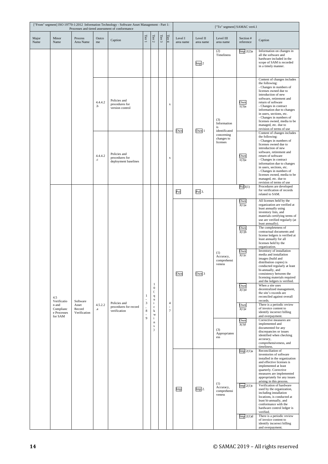|               | ["From" segment] ISO 19770-1:2012 Information Technology - Software Asset Management - Part 1:<br>Processes and tiered assessment of conformance |                                 |                        |                                                        |                                            |                                                                                             |        |                                    |                      |                       | ["To" segment] SAMAC ver4.1               |                           |                                                                                                                                                                                                                                                                                                                                                                             |
|---------------|--------------------------------------------------------------------------------------------------------------------------------------------------|---------------------------------|------------------------|--------------------------------------------------------|--------------------------------------------|---------------------------------------------------------------------------------------------|--------|------------------------------------|----------------------|-----------------------|-------------------------------------------|---------------------------|-----------------------------------------------------------------------------------------------------------------------------------------------------------------------------------------------------------------------------------------------------------------------------------------------------------------------------------------------------------------------------|
| Major<br>Name | Minor<br>Name                                                                                                                                    | Process<br>Area Name            | Outco<br>me            | Caption                                                | Tier 1                                     | Tier $2\,$                                                                                  | Tier 3 | Tier 4                             | Level I<br>area name | Level II<br>area name | Level III<br>area name                    | Section #<br>reference    | Caption                                                                                                                                                                                                                                                                                                                                                                     |
|               |                                                                                                                                                  |                                 |                        |                                                        |                                            |                                                                                             |        |                                    |                      | Imp <sub>2</sub>      | (2)<br>Timeliness                         | $Imp$ 2(2)a               | Information on changes in<br>all the software and<br>hardware included in the<br>scope of SAM is recorded<br>in a timely manner.                                                                                                                                                                                                                                            |
|               |                                                                                                                                                  |                                 | 4.4.4.2<br>.b          | Policies and<br>procedures for<br>version control      |                                            |                                                                                             |        | X                                  | Own                  | Own 1                 | (3)<br>Information<br>is<br>identificated | Own<br>$\overline{1(3)a}$ | Content of changes includes<br>the following:<br>- Changes in numbers of<br>licenses owned due to<br>introduction of new<br>software, retirement and<br>return of software<br>- Changes in contract<br>information due to changes<br>in users, sections, etc.<br>- Changes in numbers of<br>licenses owned, media to be<br>managed, etc. due to<br>revision of terms of use |
|               |                                                                                                                                                  |                                 | 4.4.4.2<br>$_{\rm .C}$ | Policies and<br>procedures for<br>deployment baselines |                                            |                                                                                             |        | $\mathbf x$                        |                      |                       | concerning<br>changes to<br>licenses      | $\frac{Own}{1(3)a}$       | Content of changes includes<br>the following:<br>- Changes in numbers of<br>licenses owned due to<br>introduction of new<br>software, retirement and<br>return of software<br>- Changes in contract<br>information due to changes<br>in users, sections, etc.<br>- Changes in numbers of<br>licenses owned, media to be<br>managed, etc. due to<br>revision of terms of use |
|               |                                                                                                                                                  |                                 |                        |                                                        |                                            |                                                                                             |        |                                    | Pol                  | Pol <sub>3</sub> .    |                                           | Pol3(1)                   | Procedures are developed<br>for verification of records<br>related to SAM.                                                                                                                                                                                                                                                                                                  |
|               |                                                                                                                                                  |                                 |                        |                                                        |                                            |                                                                                             |        |                                    |                      |                       |                                           | Own<br>3(1)a              | All licenses held by the<br>organization are verified at<br>least annually using<br>inventory lists, and<br>materials certifying terms of<br>use are verified regularly (at<br>least annually).                                                                                                                                                                             |
|               |                                                                                                                                                  |                                 |                        |                                                        |                                            |                                                                                             |        |                                    |                      |                       |                                           | Own<br>3(1)b              | The completeness of<br>contractual documents and<br>license ledgers is verified at<br>least annually for all<br>licenses held by the<br>organization.                                                                                                                                                                                                                       |
|               |                                                                                                                                                  |                                 |                        |                                                        |                                            |                                                                                             |        |                                    | Own                  | Own <sub>3</sub>      | (1)<br>Accuracy,<br>comprehensi<br>veness | Own<br>3(1)c              | Inventory of installation<br>media and installation<br>images (build and<br>distribution copies) is<br>conducted regularly at least<br>bi-annually, and<br>consistency between the<br>licensing materials required<br>and the ledgers is verified.                                                                                                                          |
|               | 4.5<br>Verificatio                                                                                                                               | Software                        |                        | Policies and                                           | $\mathbf{1}$<br>÷,<br>$\boldsymbol{\beta}$ | $\mathbf{1}$<br>$\boldsymbol{0}$<br>$\left($<br>$\mathbf{q}$<br>$\mathbf u$<br>$\mathbf{i}$ |        | $\overline{4}$                     |                      |                       |                                           | Own<br>3(1)d              | When a site uses<br>decentralized management,<br>the site's records are<br>reconciled against overall<br>records.                                                                                                                                                                                                                                                           |
|               | n and<br>Complianc<br>e Processes                                                                                                                | Asset<br>Record<br>Verification | 4.5.2.2<br>$\cdot^a$   | procedures for record<br>verification                  | 8<br>$\overline{a}$                        | $\mathbf c$<br>$\bf k$<br>$\mathbf{W}$                                                      |        | $\overline{\phantom{a}}$<br>$\tau$ |                      |                       |                                           | Own<br>3(1)e              | There is a periodic review<br>of invoice content to<br>identify incorrect billing<br>and overpayment.                                                                                                                                                                                                                                                                       |
|               |                                                                                                                                                  | for SAM                         |                        |                                                        | $\overline{9}$                             | $\mathbf{i}$<br>$\bf n$<br>$\mathbf S$<br>$\lambda$                                         |        |                                    |                      |                       | (3)<br>Appropriaten<br>ess                | Own<br>$\overline{3(3)}f$ | Corrective measures are<br>implemented and<br>documented for any<br>discrepancies or issues<br>identified when checking<br>accuracy,<br>comprehensiveness, and<br>timeliness.                                                                                                                                                                                               |
|               |                                                                                                                                                  |                                 |                        |                                                        |                                            |                                                                                             |        |                                    |                      |                       | (1)                                       | $Imp$ 2(1)a               | Reconciliation of<br>inventories of software<br>installed in the organization<br>and effective licenses is<br>implemented at least<br>quarterly. Corrective<br>measures are implemented<br>appropriately for any issues<br>arising in this process.                                                                                                                         |
|               |                                                                                                                                                  |                                 |                        |                                                        |                                            |                                                                                             |        |                                    | Imp                  | Imp2.                 | Accuracy,<br>comprehensi<br>veness        | $Imp$ 2(1)c               | Verification of hardware<br>used by the organization,<br>including installation<br>locations, is conducted at<br>least bi-annually, and<br>conformance with the<br>hardware control ledger is<br>verified.                                                                                                                                                                  |
|               |                                                                                                                                                  |                                 |                        |                                                        |                                            |                                                                                             |        |                                    |                      |                       |                                           | $Imp$ 2(1)d               | There is a periodic review<br>of invoice content to<br>identify incorrect billing<br>and overpayment.                                                                                                                                                                                                                                                                       |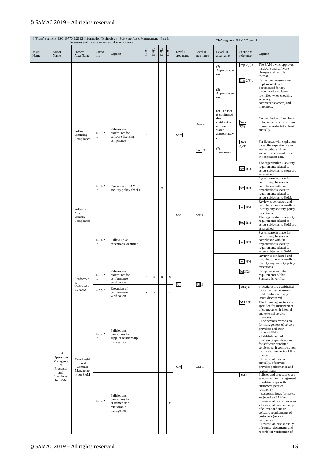| ["From" segment] ISO 19770-1:2012 Information Technology - Software Asset Management - Part 1:<br>Processes and tiered assessment of conformance |                                                  |                                                                   |                      |                                                                               |             |             |             |             |                      |                       | ["To" segment] SAMAC ver4.1                                                                 |                        |                                                                                                                                                                                                                                                                                                                                                                                                                                                                                          |
|--------------------------------------------------------------------------------------------------------------------------------------------------|--------------------------------------------------|-------------------------------------------------------------------|----------------------|-------------------------------------------------------------------------------|-------------|-------------|-------------|-------------|----------------------|-----------------------|---------------------------------------------------------------------------------------------|------------------------|------------------------------------------------------------------------------------------------------------------------------------------------------------------------------------------------------------------------------------------------------------------------------------------------------------------------------------------------------------------------------------------------------------------------------------------------------------------------------------------|
| Major<br>Name                                                                                                                                    | Minor<br>Name                                    | Process<br>Area Name                                              | Outco<br>me          | Caption                                                                       | Tier 1      | Tier $2\,$  | Tier 3      | Tier 4      | Level I<br>area name | Level II<br>area name | Level III<br>area name                                                                      | Section #<br>reference | Caption                                                                                                                                                                                                                                                                                                                                                                                                                                                                                  |
|                                                                                                                                                  |                                                  |                                                                   |                      |                                                                               |             |             |             |             |                      |                       | (3)<br>Appropriaten<br>ess                                                                  | $Imp$ 2(3)a            | The SAM owner approves<br>hardware and software<br>changes and records<br>thereof.                                                                                                                                                                                                                                                                                                                                                                                                       |
|                                                                                                                                                  |                                                  |                                                                   |                      |                                                                               |             |             |             |             |                      |                       | (3)<br>Appropriaten<br>ess                                                                  | $Imp$ 2(3)c            | Corrective measures are<br>implemented and<br>documented for any<br>discrepancies or issues<br>identified when checking<br>accuracy,<br>comprehensiveness, and<br>timeliness.                                                                                                                                                                                                                                                                                                            |
|                                                                                                                                                  |                                                  | Software<br>Licensing<br>Compliance                               | 4.5.3.2<br>$\cdot a$ | Policies and<br>procedures for<br>software licensing                          | $\mathbf X$ |             |             |             | Own                  | Own 2                 | (3) The fact<br>is confirmed<br>that<br>certificates<br>etc. are<br>stored<br>appropriately | Own<br>2(3)a           | Reconciliation of numbers<br>of licenses owned and terms<br>of use is conducted at least<br>annually.                                                                                                                                                                                                                                                                                                                                                                                    |
|                                                                                                                                                  |                                                  |                                                                   |                      | compliance                                                                    |             |             |             |             |                      | Own 3                 | (2)<br>Timeliness                                                                           | Own<br>3(2)c           | For licenses with expiration<br>dates, the expiration dates<br>are recorded and the<br>software is not used after<br>the expiration date.                                                                                                                                                                                                                                                                                                                                                |
|                                                                                                                                                  |                                                  |                                                                   |                      |                                                                               |             |             |             |             |                      |                       |                                                                                             | Sec $1(1)$             | The organization's security<br>requirements related to<br>assets subjected to SAM are<br>ascertained.                                                                                                                                                                                                                                                                                                                                                                                    |
|                                                                                                                                                  |                                                  |                                                                   | 4.5.4.2<br>$\cdot^a$ | Execution of SAM<br>security policy checks                                    |             |             | $\mathbf X$ |             |                      |                       |                                                                                             | Sec $1(2)$             | Systems are in place for<br>confirming the state of<br>compliance with the<br>organization's security<br>requirements related to<br>assets subjected to SAM.                                                                                                                                                                                                                                                                                                                             |
|                                                                                                                                                  |                                                  | Software<br>Asset                                                 |                      |                                                                               |             |             |             |             | Sec                  | Sec 1                 |                                                                                             | Sec $1(5)$             | Review is conducted and<br>recorded at least annually to<br>identify any security policy<br>exceptions.                                                                                                                                                                                                                                                                                                                                                                                  |
|                                                                                                                                                  |                                                  | Security<br>Compliance                                            |                      |                                                                               |             |             |             |             |                      |                       |                                                                                             | Sec $1(1)$             | The organization's security<br>requirements related to<br>assets subjected to SAM are<br>ascertained.                                                                                                                                                                                                                                                                                                                                                                                    |
|                                                                                                                                                  |                                                  |                                                                   | 4.5.4.2<br>.b        | Follow-up on<br>exceptions identified                                         |             |             | $\mathbf X$ |             |                      |                       |                                                                                             | Sec $1(2)$             | Systems are in place for<br>confirming the state of<br>compliance with the<br>organization's security<br>requirements related to<br>assets subjected to SAM.                                                                                                                                                                                                                                                                                                                             |
|                                                                                                                                                  |                                                  |                                                                   |                      |                                                                               |             |             |             |             |                      |                       |                                                                                             | Sec $1(5)$             | Review is conducted and<br>recorded at least annually to<br>identify any security policy<br>exceptions.                                                                                                                                                                                                                                                                                                                                                                                  |
|                                                                                                                                                  |                                                  | Conforman                                                         | 4.5.5.2<br>$\bf{a}$  | Policies and<br>procedures for<br>conformance<br>verification                 | $\mathbf x$ | $\mathbf x$ | $\mathbf x$ | $\mathbf x$ |                      |                       |                                                                                             | Pol3(2)                | Compliance with the<br>requirements of this<br>Standard is verified.                                                                                                                                                                                                                                                                                                                                                                                                                     |
|                                                                                                                                                  |                                                  | Verification<br>for SAM                                           | 4.5.5.2<br>.b        | Execution of<br>conformance<br>verification                                   | $\mathbf x$ | $\mathbf x$ | $\mathbf x$ | $\mathbf x$ | $_{\rm Pol}$         | Pol <sub>3</sub>      |                                                                                             | Pol3(3)                | Procedures are established<br>for corrective measures<br>until resolution of any<br>issues discovered.                                                                                                                                                                                                                                                                                                                                                                                   |
|                                                                                                                                                  | 4.6<br>Operations<br>Manageme<br>nt<br>Processes | Relationshi<br>p and<br>Contract<br>Manageme<br>and<br>nt for SAM | 4.6.2.2<br>$\cdot a$ | Policies and<br>procedures for<br>supplier relationship<br>management         |             |             | $\mathbf X$ |             | OM                   | OM <sub>1</sub>       |                                                                                             | OM 1(1)                | The following matters are<br>specified for management<br>of contracts with internal<br>and external service<br>providers:<br>- The persons responsible<br>for management of service<br>providers and their<br>responsibilities<br>- Establishment of<br>purchasing specifications<br>for software or related<br>services, with consideration<br>for the requirements of this<br>Standard<br>- Review, at least bi-<br>annually, of service<br>provider performance and<br>related issues |
|                                                                                                                                                  | Interfaces<br>for SAM                            |                                                                   | 4.6.2.2<br>.b        | Policies and<br>procedures for<br>customer-side<br>relationship<br>management |             |             |             | $\mathbf X$ |                      |                       |                                                                                             | OM 1(2)                | Policies and procedures are<br>established for management<br>of relationships with<br>customers (service<br>recipients).<br>- Responsibilities for assets<br>subjected to SAM and<br>provision of related services<br>- Review, at least annually,<br>of current and future<br>software requirements of<br>customers (service<br>recipients)<br>- Review, at least annually,<br>of results (documents and<br>records) of verification of                                                 |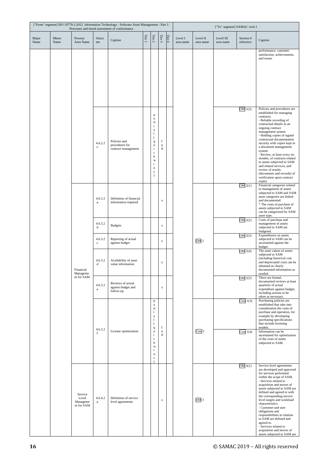|               |               |                                            |                        | ["From" segment] ISO 19770-1:2012 Information Technology - Software Asset Management - Part 1:<br>Processes and tiered assessment of conformance |        |                                                                                                                                                                                                      |                   |        |                      |                       | ["To" segment] SAMAC ver4.1 |                        |                                                                                                                                                                                                                                                                                                                                                                                                                                                                                                                            |
|---------------|---------------|--------------------------------------------|------------------------|--------------------------------------------------------------------------------------------------------------------------------------------------|--------|------------------------------------------------------------------------------------------------------------------------------------------------------------------------------------------------------|-------------------|--------|----------------------|-----------------------|-----------------------------|------------------------|----------------------------------------------------------------------------------------------------------------------------------------------------------------------------------------------------------------------------------------------------------------------------------------------------------------------------------------------------------------------------------------------------------------------------------------------------------------------------------------------------------------------------|
| Major<br>Name | Minor<br>Name | Process<br>Area Name                       | Outco<br>me            | Caption                                                                                                                                          | Tier 1 | Tier $2\,$                                                                                                                                                                                           | Tier $\sqrt{3}$   | Tier 4 | Level I<br>area name | Level II<br>area name | Level III<br>area name      | Section #<br>reference | Caption                                                                                                                                                                                                                                                                                                                                                                                                                                                                                                                    |
|               |               |                                            |                        |                                                                                                                                                  |        |                                                                                                                                                                                                      |                   |        |                      |                       |                             |                        | performance, customer<br>satisfaction, achievements,<br>and issues                                                                                                                                                                                                                                                                                                                                                                                                                                                         |
|               |               |                                            | 4.6.2.2<br>$_{\rm{c}}$ | Policies and<br>procedures for<br>contract management                                                                                            |        | p<br>a<br>rt<br>$\mathbf{i}$<br>$\rm{a}$<br>$\mathbf{I}$<br>$\overline{(}$<br>$\mathbf q$<br>u<br>$\mathbf{i}$<br>$\mathbf c$<br>k<br>W<br>$\mathbf{i}$<br>$\mathbf n$<br>${\bf S}$<br>$\mathcal{E}$ | f<br>u<br>II      |        |                      |                       |                             | OM1(3)                 | Policies and procedures are<br>established for managing<br>contracts.<br>- Reliable recording of<br>contractual details in an<br>ongoing contract<br>management system<br>- Holding copies of signed<br>contractual documentation<br>security with copies kept in<br>a document management<br>system<br>- Review, at least every six<br>months, of contracts related<br>to assets subjected to SAM<br>and related services, and<br>review of results<br>(documents and records) of<br>verification upon contract<br>expiry |
|               |               |                                            | 4.6.3.2<br>.a          | Definition of financial<br>information required                                                                                                  |        |                                                                                                                                                                                                      | X                 |        |                      |                       |                             | $OM$ 2(1)              | Financial categories related<br>to management of assets<br>subjected to SAM and SAM<br>asset categories are linked<br>and documented.<br>* The costs of purchase of<br>assets subjected to SAM<br>can be categorized by SAM<br>asset type.                                                                                                                                                                                                                                                                                 |
|               |               |                                            | 4.6.3.2<br>.b          | <b>Budgets</b>                                                                                                                                   |        |                                                                                                                                                                                                      | $\mathbf x$       |        |                      |                       |                             | $OM$ 2(2)              | Costs of purchase and<br>management of assets<br>subjected to SAM are<br>budgeted.                                                                                                                                                                                                                                                                                                                                                                                                                                         |
|               |               |                                            | 4.6.3.2<br>$_{\rm{c}}$ | Reporting of actual<br>against budget                                                                                                            |        |                                                                                                                                                                                                      | $\mathbf x$       |        |                      | OM <sub>2</sub>       |                             | $OM$ 2(3)              | Expenditures on assets<br>subjected to SAM can be<br>ascertained against the<br>budget.                                                                                                                                                                                                                                                                                                                                                                                                                                    |
|               |               | Financial<br>Manageme                      | 4.6.3.2<br>b.          | Availability of asset<br>value information                                                                                                       |        |                                                                                                                                                                                                      | $\mathbf x$       |        |                      |                       |                             | OM2(4)                 | The asset values of assets<br>subjected to SAM<br>(including historical cost<br>and depreciated cost) can be<br>obtained as clearly<br>documented information as<br>needed.                                                                                                                                                                                                                                                                                                                                                |
|               |               | nt for SAM                                 | 4.6.3.2<br>$\cdot$ e   | Reviews of actual<br>against budget and<br>follow-up                                                                                             |        |                                                                                                                                                                                                      | $\mathbf X$       |        |                      |                       |                             | $OM$ 2(5)              | There are formal,<br>documented reviews at least<br>quarterly of actual<br>expenditure against budget,<br>including actions to be<br>taken as necessary.                                                                                                                                                                                                                                                                                                                                                                   |
|               |               |                                            | 4.6.3.2                |                                                                                                                                                  |        | $\, {\bf p}$<br>$\rm{a}$<br>$^{\rm rt}$<br>$\mathbf{i}$<br>$\rm{a}$<br>$\mathbf{1}$<br>$\overline{(}$<br>$\mathbf{q}$                                                                                | $\mathbf f$       |        |                      |                       |                             | Cost $1(3)$            | Purchasing policies are<br>established that take into<br>consideration the costs of<br>purchase and operation, for<br>example by developing<br>purchasing specifications<br>that include licensing<br>models.                                                                                                                                                                                                                                                                                                              |
|               |               |                                            | $.1\text{ }$           | License optimization                                                                                                                             |        | u<br>$\mathbf{i}$<br>$\mathbf c$<br>k<br>W<br>$\mathbf{i}$<br>$\mathbf n$<br>$\bf S$                                                                                                                 | u<br>$\mathbf{u}$ |        |                      | Cost <sub>1</sub>     |                             | Cost $1(4)$            | Information can be<br>ascertained for optimization<br>of the costs of assets<br>subjected to SAM.                                                                                                                                                                                                                                                                                                                                                                                                                          |
|               |               | Service<br>Level<br>Manageme<br>nt for SAM | 4.6.4.2<br>.a          | Definition of service<br>level agreements                                                                                                        |        |                                                                                                                                                                                                      | $\mathbf x$       |        |                      | OM <sub>3</sub>       |                             | OM 3(1)                | Service level agreements<br>are developed and approved<br>for services performed<br>within the scope of SAM.<br>- Services related to<br>acquisition and moves of<br>assets subjected to SAM are<br>defined and agreed to with<br>the corresponding service<br>level targets and workload<br>characteristics.<br>- Customer and user<br>obligations and<br>responsibilities in relation<br>to SAM are defined and<br>agreed to.<br>- Services related to<br>acquisition and moves of<br>assets subjected to SAM are        |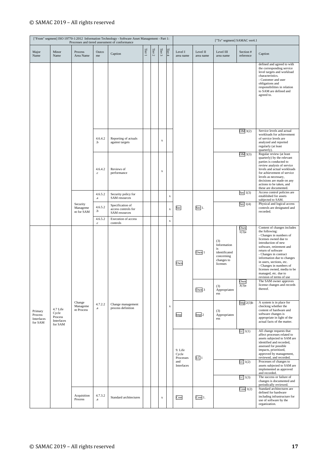|                                             |                                                       |                                    |                        | ["From" segment] ISO 19770-1:2012 Information Technology - Software Asset Management - Part 1:<br>Processes and tiered assessment of conformance |             |            |             |             |                               |                       | ["To" segment] SAMAC ver4.1                                                       |                        |                                                                                                                                                                                                                                                                                                                                                                             |
|---------------------------------------------|-------------------------------------------------------|------------------------------------|------------------------|--------------------------------------------------------------------------------------------------------------------------------------------------|-------------|------------|-------------|-------------|-------------------------------|-----------------------|-----------------------------------------------------------------------------------|------------------------|-----------------------------------------------------------------------------------------------------------------------------------------------------------------------------------------------------------------------------------------------------------------------------------------------------------------------------------------------------------------------------|
| Major<br>Name                               | Minor<br>Name                                         | Process<br>Area Name               | Outco<br>me            | Caption                                                                                                                                          | Tier $\,$ I | Tier $2\,$ | Tier $3\,$  | Tier 4      | Level I<br>area name          | Level II<br>area name | Level III<br>area name                                                            | Section #<br>reference | Caption                                                                                                                                                                                                                                                                                                                                                                     |
|                                             |                                                       |                                    |                        |                                                                                                                                                  |             |            |             |             |                               |                       |                                                                                   |                        | defined and agreed to with<br>the corresponding service<br>level targets and workload<br>characteristics.<br>- Customer and user<br>obligations and<br>responsibilities in relation<br>to SAM are defined and<br>agreed to.                                                                                                                                                 |
|                                             |                                                       |                                    | 4.6.4.2<br>.b          | Reporting of actuals<br>against targets                                                                                                          |             |            | $\mathbf x$ |             |                               |                       |                                                                                   | OM 3(2)                | Service levels and actual<br>workloads for achievement<br>of service levels are<br>analyzed and reported<br>regularly (at least<br>quarterly).                                                                                                                                                                                                                              |
|                                             |                                                       |                                    | 4.6.4.2<br>$_{\rm .c}$ | Reviews of<br>performance                                                                                                                        |             |            | $\mathbf x$ |             |                               |                       |                                                                                   | OM3(3)                 | Regular review (at least<br>quarterly) by the relevant<br>parties is conducted to<br>review analysis of service<br>levels and actual workloads<br>for achievement of service<br>levels as necessary,<br>decisions are made on any<br>actions to be taken, and<br>these are documented.                                                                                      |
|                                             |                                                       |                                    | 4.6.5.2<br>$\bf{a}$    | Security policy for<br>SAM resources                                                                                                             |             |            |             | $\mathbf x$ |                               |                       |                                                                                   | Sec $1(3)$             | Access control policies are<br>established for assets<br>subjected to SAM.                                                                                                                                                                                                                                                                                                  |
|                                             |                                                       | Security<br>Manageme<br>nt for SAM | 4.6.5.2<br>.b          | Specification of<br>access controls for<br>SAM resources                                                                                         |             |            |             | $\mathbf x$ | Sec                           | Sec 1.                |                                                                                   | Sec $1(4)$             | Physical and logical access<br>controls are designated and<br>recorded.                                                                                                                                                                                                                                                                                                     |
|                                             |                                                       |                                    | 4.6.5.2<br>$_{\rm{c}}$ | Execution of access<br>controls                                                                                                                  |             |            |             | $\mathbf x$ |                               |                       |                                                                                   |                        |                                                                                                                                                                                                                                                                                                                                                                             |
|                                             |                                                       |                                    |                        |                                                                                                                                                  |             |            |             |             | Own                           | Own 1                 | (3)<br>Information<br>is<br>identificated<br>concerning<br>changes to<br>licenses | Own<br>1(3)a           | Content of changes includes<br>the following:<br>- Changes in numbers of<br>licenses owned due to<br>introduction of new<br>software, retirement and<br>return of software<br>- Changes in contract<br>information due to changes<br>in users, sections, etc.<br>- Changes in numbers of<br>licenses owned, media to be<br>managed, etc. due to<br>revision of terms of use |
|                                             |                                                       |                                    |                        |                                                                                                                                                  |             |            |             |             |                               | Own 3                 | (3)<br>Appropriaten<br>ess                                                        | Own<br>3(3)a           | The SAM owner approves<br>license changes and records<br>thereof.                                                                                                                                                                                                                                                                                                           |
| Primary<br>Process<br>Interfaces<br>for SAM | 4.7 Life<br>Cycle<br>Process<br>Interfaces<br>for SAM | Change<br>Manageme<br>nt Process   | 4.7.2.2<br>$\bf{a}$    | Change management<br>process definition                                                                                                          |             |            |             | $\mathbf x$ | Imp                           | Imp <sub>2</sub>      | (3)<br>Appropriaten<br>ess                                                        | $Imp$ 2(3) $b$         | A system is in place for<br>checking whether the<br>content of hardware and<br>software changes is<br>appropriate in light of the<br>actual facts of the matter.                                                                                                                                                                                                            |
|                                             |                                                       |                                    |                        |                                                                                                                                                  |             |            |             |             | 9. Life<br>Cycle<br>Processes | LC <sub>1</sub>       |                                                                                   | LC1(1)                 | All change requests that<br>affect processes related to<br>assets subjected to SAM are<br>identified and recorded,<br>assessed for possible<br>impacts, prioritized,<br>approved by management,<br>reviewed, and recorded.                                                                                                                                                  |
|                                             |                                                       |                                    |                        |                                                                                                                                                  |             |            |             |             | and<br>Interfaces             |                       |                                                                                   | LC1(2)                 | Processes of changes to<br>assets subjected to SAM are<br>implemented as approved<br>and recorded.                                                                                                                                                                                                                                                                          |
|                                             |                                                       |                                    |                        |                                                                                                                                                  |             |            |             |             |                               |                       |                                                                                   | LC1(3)                 | The success or failure of<br>changes is documented and<br>periodically reviewed.                                                                                                                                                                                                                                                                                            |
|                                             |                                                       | Acquisition<br>Process             | 4.7.3.2<br>$\bf{a}$    | Standard architectures                                                                                                                           |             |            | $\mathbf x$ |             | Cost                          | Cost 1.               |                                                                                   | Cost $1(2)$            | Standard architectures are<br>defined for hardware<br>including infrastructure for<br>use of software by the<br>organization.                                                                                                                                                                                                                                               |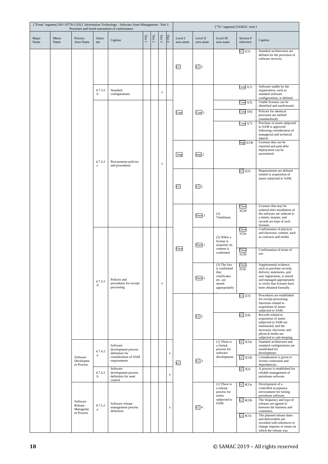|               |               |                                               |                        | ["From" segment] ISO 19770-1:2012 Information Technology - Software Asset Management - Part 1:<br>Processes and tiered assessment of conformance |        |            |                 |             |                      |                       | ["To" segment] SAMAC ver4.1                          |                                      |                                                                                                                                           |
|---------------|---------------|-----------------------------------------------|------------------------|--------------------------------------------------------------------------------------------------------------------------------------------------|--------|------------|-----------------|-------------|----------------------|-----------------------|------------------------------------------------------|--------------------------------------|-------------------------------------------------------------------------------------------------------------------------------------------|
| Major<br>Name | Minor<br>Name | Process<br>Area Name                          | Outco<br>me            | Caption                                                                                                                                          | Tier 1 | Tier $2\,$ | Tier $\sqrt{3}$ | Tier $4$    | Level I<br>area name | Level II<br>area name | Level III<br>area name                               | Section #<br>reference               | Caption                                                                                                                                   |
|               |               |                                               |                        |                                                                                                                                                  |        |            |                 |             |                      |                       |                                                      | LC2(1)                               | Standard architectures are<br>defined for the provision of<br>software services.                                                          |
|               |               |                                               |                        |                                                                                                                                                  |        |            |                 |             | LC                   | LC <sub>2</sub>       |                                                      |                                      |                                                                                                                                           |
|               |               |                                               |                        |                                                                                                                                                  |        |            |                 |             |                      |                       |                                                      |                                      |                                                                                                                                           |
|               |               |                                               | 4.7.3.2<br>.b          | Standard<br>configurations                                                                                                                       |        |            | $\mathbf x$     |             |                      |                       |                                                      | Cost $1(1)$                          | Software usable by the<br>organization, such as<br>standard software                                                                      |
|               |               |                                               |                        |                                                                                                                                                  |        |            |                 |             |                      |                       |                                                      | Cost $1(5)$                          | configurations, is defined.<br>Usable licenses can be<br>identified and used/reused.                                                      |
|               |               |                                               |                        |                                                                                                                                                  |        |            |                 |             | Cost                 | Cost <sub>1</sub>     |                                                      | Cost $1(6)$                          | Policies for identical<br>processes are unified<br>(standardized).                                                                        |
|               |               |                                               |                        |                                                                                                                                                  |        |            |                 |             |                      |                       |                                                      | Cost $1(7)$                          | Purchase of assets subjected<br>to SAM is approved<br>following consideration of<br>managerial and technical                              |
|               |               |                                               |                        |                                                                                                                                                  |        |            |                 |             |                      |                       |                                                      | $Imp$ 2(1) $b$                       | aspects<br>Licenses that can be<br>reported and paid after                                                                                |
|               |               |                                               | 4.7.3.2<br>$_{\rm{c}}$ | Procurement policies<br>and procedures                                                                                                           |        |            | X               |             | Imp                  | Imp <sub>2</sub>      |                                                      |                                      | deployment can be<br>ascertained.                                                                                                         |
|               |               |                                               |                        |                                                                                                                                                  |        |            |                 |             |                      |                       |                                                      | LC2(2)                               | Requirements are defined<br>related to acquisition of<br>assets subjected to SAM.                                                         |
|               |               |                                               |                        |                                                                                                                                                  |        |            |                 |             | LC                   | LC <sub>2</sub>       |                                                      |                                      |                                                                                                                                           |
|               |               |                                               |                        |                                                                                                                                                  |        |            |                 |             |                      |                       |                                                      |                                      |                                                                                                                                           |
|               |               |                                               |                        |                                                                                                                                                  |        |            |                 |             |                      |                       |                                                      | $rac{\text{Own}}{3(2) \text{d}}$     | Licenses that may be<br>ordered after installation of                                                                                     |
|               |               |                                               |                        |                                                                                                                                                  |        |            |                 |             |                      | Own <sub>3</sub>      | (2)<br>Timeliness                                    |                                      | the software are ordered in<br>a timely manner, and<br>records are kept of such                                                           |
|               |               |                                               |                        |                                                                                                                                                  |        |            |                 |             |                      |                       |                                                      | $\frac{\text{Own}}{\text{1}(2)}$     | licenses.<br>Confirmation of physical<br>and electronic content, such                                                                     |
|               |               |                                               |                        |                                                                                                                                                  |        |            |                 |             |                      | Own 1                 | $(2)$ When a<br>license is<br>acquired, its          |                                      | as contracts and media                                                                                                                    |
|               |               |                                               |                        |                                                                                                                                                  |        |            |                 |             | Own                  |                       | content is<br>confirmed                              | Own<br>$\overline{1(2)}\overline{b}$ | Confirmation of terms of<br>use                                                                                                           |
|               |               |                                               |                        |                                                                                                                                                  |        |            |                 |             |                      |                       | $(3)$ The fact<br>is confirmed                       | Own<br>2(3)c                         | Supplemental evidence,<br>such as purchase records,                                                                                       |
|               |               |                                               | 4.7.3.2                | Policies and                                                                                                                                     |        |            |                 |             |                      | Own 2                 | that<br>certificates<br>etc. are                     |                                      | delivery statements, and<br>user registration, is stored<br>and managed appropriately                                                     |
|               |               |                                               | .d                     | procedures for receipt<br>processing                                                                                                             |        |            | X               |             |                      |                       | stored<br>appropriately                              |                                      | to verify that licenses have<br>been obtained formally.                                                                                   |
|               |               |                                               |                        |                                                                                                                                                  |        |            |                 |             |                      |                       |                                                      | LC2(3)                               | Procedures are established<br>for receipt-processing<br>functions related to                                                              |
|               |               |                                               |                        |                                                                                                                                                  |        |            |                 |             |                      | LC <sub>2</sub>       |                                                      | LC2(4)                               | acquisition of assets<br>subjected to SAM.<br>Records related to                                                                          |
|               |               |                                               |                        |                                                                                                                                                  |        |            |                 |             |                      |                       |                                                      |                                      | acquisition of assets<br>subjected to SAM are<br>maintained, and the                                                                      |
|               |               |                                               |                        |                                                                                                                                                  |        |            |                 |             |                      |                       |                                                      |                                      | necessary electronic and<br>physical media are<br>subjected to safe-keeping.                                                              |
|               |               |                                               | 4.7.4.2                | Software<br>development process                                                                                                                  |        |            |                 |             |                      |                       | $(1)$ There is<br>a formal<br>process for            | $LC$ 3(1)a                           | Standard architecture and<br>standard configurations are<br>established for                                                               |
|               |               | Software<br>Developme                         | $_{\rm a}$             | definition for<br>consideration of SAM<br>requirements                                                                                           |        |            |                 | $\mathbf x$ | LC                   | LC <sub>3</sub>       | software<br>development                              | $LC$ 3(1) $b$                        | development.<br>Consideration is given to<br>license constraints and                                                                      |
|               |               | nt Process                                    | 4.7.4.2<br>.b          | Software<br>development process<br>definition for asset<br>control                                                                               |        |            |                 | $\mathbf x$ |                      |                       |                                                      | $LC$ 3(2)                            | dependencies.<br>A process is established for<br>reliable management of<br>prerelease software.                                           |
|               |               |                                               |                        |                                                                                                                                                  |        |            |                 |             |                      |                       | $(1)$ There is<br>a release<br>process for<br>assets | $LC$ 4(1)a                           | Development of a<br>controlled acceptance<br>environment for testing<br>prerelease software.                                              |
|               |               | Software<br>Release<br>Manageme<br>nt Process | 4.7.5.2<br>$\cdot a$   | Software release<br>management process<br>definition                                                                                             |        |            |                 | $\mathbf x$ |                      | $LC4$ .               | subjected to<br>SAM.                                 | $LC$ 4(1) $b$                        | The frequency and type of<br>releases are agreed to<br>between the business and<br>customers.                                             |
|               |               |                                               |                        |                                                                                                                                                  |        |            |                 |             |                      |                       |                                                      | $LC$ 4(1) $c$                        | The planned release dates<br>and deliverables are<br>recorded with references to<br>change requests or issues on<br>which the release was |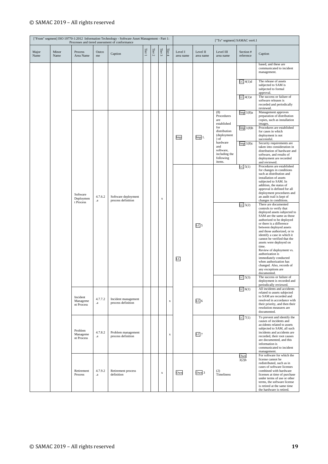|               |               |                                    |                     | ["From" segment] ISO 19770-1:2012 Information Technology - Software Asset Management - Part 1:<br>Processes and tiered assessment of conformance |        |            |             |             |                      |                       | ["To" segment] SAMAC ver4.1                                          |                        |                                                                                                                                                                                                                                                                                                                                                                                                                                                                                                        |
|---------------|---------------|------------------------------------|---------------------|--------------------------------------------------------------------------------------------------------------------------------------------------|--------|------------|-------------|-------------|----------------------|-----------------------|----------------------------------------------------------------------|------------------------|--------------------------------------------------------------------------------------------------------------------------------------------------------------------------------------------------------------------------------------------------------------------------------------------------------------------------------------------------------------------------------------------------------------------------------------------------------------------------------------------------------|
| Major<br>Name | Minor<br>Name | Process<br>Area Name               | Outco<br>me         | Caption                                                                                                                                          | Tier 1 | Tier $2\,$ | Tier 3      | Tier 4      | Level I<br>area name | Level II<br>area name | Level III<br>area name                                               | Section #<br>reference | Caption                                                                                                                                                                                                                                                                                                                                                                                                                                                                                                |
|               |               |                                    |                     |                                                                                                                                                  |        |            |             |             |                      |                       |                                                                      |                        | based, and these are<br>communicated to incident<br>management.                                                                                                                                                                                                                                                                                                                                                                                                                                        |
|               |               |                                    |                     |                                                                                                                                                  |        |            |             |             |                      |                       |                                                                      | $LC$ 4(1)d             | The release of assets<br>subjected to SAM is<br>subjected to formal<br>approval.                                                                                                                                                                                                                                                                                                                                                                                                                       |
|               |               |                                    |                     |                                                                                                                                                  |        |            |             |             |                      |                       |                                                                      | $LC$ 4(1)e             | The success or failure of<br>software releases is<br>recorded and periodically<br>reviewed.                                                                                                                                                                                                                                                                                                                                                                                                            |
|               |               |                                    |                     |                                                                                                                                                  |        |            |             |             |                      |                       | (8)<br>Procedures<br>are<br>established                              | Imp 1(8)a              | Management approves<br>preparation of distribution<br>copies, such as installation<br>images.                                                                                                                                                                                                                                                                                                                                                                                                          |
|               |               |                                    |                     |                                                                                                                                                  |        |            |             |             | Imp                  | $Imp1$ .              | for<br>distribution<br>(deployment<br>$\sigma$ ) of                  | Imp1(8)b               | Procedures are established<br>for cases in which<br>deployment is not<br>successful.                                                                                                                                                                                                                                                                                                                                                                                                                   |
|               |               |                                    |                     |                                                                                                                                                  |        |            |             |             |                      |                       | hardware<br>and<br>software,<br>including the<br>following<br>items. | Imp <sub>1</sub> (8)c  | Security requirements are<br>taken into consideration in<br>distribution of hardware and<br>software, and results of<br>deployment are recorded<br>and reviewed.                                                                                                                                                                                                                                                                                                                                       |
|               |               | Software<br>Deploymen<br>t Process | 4.7.6.2<br>$\bf{a}$ | Software deployment<br>process definition                                                                                                        |        |            | $\mathbf x$ |             |                      |                       |                                                                      | LC5(1)                 | Procedures are established<br>for changes in conditions<br>such as distribution and<br>installation of assets<br>subjected to SAM. In<br>addition, the status of<br>approval is defined for all<br>deployment procedures and<br>an audit trail is kept of<br>changes in conditions.                                                                                                                                                                                                                    |
|               |               |                                    |                     |                                                                                                                                                  |        |            |             |             | LC                   | LC <sub>5</sub>       |                                                                      | $LC$ 5(2)              | There are documented<br>controls to verify that<br>deployed assets subjected to<br>SAM are the same as those<br>authorized to be deployed<br>or there is a difference<br>between deployed assets<br>and those authorized, or to<br>identify a case in which it<br>cannot be verified that the<br>assets were deployed on<br>time.<br>Review of deployment vs.<br>authorization is<br>immediately conducted<br>when authorization has<br>changed. Also, records of<br>any exceptions are<br>documented. |
|               |               |                                    |                     |                                                                                                                                                  |        |            |             |             |                      |                       |                                                                      | LC 5(3)                | The success or failure of<br>deployment is recorded and<br>periodically reviewed.                                                                                                                                                                                                                                                                                                                                                                                                                      |
|               |               | Incident<br>Manageme<br>nt Process | 4.7.7.2<br>$\bf{a}$ | Incident management<br>process definition                                                                                                        |        |            |             | $\mathbf X$ |                      | LC <sub>6</sub>       |                                                                      | LC 6(1)                | All incidents and accidents<br>related to assets subjected<br>to SAM are recorded and<br>resolved in accordance with<br>their priority, and then their<br>resolution measures are<br>documented.                                                                                                                                                                                                                                                                                                       |
|               |               | Problem<br>Manageme<br>nt Process  | 4.7.8.2<br>$\bf{a}$ | Problem management<br>process definition                                                                                                         |        |            |             | $\mathbf X$ |                      | $LC$ 7                |                                                                      | LC7(1)                 | To prevent and identify the<br>causes of incidents and<br>accidents related to assets<br>subjected to SAM, all such<br>incidents and accidents are<br>recorded, their root causes<br>are documented, and this<br>information is<br>communicated to incident<br>management.                                                                                                                                                                                                                             |
|               |               | Retirement<br>Process              | 4.7.9.2<br>$\bf{a}$ | Retirement process<br>definition                                                                                                                 |        |            | $\mathbf x$ |             | Own                  | Own 3                 | (2)<br>Timeliness                                                    | Own<br>3(2)b           | For software for which the<br>license cannot be<br>redistributed, such as in<br>cases of software licenses<br>combined with hardware<br>licenses at time of purchase<br>under terms of use or other<br>terms, the software license<br>is retired at the same time<br>the hardware is retired.                                                                                                                                                                                                          |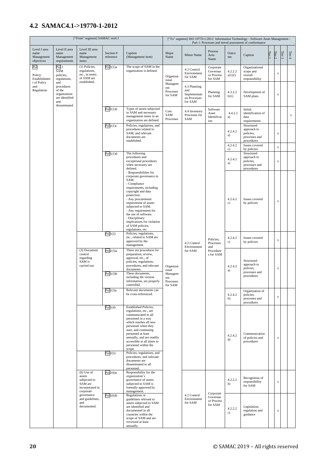### <span id="page-21-0"></span>**4.2 SAMAC4.1->19770-1-2012**

|                                                  |                                                                                      | ["From" segment] SAMAC ver4.1                                                     |                        |                                                                                                                                                                                                                                                                                                                                                        |                                                   |                                                                |                                                |                   | ["To" segment] ISO 19770-1:2012 Information Technology - Software Asset Management -<br>Part 1: Processes and tiered assessment of conformance |        |             |            |             |
|--------------------------------------------------|--------------------------------------------------------------------------------------|-----------------------------------------------------------------------------------|------------------------|--------------------------------------------------------------------------------------------------------------------------------------------------------------------------------------------------------------------------------------------------------------------------------------------------------------------------------------------------------|---------------------------------------------------|----------------------------------------------------------------|------------------------------------------------|-------------------|------------------------------------------------------------------------------------------------------------------------------------------------|--------|-------------|------------|-------------|
| Level I area<br>name<br>Management<br>objectives | Level II area<br>name<br>Management<br>requirements                                  | Level III area<br>name<br>Management<br>items                                     | Section #<br>reference | Caption<br>(Management item)                                                                                                                                                                                                                                                                                                                           | Major<br>Name                                     | Minor Name                                                     | Process<br>Area<br>Name                        | Outco<br>me       | Caption                                                                                                                                        | Tier I | Tier $2$    | Tier $3\,$ | Tier $4$    |
| Pol<br>Policy:<br>Establishmen                   | Pol 1<br>SAM<br>policies,<br>regulations,                                            | (1) Policies,<br>regulations,<br>etc., in terms<br>of SAM are                     | Pol1(1)a               | The scope of SAM in the<br>organization is defined.                                                                                                                                                                                                                                                                                                    | Organizat<br>ional                                | 4.2 Control<br>Environment<br>for SAM                          | Corporate<br>Governan<br>ce Process<br>for SAM | 4.2.2.2<br>a)1)2) | Organizational<br>scope and<br>overall<br>responsibility                                                                                       |        | $\mathbf x$ |            |             |
| t of Policy<br>and<br>Regulation                 | and<br>procedures<br>of the<br>organization<br>are identified<br>and<br>disseminated | established.                                                                      |                        |                                                                                                                                                                                                                                                                                                                                                        | Managem<br>ent<br>Processes<br>for SAM            | 4.3 Planning<br>and<br>Implementati<br>on Processes<br>for SAM | Planning<br>for SAM                            | 4.3.2.2<br>b)1)   | Development of<br>SAM plans                                                                                                                    |        | X           |            |             |
|                                                  |                                                                                      |                                                                                   | Pol1(1)b               | Types of assets subjected<br>to SAM and necessary<br>management items in an<br>organization are defined.                                                                                                                                                                                                                                               | Core<br>SAM<br>Processes                          | 4.4 Inventory<br>Processes for<br>SAM                          | Software<br>Asset<br>Identificat<br>ion        | 4.4.2.2<br>a)     | Initial<br>identification of<br>data<br>requirements                                                                                           |        |             |            | $\mathbf x$ |
|                                                  |                                                                                      |                                                                                   | Pol1(1)c               | Policies, regulations, and<br>procedures related to<br>SAM, and relevant<br>documents are<br>established.                                                                                                                                                                                                                                              |                                                   |                                                                |                                                | 4.2.4.2<br>a)     | Structured<br>approach to<br>policies,<br>processes and<br>procedures                                                                          |        | $\mathbf x$ |            |             |
|                                                  |                                                                                      |                                                                                   |                        |                                                                                                                                                                                                                                                                                                                                                        |                                                   |                                                                |                                                | 4.2.4.2<br>c)     | Issues covered<br>by policies                                                                                                                  |        | $\mathbf x$ |            |             |
|                                                  |                                                                                      |                                                                                   | Pol1(1)d               | The following<br>procedures and<br>exceptional procedures<br>when necessary are<br>defined.                                                                                                                                                                                                                                                            |                                                   |                                                                |                                                | 4.2.4.2<br>a)     | Structured<br>approach to<br>policies,<br>processes and<br>procedures                                                                          |        | x           |            |             |
|                                                  |                                                                                      |                                                                                   |                        | - Responsibilities for<br>corporate governance in<br>SAM.<br>- Compliance<br>requirements, including<br>copyright and data<br>protection.<br>- Any procurement<br>requirement of assets<br>subjected to SAM.<br>- Any requirement for<br>the use of software.<br>- Disciplinary<br>implications for violation<br>of SAM policies,<br>regulations, etc. |                                                   |                                                                |                                                | 4.2.4.2<br>c)     | Issues covered<br>by policies                                                                                                                  |        | $\mathbf x$ |            |             |
|                                                  |                                                                                      |                                                                                   | Pol1(2)                | Policies, regulations,<br>etc., related to SAM are<br>approved by the<br>management.                                                                                                                                                                                                                                                                   |                                                   | 4.2 Control<br>Environment                                     | Policies,<br>Processes<br>and                  | 4.2.4.2<br>c)     | Issues covered<br>by policies                                                                                                                  |        | $\mathbf x$ |            |             |
|                                                  |                                                                                      | (3) Document<br>control<br>regarding<br>SAM is<br>carried out.                    | Pol1(3)a<br>Pol1(3)b   | There are procedures for<br>preparation, review,<br>approval, etc., of<br>policies, regulations,<br>procedures, and relevant<br>documents.<br>These documents,<br>including the version<br>information, are properly                                                                                                                                   | Organizat<br>ional<br>Managem<br>ent<br>Processes | for SAM                                                        | Procedure<br>s for SAM                         | 4.2.4.2<br>a)     | Structured<br>approach to<br>policies,<br>processes and<br>procedures                                                                          |        | x           |            |             |
|                                                  |                                                                                      |                                                                                   | Pol1(3)c               | controlled.<br>Relevant documents can<br>be cross-referenced.                                                                                                                                                                                                                                                                                          | for SAM                                           |                                                                |                                                | 4.2.4.2<br>b)     | Organization of<br>policies,<br>processes and<br>procedures                                                                                    |        | $\mathbf x$ |            |             |
|                                                  |                                                                                      |                                                                                   | Pol1(4)<br>Pol1(5)     | <b>Established Policies.</b><br>regulations, etc., are<br>communicated to all<br>personnel in a way<br>which reaches all new<br>personnel when they<br>start, and continuing<br>personnel at least<br>annually, and are readily<br>accessible at all times to<br>personnel within the<br>scope.<br>Policies, regulations, and                          |                                                   |                                                                |                                                | 4.2.4.2<br>d)     | Communication<br>of policies and<br>procedures                                                                                                 |        | $\mathbf x$ |            |             |
|                                                  |                                                                                      |                                                                                   |                        | procedures, and relevant<br>documents are<br>disseminated to all<br>personnel.                                                                                                                                                                                                                                                                         |                                                   |                                                                |                                                |                   |                                                                                                                                                |        |             |            |             |
|                                                  |                                                                                      | $(6)$ Use of<br>assets<br>subjected to<br>SAM are<br>incorporated in<br>corporate | Pol1(6)a               | Responsibility for the<br>organization's<br>governance of assets<br>subjected to SAM is<br>formally approved by<br>management.                                                                                                                                                                                                                         |                                                   |                                                                | Corporate                                      | 4.2.2.2<br>b)     | Recognition of<br>responsibility<br>for SAM                                                                                                    |        | x           |            |             |
|                                                  |                                                                                      | governance<br>and guidelines,<br>and<br>documented.                               | Pol1(6)b               | Regulations or<br>guidelines relevant to<br>assets subjected to SAM<br>are identified and<br>documented in all<br>countries within the<br>scope of SAM and are<br>reviewed at least<br>annually.                                                                                                                                                       |                                                   | 4.2 Control<br>Environment<br>for SAM                          | Governan<br>ce Process<br>for SAM              | 4.2.2.2<br>c)     | Legislation,<br>regulation and<br>guidance                                                                                                     |        | $\mathbf x$ |            |             |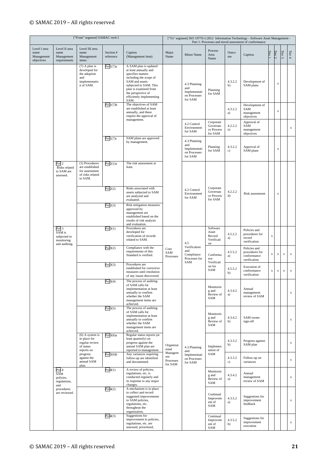|                                                  |                                                                           | ["From" segment] SAMAC ver4.1                                                         |                        |                                                                                                                                                                                                                              |                                        |                                                                |                                                          |               | ["To" segment] ISO 19770-1:2012 Information Technology - Software Asset Management -<br>Part 1: Processes and tiered assessment of conformance |             |             |                 |             |
|--------------------------------------------------|---------------------------------------------------------------------------|---------------------------------------------------------------------------------------|------------------------|------------------------------------------------------------------------------------------------------------------------------------------------------------------------------------------------------------------------------|----------------------------------------|----------------------------------------------------------------|----------------------------------------------------------|---------------|------------------------------------------------------------------------------------------------------------------------------------------------|-------------|-------------|-----------------|-------------|
| Level I area<br>name<br>Management<br>objectives | Level II area<br>name<br>Management<br>requirements                       | Level III area<br>name<br>Management<br>items                                         | Section #<br>reference | Caption<br>(Management item)                                                                                                                                                                                                 | Major<br>Name                          | Minor Name                                                     | Process<br>Area<br>Name                                  | Outco<br>me   | Caption                                                                                                                                        | Tier 1      | Tier $2$    | Tier $\sqrt{3}$ | Tier $4$    |
|                                                  |                                                                           | $(7)$ A plan is<br>developed for<br>the adoption<br>and<br>implementatio<br>n of SAM. | Pol1(7)a               | A SAM plan is updated<br>at least annually and<br>specifies matters<br>including the scope of<br>SAM and assets<br>subjected to SAM. This<br>plan is examined from<br>the perspective of<br>efficiently implementing<br>SAM. |                                        | 4.3 Planning<br>and<br>Implementati<br>on Processes<br>for SAM | Planning<br>for SAM                                      | 4.3.2.2<br>b) | Development of<br>SAM plans                                                                                                                    |             | x           |                 |             |
|                                                  |                                                                           |                                                                                       | Pol1(7)b               | The objectives of SAM<br>are established at least<br>annually, and these<br>require the approval of<br>management.                                                                                                           |                                        |                                                                |                                                          | 4.3.2.2<br>a) | Development of<br>SAM<br>management<br>objectives                                                                                              |             | $\mathbf x$ |                 |             |
|                                                  |                                                                           |                                                                                       |                        |                                                                                                                                                                                                                              |                                        | 4.2 Control<br>Environment<br>for SAM                          | Corporate<br>Governan<br>ce Process<br>for SAM           | 4.2.2.2<br>e) | Approval of<br>SAM<br>management<br>objectives                                                                                                 |             |             |                 | $\mathbf x$ |
|                                                  |                                                                           |                                                                                       | Pol1(7)c               | SAM plans are approved<br>by management.                                                                                                                                                                                     |                                        | 4.3 Planning<br>and<br>Implementati<br>on Processes<br>for SAM | Planning<br>for SAM                                      | 4.3.2.2<br>c) | Approval of<br>SAM plans                                                                                                                       |             | x           |                 |             |
|                                                  | Pol <sub>2</sub><br>Risks related<br>to SAM are<br>assessed.              | (1) Procedures<br>are established<br>for assessment<br>of risks related<br>to SAM.    | Pol2(1)a               | The risk assessment at<br>least.                                                                                                                                                                                             |                                        |                                                                |                                                          |               |                                                                                                                                                |             |             |                 |             |
|                                                  |                                                                           |                                                                                       | Pol2(2)                | Risks associated with<br>assets subjected to SAM<br>are analyzed and<br>evaluated.                                                                                                                                           |                                        | 4.2 Control<br>Environment<br>for SAM                          | Corporate<br>Governan<br>ce Process<br>for SAM           | 4.2.2.2<br>d) | Risk assessment                                                                                                                                |             | $\mathbf x$ |                 |             |
|                                                  |                                                                           |                                                                                       | Pol2(3)                | Risk mitigation measures<br>approved by<br>management are<br>established based on the<br>results of risk analysis<br>and evaluation.                                                                                         |                                        |                                                                |                                                          |               |                                                                                                                                                |             |             |                 |             |
|                                                  | Pol <sub>3</sub><br>SAM is<br>subjected to<br>monitoring<br>and auditing. |                                                                                       | Pol3(1)                | Procedures are<br>developed for<br>verification of records<br>related to SAM.                                                                                                                                                |                                        | 4.5                                                            | Software<br>Asset<br>Record<br>Verificati<br>$_{\rm on}$ | 4.5.2.2<br>a) | Policies and<br>procedures for<br>record<br>verification                                                                                       | $\mathbf X$ |             |                 |             |
|                                                  |                                                                           |                                                                                       | Pol3(2)                | Compliance with the<br>requirements of this<br>Standard is verified.                                                                                                                                                         | Core<br>SAM<br>Processes               | Verification<br>and<br>Compliance<br>Processes for<br>SAM      | Conforma<br>nce<br>Verificati                            | 4.5.5.2<br>a) | Policies and<br>procedures for<br>conformance<br>verification                                                                                  | x           | x           | $\mathbf x$     | $\mathbf x$ |
|                                                  |                                                                           |                                                                                       | Pol3(3)                | Procedures are<br>established for corrective<br>measures until resolution<br>of any issues discovered.                                                                                                                       |                                        |                                                                | on for<br>SAM                                            | 4.5.5.2<br>b) | Execution of<br>conformance<br>verification                                                                                                    | $\mathbf x$ | x           | $\mathbf x$     | $\mathbf x$ |
|                                                  |                                                                           |                                                                                       | Pol3(4)                | The process of auditing<br>of SAM calls for<br>implementation at least<br>annually to confirm<br>whether the SAM<br>management items are<br>achieved.                                                                        |                                        |                                                                | Monitorin<br>g and<br>Review of<br>SAM                   | 4.3.4.2<br>a) | Annual<br>management<br>review of SAM                                                                                                          |             |             |                 | $\mathbf x$ |
|                                                  |                                                                           |                                                                                       | Pol3(5)                | The process of auditing<br>of SAM calls for<br>implementation at least<br>annually to confirm<br>whether the SAM<br>management items are<br>achieved.                                                                        |                                        |                                                                | Monitorin<br>g and<br>Review of<br>SAM                   | 4.3.4.2<br>b) | SAM owner<br>sign-off                                                                                                                          |             |             |                 | $\mathbf x$ |
|                                                  |                                                                           | (6) A system is<br>in place for<br>regular review<br>of status<br>reports on          | Pol3(6)a               | Regular status reports (at<br>least quarterly) on<br>progress against the<br>annual SAM plan are<br>reported to management.                                                                                                  | Organizat<br>ional                     | 4.3 Planning<br>and                                            | Implemen<br>tation of                                    | 4.3.3.2<br>b) | Progress against<br>SAM plan                                                                                                                   |             |             |                 | $\mathbf x$ |
|                                                  |                                                                           | progress<br>against the<br>annual SAM<br>plan.                                        | Pol3(6)b               | Any variances requiring<br>follow-up are identified<br>and documented.                                                                                                                                                       | Managem<br>ent<br>Processes<br>for SAM | Implementati<br>on Processes<br>for SAM                        | SAM                                                      | 4.3.3.2<br>c) | Follow-up on<br>variances                                                                                                                      |             |             |                 | $\mathbf x$ |
|                                                  | Pol <sub>4</sub><br>SAM<br>policies,<br>regulations,<br>and               |                                                                                       | Pol4(1)                | A review of policies,<br>regulations, etc. is<br>conducted regularly and<br>in response to any major<br>changes.                                                                                                             |                                        |                                                                | Monitorin<br>g and<br>Review of<br>SAM                   | 4.3.4.2<br>a) | Annual<br>management<br>review of SAM                                                                                                          |             |             |                 | $\mathbf X$ |
|                                                  | procedures<br>are reviewed.                                               |                                                                                       | Pol4(2)                | A mechanism is in place<br>to collect and record<br>suggested improvements<br>to SAM policies,<br>regulations, etc.<br>throughout the<br>organization.                                                                       |                                        |                                                                | Continual<br>Improvem<br>ent of<br>SAM                   | 4.3.5.2<br>a) | Suggestions for<br>improvement<br>feedback                                                                                                     |             |             |                 | $\mathbf X$ |
|                                                  |                                                                           |                                                                                       | Pol4(3)                | Suggestions for<br>improvement to policies,<br>regulations, etc. are<br>assessed, prioritized,                                                                                                                               |                                        |                                                                | Continual<br>Improvem<br>ent of<br>SAM                   | 4.3.5.2<br>b) | Suggestions for<br>improvement<br>execution                                                                                                    |             |             |                 | $\mathbf x$ |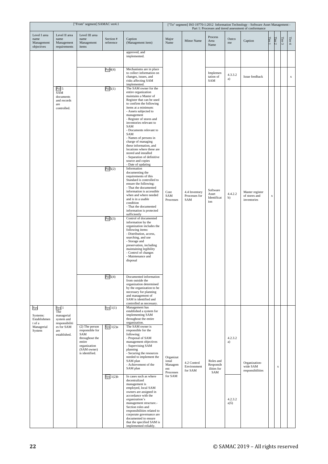|                                                  |                                                                           | ["From" segment] SAMAC ver4.1                                                                                         |                        |                                                                                                                                                                                                                                                                                                                                                                                                                                                                                                                                                               |                                                   |                                       |                                              |                 | ["To" segment] ISO 19770-1:2012 Information Technology - Software Asset Management -<br>Part 1: Processes and tiered assessment of conformance |             |          |            |             |
|--------------------------------------------------|---------------------------------------------------------------------------|-----------------------------------------------------------------------------------------------------------------------|------------------------|---------------------------------------------------------------------------------------------------------------------------------------------------------------------------------------------------------------------------------------------------------------------------------------------------------------------------------------------------------------------------------------------------------------------------------------------------------------------------------------------------------------------------------------------------------------|---------------------------------------------------|---------------------------------------|----------------------------------------------|-----------------|------------------------------------------------------------------------------------------------------------------------------------------------|-------------|----------|------------|-------------|
| Level I area<br>name<br>Management<br>objectives | Level II area<br>name<br>Management<br>requirements                       | Level III area<br>name<br>Management<br>items                                                                         | Section #<br>reference | Caption<br>(Management item)                                                                                                                                                                                                                                                                                                                                                                                                                                                                                                                                  | Major<br>Name                                     | <b>Minor Name</b>                     | Process<br>Area<br>Name                      | Outco<br>me     | Caption                                                                                                                                        | Tier l      | Tier $2$ | Tier $3\,$ | Tier $4$    |
|                                                  |                                                                           |                                                                                                                       |                        | approved, and<br>implemented.                                                                                                                                                                                                                                                                                                                                                                                                                                                                                                                                 |                                                   |                                       |                                              |                 |                                                                                                                                                |             |          |            |             |
|                                                  |                                                                           |                                                                                                                       | Pol4(4)                | Mechanisms are in place<br>to collect information on<br>changes, issues, and<br>risks affecting SAM<br>implemented.                                                                                                                                                                                                                                                                                                                                                                                                                                           |                                                   |                                       | Implemen<br>tation of<br>SAM                 | 4.3.3.2<br>a)   | Issue feedback                                                                                                                                 |             |          |            | $\mathbf x$ |
|                                                  | Pol <sub>5</sub><br>SAM<br>documents<br>and records<br>are<br>controlled. |                                                                                                                       | Pol5(1)<br>Pol5(2)     | The SAM owner for the<br>entire organization<br>maintains a Master of<br>Register that can be used<br>to confirm the following<br>items at a minimum:<br>- Assets subjected to<br>management<br>- Register of stores and<br>inventories relevant to<br>SAM<br>- Documents relevant to<br>SAM<br>- Names of persons in<br>charge of managing<br>these information, and<br>locations where these are<br>stored and installed<br>- Separation of definitive<br>source and copies<br>- Date of updating<br>Information<br>documenting the<br>requirements of this |                                                   |                                       |                                              |                 |                                                                                                                                                |             |          |            |             |
|                                                  |                                                                           |                                                                                                                       | Pol5(3)                | Standard is controlled to<br>ensure the following:<br>- That the documented<br>information is accessible<br>when and where needed<br>and is in a usable<br>condition<br>- That the documented<br>information is protected<br>sufficiently<br>Control of documented<br>information by the                                                                                                                                                                                                                                                                      | Core<br>SAM<br>Processes                          | 4.4 Inventory<br>Processes for<br>SAM | Software<br>Asset<br>Identificat<br>ion      | 4.4.2.2<br>b)   | Master register<br>of stores and<br>inventories                                                                                                | $\mathbf x$ |          |            |             |
|                                                  |                                                                           |                                                                                                                       |                        | organization includes the<br>following items:<br>- Distribution, access,<br>searching, and use<br>- Storage and<br>preservation, including<br>maintaining legibility<br>- Control of changes<br>- Maintenance and<br>disposal                                                                                                                                                                                                                                                                                                                                 |                                                   |                                       |                                              |                 |                                                                                                                                                |             |          |            |             |
|                                                  |                                                                           |                                                                                                                       | Pol5(4)                | Documented information<br>from outside the<br>organization determined<br>by the organization to be<br>necessary for planning<br>and management of<br>SAM is identified and<br>controlled as necessary.                                                                                                                                                                                                                                                                                                                                                        |                                                   |                                       |                                              |                 |                                                                                                                                                |             |          |            |             |
| Sys<br>Systems:<br>Establishmen<br>t of a        | Sys 1<br>The<br>managerial<br>system and<br>responsibiliti                |                                                                                                                       | Sys $1(1)$             | Management has<br>established a system for<br>implementing SAM<br>throughout the entire<br>organization.                                                                                                                                                                                                                                                                                                                                                                                                                                                      |                                                   |                                       |                                              |                 |                                                                                                                                                |             |          |            |             |
| Managerial<br>System                             | es for SAM<br>are<br>established.                                         | (2) The person<br>responsible for<br>SAM<br>throughout the<br>entire<br>organization<br>(SAM owner)<br>is identified. | Sys $1(2)a$            | The SAM owner is<br>responsible for the<br>following:<br>- Proposal of SAM<br>management objectives<br>- Supervising SAM<br>planning<br>- Securing the resources<br>needed to implement the<br>SAM plan<br>- Achievement of the<br>SAM plan                                                                                                                                                                                                                                                                                                                   | Organizat<br>ional<br>Managem<br>ent<br>Processes | 4.2 Control<br>Environment<br>for SAM | Roles and<br>Responsib<br>ilities for<br>SAM | 4.2.3.2<br>a)   | Organization-<br>wide SAM<br>responsibilities                                                                                                  |             | x        |            |             |
|                                                  |                                                                           |                                                                                                                       | Sys $1(2)b$            | In cases such as where<br>decentralized<br>management is<br>employed, local SAM<br>owners are assigned in<br>accordance with the<br>organization's<br>management structure.-<br>Section roles and<br>responsibilities related to<br>corporate governance are<br>documented to ensure<br>that the specified SAM is<br>implemented reliably.                                                                                                                                                                                                                    | for SAM                                           |                                       |                                              | 4.2.3.2<br>a)5) |                                                                                                                                                |             |          |            |             |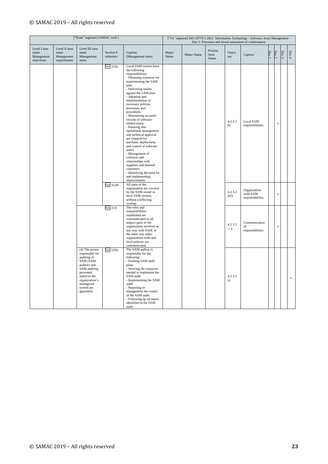|                                                  |                                                     | ["From" segment] SAMAC ver4.1                                                                                                                                                            |                        |                                                                                                                                                                                                                                                                                                                                                                                                                                                                                                                                                                                                                                                                        |               |                   |                         |                      | ["To" segment] ISO 19770-1:2012 Information Technology - Software Asset Management -<br>Part 1: Processes and tiered assessment of conformance |        |                         |                 |             |
|--------------------------------------------------|-----------------------------------------------------|------------------------------------------------------------------------------------------------------------------------------------------------------------------------------------------|------------------------|------------------------------------------------------------------------------------------------------------------------------------------------------------------------------------------------------------------------------------------------------------------------------------------------------------------------------------------------------------------------------------------------------------------------------------------------------------------------------------------------------------------------------------------------------------------------------------------------------------------------------------------------------------------------|---------------|-------------------|-------------------------|----------------------|------------------------------------------------------------------------------------------------------------------------------------------------|--------|-------------------------|-----------------|-------------|
| Level I area<br>name<br>Management<br>objectives | Level II area<br>name<br>Management<br>requirements | Level III area<br>name<br>Management<br>items                                                                                                                                            | Section #<br>reference | Caption<br>(Management item)                                                                                                                                                                                                                                                                                                                                                                                                                                                                                                                                                                                                                                           | Major<br>Name | <b>Minor Name</b> | Process<br>Area<br>Name | Outco<br>me          | Caption                                                                                                                                        | Tier 1 | Tier $2$                | Tier $\sqrt{3}$ | Tier $4$    |
|                                                  |                                                     |                                                                                                                                                                                          | Sys $1(2)c$            | Local SAM owners have<br>the following<br>responsibilities:<br>- Obtaining resources for<br>implementing the SAM<br>plan<br>- Delivering results<br>against the SAM plan<br>- Adoption and<br>implementation of<br>necessary policies,<br>processes, and<br>procedures<br>- Maintaining accurate<br>records of software-<br>related assets<br>- Ensuring that<br>operational management<br>and technical approval<br>are required for<br>purchase, deployment,<br>and control of software<br>assets<br>- Management of<br>contracts and<br>relationships with<br>suppliers and internal<br>customers<br>- Identifying the need for<br>and implementing<br>improvements |               |                   |                         | 4.2.3.2<br>b)        | Local SAM<br>responsibilities                                                                                                                  |        | $\bf{x}$                |                 |             |
|                                                  |                                                     |                                                                                                                                                                                          | Sys $1(2)d$            | All parts of the<br>organization are covered<br>by the SAM owner or<br>local SAM owners,<br>without conflicting<br>overlap.                                                                                                                                                                                                                                                                                                                                                                                                                                                                                                                                            |               |                   |                         | 4.2.3.2<br>a)5)      | Organization-<br>wide SAM<br>responsibilities                                                                                                  |        | $\mathbf x$             |                 |             |
|                                                  |                                                     |                                                                                                                                                                                          | Sys $1(3)$             | The roles and<br>responsibilities<br>established are<br>communicated to all<br>subject parts of the<br>organization involved in<br>any way with SAM, in<br>the same way other<br>organization-wide and<br>local policies are<br>communicated.                                                                                                                                                                                                                                                                                                                                                                                                                          |               |                   |                         | 4.2.3.2<br>$\circ$ ) | Communication<br>of<br>responsibilities                                                                                                        |        | $\overline{\mathbf{x}}$ |                 |             |
|                                                  |                                                     | $(4)$ The person<br>responsible for<br>auditing of<br>SAM (SAM<br>auditor) and<br>SAM auditing<br>personnel<br>suited to the<br>organization's<br>managerial<br>system are<br>appointed. | Sys $1(4)a$            | The SAM auditor is<br>responsible for the<br>following:<br>- Drafting SAM audit<br>plans<br>- Securing the resources<br>needed to implement the<br>SAM audit<br>- Implementing the SAM<br>audit<br>- Reporting to<br>management the results<br>of the SAM audit<br>- Following up on issues<br>identified in the SAM<br>audit                                                                                                                                                                                                                                                                                                                                          |               |                   |                         | 4.2.3.2<br>a)        |                                                                                                                                                |        |                         |                 | $\mathbf x$ |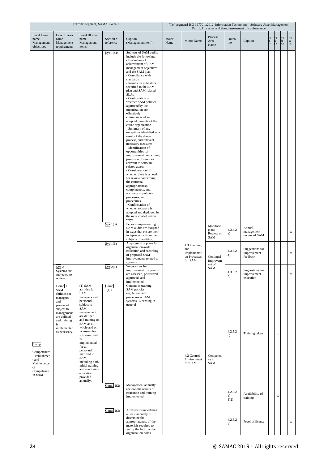|                                                                                           |                                                                                                                                                                 | ["From" segment] SAMAC ver4.1                                                                                                                                                                                                                                                                                                                                       |                              |                                                                                                                                                                                                                                                                                                                                                                                                                                                                                                                                                                                                                                                                                                                                                                                                                                                                                                                                                                                                                     |               |                                                                |                                        |                                        | ["To" segment] ISO 19770-1:2012 Information Technology - Software Asset Management -<br>Part 1: Processes and tiered assessment of conformance |        |                            |            |             |
|-------------------------------------------------------------------------------------------|-----------------------------------------------------------------------------------------------------------------------------------------------------------------|---------------------------------------------------------------------------------------------------------------------------------------------------------------------------------------------------------------------------------------------------------------------------------------------------------------------------------------------------------------------|------------------------------|---------------------------------------------------------------------------------------------------------------------------------------------------------------------------------------------------------------------------------------------------------------------------------------------------------------------------------------------------------------------------------------------------------------------------------------------------------------------------------------------------------------------------------------------------------------------------------------------------------------------------------------------------------------------------------------------------------------------------------------------------------------------------------------------------------------------------------------------------------------------------------------------------------------------------------------------------------------------------------------------------------------------|---------------|----------------------------------------------------------------|----------------------------------------|----------------------------------------|------------------------------------------------------------------------------------------------------------------------------------------------|--------|----------------------------|------------|-------------|
| Level I area<br>name<br>Management<br>objectives                                          | Level II area<br>name<br>Management<br>requirements                                                                                                             | Level III area<br>name<br>Management<br>items                                                                                                                                                                                                                                                                                                                       | Section #<br>reference       | Caption<br>(Management item)                                                                                                                                                                                                                                                                                                                                                                                                                                                                                                                                                                                                                                                                                                                                                                                                                                                                                                                                                                                        | Major<br>Name | Minor Name                                                     | Process<br>Area<br>Name                | Outco<br>$\rm me$                      | Caption                                                                                                                                        | Tier l | Tier $2$                   | Tier $3\,$ | Tier $4$    |
|                                                                                           |                                                                                                                                                                 |                                                                                                                                                                                                                                                                                                                                                                     | Sys $1(4)b$                  | Subjects of SAM audits<br>include the following:<br>- Evaluation of<br>achievement of SAM<br>management objectives<br>and the SAM plan<br>- Compliance with<br>standards<br>- Results on indicators<br>specified in the SAM<br>plan and SAM-related<br><b>SLAs</b><br>- Confirmation of<br>whether SAM policies<br>approved by the<br>organization are<br>effectively<br>communicated and<br>adopted throughout the<br>entire organization<br>- Summary of any<br>exceptions identified as a<br>result of the above<br>process, and relevant<br>necessary measures<br>- Identification of<br>opportunities for<br>improvement concerning<br>provision of services<br>relevant to software-<br>related assets<br>- Consideration of<br>whether there is a need<br>for review concerning<br>the continual<br>appropriateness,<br>completeness, and<br>accuracy of policies,<br>processes, and<br>procedures<br>- Confirmation of<br>whether software is<br>adopted and deployed in<br>the most cost-effective<br>ways |               |                                                                |                                        |                                        |                                                                                                                                                |        |                            |            |             |
|                                                                                           |                                                                                                                                                                 |                                                                                                                                                                                                                                                                                                                                                                     | Sys $1(5)$<br>Sys $1(6)$     | Persons implementing<br>SAM audits are assigned<br>in ways that ensure their<br>independence from the<br>subjects of auditing.<br>A system is in place for                                                                                                                                                                                                                                                                                                                                                                                                                                                                                                                                                                                                                                                                                                                                                                                                                                                          |               |                                                                | Monitorin<br>g and<br>Review of<br>SAM | 4.3.4.2<br>a)                          | Annual<br>management<br>review of SAM                                                                                                          |        |                            |            | $\mathbf x$ |
|                                                                                           |                                                                                                                                                                 |                                                                                                                                                                                                                                                                                                                                                                     |                              | organization-wide<br>collection and recording<br>of proposed SAM<br>improvements related to<br>systems.                                                                                                                                                                                                                                                                                                                                                                                                                                                                                                                                                                                                                                                                                                                                                                                                                                                                                                             |               | 4.3 Planning<br>and<br>Implementati<br>on Processes<br>for SAM | Continual<br>Improvem<br>ent of        | 4.3.5.2<br>a)                          | Suggestions for<br>improvement<br>feedback                                                                                                     |        |                            |            | $\mathbf x$ |
|                                                                                           | Sys 2<br>Systems are<br>subjected to<br>review.                                                                                                                 |                                                                                                                                                                                                                                                                                                                                                                     | $Sys$ $2(1)$                 | Suggestions for<br>improvement to systems<br>are assessed, prioritized,<br>approved, and<br>implemented.                                                                                                                                                                                                                                                                                                                                                                                                                                                                                                                                                                                                                                                                                                                                                                                                                                                                                                            |               |                                                                | SAM                                    | 4.3.5.2<br>b)                          | Suggestions for<br>improvement<br>execution                                                                                                    |        |                            |            | $\mathbf x$ |
| Comp<br>Competence:<br>Establishmen<br>t and<br>Maintenance<br>of<br>Competence<br>in SAM | Comp 1<br>SAM<br>abilities for<br>managers<br>and<br>personnel<br>subject to<br>management<br>are defined<br>and training<br>is<br>implemented<br>as necessary. | $(1)$ SAM<br>abilities for<br>SAM<br>managers and<br>personnel<br>subject to<br>SAM<br>management<br>are defined<br>and training on<br>SAM as a<br>whole and on<br>licensing for<br>software used<br>is<br>implemented<br>for all<br>personnel<br>involved in<br>SAM,<br>including both<br>initial training<br>and continuing<br>education<br>provided<br>annually. | Comp<br>1(1)a<br>Comp $1(2)$ | Content of training-<br>SAM policies,<br>regulation, and<br>procedures- SAM<br>systems-Licensing in<br>general<br>Management annually<br>reviews the results of<br>education and training<br>implemented.                                                                                                                                                                                                                                                                                                                                                                                                                                                                                                                                                                                                                                                                                                                                                                                                           |               | 4.2 Control<br>Environment<br>for SAM                          | Competen<br>ce in<br>SAM               | 4.2.5.2<br>c)<br>4.2.5.2<br>a)<br>1)2) | Training taken<br>Availability of<br>training                                                                                                  |        | $\mathbf X$<br>$\mathbf X$ |            |             |
|                                                                                           |                                                                                                                                                                 |                                                                                                                                                                                                                                                                                                                                                                     | Comp $1(3)$                  | A review is undertaken<br>at least annually to<br>determine the<br>appropriateness of the<br>materials required to<br>verify the fact that the<br>organization holds                                                                                                                                                                                                                                                                                                                                                                                                                                                                                                                                                                                                                                                                                                                                                                                                                                                |               |                                                                |                                        | 4.2.5.2<br>b)                          | Proof of license                                                                                                                               |        |                            |            | $\mathbf X$ |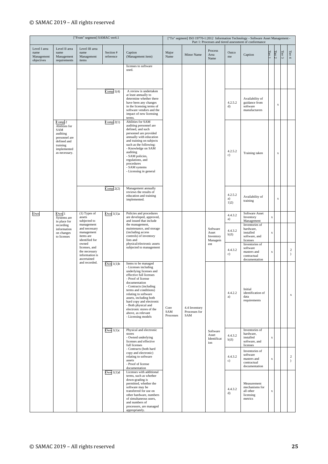|                                                  |                                                                                                                        | ["From" segment] SAMAC ver4.1                                            |                        |                                                                                                                                                                                                                                                                                                                                                                          |                          |                                       |                                           |                       | ["To" segment] ISO 19770-1:2012 Information Technology - Software Asset Management -<br>Part 1: Processes and tiered assessment of conformance |             |             |                 |                         |
|--------------------------------------------------|------------------------------------------------------------------------------------------------------------------------|--------------------------------------------------------------------------|------------------------|--------------------------------------------------------------------------------------------------------------------------------------------------------------------------------------------------------------------------------------------------------------------------------------------------------------------------------------------------------------------------|--------------------------|---------------------------------------|-------------------------------------------|-----------------------|------------------------------------------------------------------------------------------------------------------------------------------------|-------------|-------------|-----------------|-------------------------|
| Level I area<br>name<br>Management<br>objectives | Level II area<br>name<br>Management<br>requirements                                                                    | Level III area<br>name<br>Management<br>items                            | Section #<br>reference | Caption<br>(Management item)                                                                                                                                                                                                                                                                                                                                             | Major<br>Name            | Minor Name                            | Process<br>Area<br>Name                   | Outco<br>me           | Caption                                                                                                                                        | Tier 1      | Tier $2$    | Tier $\sqrt{3}$ | Tier $4\,$              |
|                                                  |                                                                                                                        |                                                                          |                        | licenses to software<br>used.                                                                                                                                                                                                                                                                                                                                            |                          |                                       |                                           |                       |                                                                                                                                                |             |             |                 |                         |
|                                                  |                                                                                                                        |                                                                          | Comp $1(4)$            | A review is undertaken<br>at least annually to<br>determine whether there<br>have been any changes<br>in the licensing terms of<br>software vendors and the<br>impact of new licensing<br>terms.                                                                                                                                                                         |                          |                                       |                                           | 4.2.5.2<br>d)         | Availability of<br>guidance from<br>software<br>manufacturers                                                                                  |             | $\mathbf x$ |                 |                         |
|                                                  | Comp 2<br>Abilities for<br>SAM<br>auditing<br>personnel are<br>defined and<br>training<br>implemented<br>as necessary. |                                                                          | Comp $2(1)$            | Abilities for SAM<br>auditing personnel are<br>defined, and such<br>personnel are provided<br>annually with education<br>and training on subjects<br>such as the following:<br>- Knowledge on SAM<br>auditing<br>- SAM policies,<br>regulations, and<br>procedures<br>- SAM systems<br>- Licensing in general                                                            |                          |                                       |                                           | 4.2.5.2<br>c)         | Training taken                                                                                                                                 |             | X           |                 |                         |
|                                                  |                                                                                                                        |                                                                          | Comp $2(2)$            | Management annually<br>reviews the results of<br>education and training<br>implemented.                                                                                                                                                                                                                                                                                  |                          |                                       |                                           | 4.2.5.2<br>a)<br>1)2) | Availability of<br>training                                                                                                                    |             | X           |                 |                         |
| Own                                              | Own 1<br>Systems are<br>in place for<br>recording                                                                      | $(1)$ Types of<br>assets<br>subjected to<br>management                   | Own $1(1)a$            | Policies and procedures<br>are developed, approved,<br>and issued that include<br>the management,                                                                                                                                                                                                                                                                        |                          |                                       |                                           | 4.4.3.2<br>a)         | Software Asset<br>Inventory<br>Management<br>Inventories of                                                                                    | X           |             |                 |                         |
|                                                  | information<br>on changes<br>to licenses                                                                               | and necessary<br>management<br>items are<br>identified for               |                        | maintenance, and storage<br>(including access<br>controls) of inventory<br>lists and                                                                                                                                                                                                                                                                                     |                          |                                       | Software<br>Asset<br>Inventory<br>Managem | 4.4.3.2<br>b)3)       | hardware,<br>installed<br>software, and<br>licenses                                                                                            | X           |             |                 |                         |
|                                                  |                                                                                                                        | owned<br>licenses, and<br>the necessary<br>information is<br>ascertained |                        | physical/electronic assets<br>subjected to management                                                                                                                                                                                                                                                                                                                    |                          |                                       | ent                                       | 4.4.3.2<br>c)         | Inventories of<br>software<br>masters and<br>contractual<br>documentation                                                                      | X           |             |                 | $\sqrt{2}$<br>$\lambda$ |
|                                                  |                                                                                                                        | and recorded.                                                            | Own $1(1)b$            | Items to be managed<br>- Licenses including<br>underlying licenses and<br>effective full licenses<br>- Proof of license<br>documentation<br>- Contracts (including<br>terms and conditions)<br>relating to software<br>assets, including both<br>hard copy and electronic<br>- Both physical and<br>electronic stores of the<br>above, as relevant<br>- Licensing models | Core<br>SAM<br>Processes | 4.4 Inventory<br>Processes for<br>SAM |                                           | 4.4.2.2<br>a)         | Initial<br>identification of<br>data<br>requirements                                                                                           |             |             |                 | $\mathbf x$             |
|                                                  |                                                                                                                        |                                                                          | Own $1(1)c$            | Physical and electronic<br>stores<br>- Owned underlying<br>licenses and effective<br>full licenses                                                                                                                                                                                                                                                                       |                          |                                       | Software<br>Asset<br>Identificat<br>ion   | 4.4.3.2<br>b)3)       | Inventories of<br>hardware,<br>installed<br>software, and<br>licenses                                                                          | $\mathbf x$ |             |                 |                         |
|                                                  |                                                                                                                        |                                                                          |                        | - Contracts (both hard<br>copy and electronic)<br>relating to software<br>assets<br>- Proof of license<br>documentation                                                                                                                                                                                                                                                  |                          |                                       |                                           | 4.4.3.2<br>c)         | Inventories of<br>software<br>masters and<br>contractual<br>documentation                                                                      | $\mathbf X$ |             |                 | $\sqrt{2}$<br>$\lambda$ |
|                                                  |                                                                                                                        |                                                                          | Own $1(1)d$            | Licenses with additional<br>terms, such as whether<br>down-grading is<br>permitted, whether the<br>software may be<br>transferred for use on<br>other hardware, numbers<br>of simultaneous users,<br>and numbers of<br>processors, are managed<br>appropriately.                                                                                                         |                          |                                       |                                           | 4.4.3.2<br>d)         | Measurement<br>mechanisms for<br>all other<br>licensing<br>metrics                                                                             | $\mathbf X$ |             |                 |                         |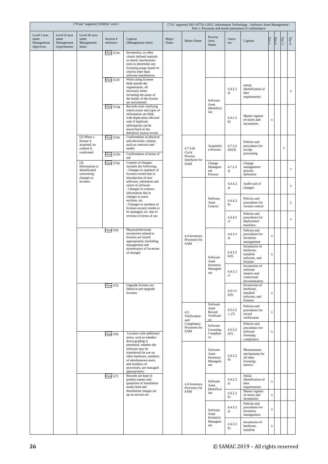|                                                  |                                                     | ["From" segment] SAMAC ver4.1                                           |                            |                                                                                                                                                                                                          |                                                                                                                                                                                                                         |                       |                                                                                                                                                                                                                                                                                                                                                                                                                                                                                                                                                                                                                                                                                                                                                                                                                                                                                                                                                                                                                                                                                                                                                                                                                                                                                                                                                                                                                                                                                                                                                                                                                                                                             |                  |                                                         |             |                                                                                                         |  |             |
|--------------------------------------------------|-----------------------------------------------------|-------------------------------------------------------------------------|----------------------------|----------------------------------------------------------------------------------------------------------------------------------------------------------------------------------------------------------|-------------------------------------------------------------------------------------------------------------------------------------------------------------------------------------------------------------------------|-----------------------|-----------------------------------------------------------------------------------------------------------------------------------------------------------------------------------------------------------------------------------------------------------------------------------------------------------------------------------------------------------------------------------------------------------------------------------------------------------------------------------------------------------------------------------------------------------------------------------------------------------------------------------------------------------------------------------------------------------------------------------------------------------------------------------------------------------------------------------------------------------------------------------------------------------------------------------------------------------------------------------------------------------------------------------------------------------------------------------------------------------------------------------------------------------------------------------------------------------------------------------------------------------------------------------------------------------------------------------------------------------------------------------------------------------------------------------------------------------------------------------------------------------------------------------------------------------------------------------------------------------------------------------------------------------------------------|------------------|---------------------------------------------------------|-------------|---------------------------------------------------------------------------------------------------------|--|-------------|
| Level I area<br>name<br>Management<br>objectives | Level II area<br>name<br>Management<br>requirements | Level III area<br>name<br>Management<br>items                           | Section #<br>reference     | Caption<br>(Management item)                                                                                                                                                                             | Major<br>Name                                                                                                                                                                                                           | <b>Minor Name</b>     | Process<br>Area<br>Name                                                                                                                                                                                                                                                                                                                                                                                                                                                                                                                                                                                                                                                                                                                                                                                                                                                                                                                                                                                                                                                                                                                                                                                                                                                                                                                                                                                                                                                                                                                                                                                                                                                     | Outco<br>me      | Caption                                                 | Tier l      |                                                                                                         |  | Tier $4$    |
|                                                  |                                                     |                                                                         | Own $1(1)e$                | Inventories, or other<br>clearly defined analysis<br>or metric mechanisms<br>exist to determine any<br>licensing usage based on<br>criteria other than<br>software installations.                        |                                                                                                                                                                                                                         |                       |                                                                                                                                                                                                                                                                                                                                                                                                                                                                                                                                                                                                                                                                                                                                                                                                                                                                                                                                                                                                                                                                                                                                                                                                                                                                                                                                                                                                                                                                                                                                                                                                                                                                             |                  |                                                         |             |                                                                                                         |  |             |
|                                                  |                                                     |                                                                         | Own $1(1)f$                | When using licenses<br>held outside the<br>organization, all<br>necessary items<br>including the name of<br>the holder of the license<br>are ascertained.                                                |                                                                                                                                                                                                                         |                       | Software                                                                                                                                                                                                                                                                                                                                                                                                                                                                                                                                                                                                                                                                                                                                                                                                                                                                                                                                                                                                                                                                                                                                                                                                                                                                                                                                                                                                                                                                                                                                                                                                                                                                    | 4.4.2.2<br>a)    | Initial<br>identification of<br>data<br>requirements    |             |                                                                                                         |  | $\mathbf x$ |
|                                                  |                                                     |                                                                         | Own $1(1)$ g               | Records exist clarifying<br>which stores and types of<br>information are held,<br>with duplication allowed<br>only if duplicate<br>information can be<br>traced back to the<br>definitive source record. |                                                                                                                                                                                                                         |                       | Identificat<br>ion                                                                                                                                                                                                                                                                                                                                                                                                                                                                                                                                                                                                                                                                                                                                                                                                                                                                                                                                                                                                                                                                                                                                                                                                                                                                                                                                                                                                                                                                                                                                                                                                                                                          | 4.4.2.2<br>b)    | Master register<br>of stores and<br>inventories         | X           | Tier $3\,$<br>Tier $2$<br>X<br>X<br>$\mathbf X$<br>X<br>$\bar{x}$<br>X<br>$\mathbf X$<br>$\bar{x}$<br>X |  |             |
|                                                  |                                                     | $(2)$ When a<br>license is<br>acquired, its<br>content is<br>confirmed. | Own $1(2)a$<br>Own $1(2)b$ | Confirmation of physical<br>and electronic content,<br>such as contracts and<br>media<br>Confirmation of terms of                                                                                        |                                                                                                                                                                                                                         | 4.7 Life<br>Cycle     | Acquisitio<br>n Process                                                                                                                                                                                                                                                                                                                                                                                                                                                                                                                                                                                                                                                                                                                                                                                                                                                                                                                                                                                                                                                                                                                                                                                                                                                                                                                                                                                                                                                                                                                                                                                                                                                     | 4.7.3.2<br>d(2)3 | Policies and<br>procedures for<br>receipt<br>processing |             | $\mathbf x$                                                                                             |  |             |
|                                                  |                                                     | (3)<br>Information is<br>identificated<br>concerning                    | Own $1(3)a$                | use<br>Content of changes<br>includes the following:<br>- Changes in numbers of<br>licenses owned due to                                                                                                 |                                                                                                                                                                                                                         | Interfaces for<br>SAM | ["To" segment] ISO 19770-1:2012 Information Technology - Software Asset Management -<br>Asset<br>Change<br>Change<br>Managem<br>4.7.2.2<br>management<br>ent<br>process<br>a)<br>definition<br>Process<br>4.4.4.2<br>Audit trail of<br>changes<br>a)<br>Software<br>Policies and<br>4.4.4.2<br>Asset<br>procedures for<br>b)<br>Control<br>version control<br>Policies and<br>4.4.4.2<br>procedures for<br>deployment<br>c)<br>baselines<br>Policies and<br>4.4.3.2<br>procedures for<br>inventory<br>a)<br>management<br>Inventories of<br>hardware,<br>4.4.3.2<br>installed<br>b)3)<br>Software<br>software, and<br>Asset<br>licenses<br>Inventory<br>Inventories of<br>Managem<br>software<br>4.4.3.2<br>ent<br>masters and<br>c)<br>contractual<br>documentation<br>Inventories of<br>hardware,<br>4.4.3.2<br>installed<br>b)3)<br>software, and<br>licenses<br>Software<br>Policies and<br>Asset<br>4.5.2.2<br>procedures for<br>Record<br>a)7)<br>record<br>Verificati<br>verification<br>on<br>Policies and<br>Software<br>procedures for<br>Licensing<br>4.5.3.2<br>software<br>Complian<br>a)1)<br>licensing<br>ce<br>compliance<br>Software<br>Measurement<br>mechanisms for<br>Asset<br>4.4.3.2<br>all other<br>Inventory<br>d)<br>Managem<br>licensing<br>metrics<br>ent<br>Initial<br>identification of<br>4.4.2.2<br>Software<br>data<br>a)<br>Asset<br>requirements<br>Identificat<br>Master register<br>4.4.2.2<br>ion<br>of stores and<br>b)<br>inventories<br>Policies and<br>4.4.3.2<br>procedures for<br>Software<br>inventory<br>a)<br>Asset<br>management<br>Inventory<br>Managem<br>Inventories of<br>4.4.3.2<br>ent<br>hardware,<br>b)<br>installed |                  |                                                         | $\mathbf x$ |                                                                                                         |  |             |
|                                                  |                                                     | changes to<br>licenses                                                  |                            | introduction of new<br>software, retirement and<br>return of software<br>- Changes in contract<br>information due to                                                                                     | Part 1: Processes and tiered assessment of conformance<br>Process<br>4.4 Inventory<br>Processes for<br>SAM<br>4.5<br>Verification<br>and<br>Compliance<br>Processes for<br>SAM<br>4.4 Inventory<br>Processes for<br>SAM |                       |                                                                                                                                                                                                                                                                                                                                                                                                                                                                                                                                                                                                                                                                                                                                                                                                                                                                                                                                                                                                                                                                                                                                                                                                                                                                                                                                                                                                                                                                                                                                                                                                                                                                             |                  | $\mathbf x$                                             |             |                                                                                                         |  |             |
|                                                  |                                                     |                                                                         |                            | changes in users,<br>sections, etc.<br>- Changes in numbers of<br>licenses owned, media to                                                                                                               |                                                                                                                                                                                                                         |                       |                                                                                                                                                                                                                                                                                                                                                                                                                                                                                                                                                                                                                                                                                                                                                                                                                                                                                                                                                                                                                                                                                                                                                                                                                                                                                                                                                                                                                                                                                                                                                                                                                                                                             |                  |                                                         |             | $\mathbf x$                                                                                             |  |             |
|                                                  |                                                     |                                                                         |                            | be managed, etc. due to<br>revision of terms of use                                                                                                                                                      |                                                                                                                                                                                                                         |                       |                                                                                                                                                                                                                                                                                                                                                                                                                                                                                                                                                                                                                                                                                                                                                                                                                                                                                                                                                                                                                                                                                                                                                                                                                                                                                                                                                                                                                                                                                                                                                                                                                                                                             |                  |                                                         |             |                                                                                                         |  | $\mathbf X$ |
|                                                  |                                                     |                                                                         | Own $1(4)$                 | Physical/electronic<br>inventories related to<br>licenses are stored<br>appropriately (including<br>management and                                                                                       |                                                                                                                                                                                                                         |                       |                                                                                                                                                                                                                                                                                                                                                                                                                                                                                                                                                                                                                                                                                                                                                                                                                                                                                                                                                                                                                                                                                                                                                                                                                                                                                                                                                                                                                                                                                                                                                                                                                                                                             |                  |                                                         |             |                                                                                                         |  |             |
|                                                  |                                                     |                                                                         |                            | maintenance of locations<br>of storage)                                                                                                                                                                  |                                                                                                                                                                                                                         |                       |                                                                                                                                                                                                                                                                                                                                                                                                                                                                                                                                                                                                                                                                                                                                                                                                                                                                                                                                                                                                                                                                                                                                                                                                                                                                                                                                                                                                                                                                                                                                                                                                                                                                             |                  |                                                         |             |                                                                                                         |  |             |
|                                                  |                                                     |                                                                         |                            |                                                                                                                                                                                                          |                                                                                                                                                                                                                         |                       |                                                                                                                                                                                                                                                                                                                                                                                                                                                                                                                                                                                                                                                                                                                                                                                                                                                                                                                                                                                                                                                                                                                                                                                                                                                                                                                                                                                                                                                                                                                                                                                                                                                                             |                  |                                                         |             |                                                                                                         |  |             |
|                                                  |                                                     |                                                                         | Own $1(5)$                 | Upgrade licenses are<br>linked to pre-upgrade<br>licenses.                                                                                                                                               |                                                                                                                                                                                                                         |                       |                                                                                                                                                                                                                                                                                                                                                                                                                                                                                                                                                                                                                                                                                                                                                                                                                                                                                                                                                                                                                                                                                                                                                                                                                                                                                                                                                                                                                                                                                                                                                                                                                                                                             |                  |                                                         |             |                                                                                                         |  |             |
|                                                  |                                                     |                                                                         |                            |                                                                                                                                                                                                          |                                                                                                                                                                                                                         |                       |                                                                                                                                                                                                                                                                                                                                                                                                                                                                                                                                                                                                                                                                                                                                                                                                                                                                                                                                                                                                                                                                                                                                                                                                                                                                                                                                                                                                                                                                                                                                                                                                                                                                             |                  |                                                         |             |                                                                                                         |  |             |
|                                                  |                                                     |                                                                         | Own $1(6)$                 | Licenses with additional<br>terms, such as whether<br>down-grading is                                                                                                                                    |                                                                                                                                                                                                                         |                       |                                                                                                                                                                                                                                                                                                                                                                                                                                                                                                                                                                                                                                                                                                                                                                                                                                                                                                                                                                                                                                                                                                                                                                                                                                                                                                                                                                                                                                                                                                                                                                                                                                                                             |                  |                                                         |             |                                                                                                         |  |             |
|                                                  |                                                     |                                                                         |                            | permitted, whether the<br>software may be<br>transferred for use on<br>other hardware, numbers<br>of simultaneous users,<br>and numbers of<br>processors, are managed<br>appropriately.                  |                                                                                                                                                                                                                         |                       |                                                                                                                                                                                                                                                                                                                                                                                                                                                                                                                                                                                                                                                                                                                                                                                                                                                                                                                                                                                                                                                                                                                                                                                                                                                                                                                                                                                                                                                                                                                                                                                                                                                                             |                  |                                                         |             |                                                                                                         |  |             |
|                                                  |                                                     |                                                                         | Own $1(7)$                 | Records are kept of<br>product names and<br>quantities of installation<br>media held and<br>distribution images set<br>up on servers etc.                                                                |                                                                                                                                                                                                                         |                       |                                                                                                                                                                                                                                                                                                                                                                                                                                                                                                                                                                                                                                                                                                                                                                                                                                                                                                                                                                                                                                                                                                                                                                                                                                                                                                                                                                                                                                                                                                                                                                                                                                                                             |                  |                                                         |             |                                                                                                         |  |             |
|                                                  |                                                     |                                                                         |                            |                                                                                                                                                                                                          |                                                                                                                                                                                                                         |                       |                                                                                                                                                                                                                                                                                                                                                                                                                                                                                                                                                                                                                                                                                                                                                                                                                                                                                                                                                                                                                                                                                                                                                                                                                                                                                                                                                                                                                                                                                                                                                                                                                                                                             |                  |                                                         |             |                                                                                                         |  |             |
|                                                  |                                                     |                                                                         |                            |                                                                                                                                                                                                          |                                                                                                                                                                                                                         |                       |                                                                                                                                                                                                                                                                                                                                                                                                                                                                                                                                                                                                                                                                                                                                                                                                                                                                                                                                                                                                                                                                                                                                                                                                                                                                                                                                                                                                                                                                                                                                                                                                                                                                             |                  |                                                         |             |                                                                                                         |  |             |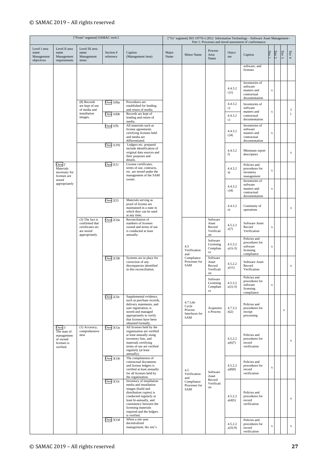|                                                  |                                                                                                                                                                          | ["From" segment] SAMAC ver4.1                                                            |                             |                                                                                                                                                                                                                                                       |               |                                                       |                                                 |                        | ["To" segment] ISO 19770-1:2012 Information Technology - Software Asset Management -<br>Part 1: Processes and tiered assessment of conformance |             |          |             |                                   |
|--------------------------------------------------|--------------------------------------------------------------------------------------------------------------------------------------------------------------------------|------------------------------------------------------------------------------------------|-----------------------------|-------------------------------------------------------------------------------------------------------------------------------------------------------------------------------------------------------------------------------------------------------|---------------|-------------------------------------------------------|-------------------------------------------------|------------------------|------------------------------------------------------------------------------------------------------------------------------------------------|-------------|----------|-------------|-----------------------------------|
| Level I area<br>name<br>Management<br>objectives | Level II area<br>name<br>Management<br>requirements                                                                                                                      | Level III area<br>name<br>Management<br>items                                            | Section #<br>reference      | Caption<br>(Management item)                                                                                                                                                                                                                          | Major<br>Name | Minor Name                                            | Process<br>Area<br>Name                         | Outco<br>me            | Caption                                                                                                                                        | Tier 1      | Tier $2$ | Tier $3\,$  | Tier $4$                          |
|                                                  |                                                                                                                                                                          |                                                                                          |                             |                                                                                                                                                                                                                                                       |               |                                                       |                                                 |                        | software, and<br>licenses                                                                                                                      |             |          |             |                                   |
|                                                  |                                                                                                                                                                          |                                                                                          |                             |                                                                                                                                                                                                                                                       |               |                                                       |                                                 | 4.4.3.2<br>$c)$ 1)     | Inventories of<br>software<br>masters and<br>contractual<br>documentation                                                                      | $\mathbf x$ |          |             |                                   |
|                                                  |                                                                                                                                                                          | (8) Records<br>are kept of use<br>of media and<br>installation                           | Own $1(8)a$<br>Own $1(8)$ b | Procedures are<br>established for lending<br>and return of media.<br>Records are kept of                                                                                                                                                              |               |                                                       |                                                 | 4.4.3.2<br>c)          | Inventories of<br>software<br>masters and                                                                                                      | $\mathbf x$ |          |             | $\boldsymbol{2}$<br>$\mathcal{L}$ |
|                                                  |                                                                                                                                                                          | images.                                                                                  | Own $1(9)$                  | lending and return of<br>media.<br>All materials such as                                                                                                                                                                                              |               |                                                       |                                                 | 4.4.3.2<br>c)          | contractual<br>documentation<br>Inventories of                                                                                                 |             |          |             |                                   |
|                                                  | Own 2<br>Materials<br>necessary for<br>licenses are<br>stored<br>appropriately<br>Own <sub>3</sub><br>The state of<br>management<br>of owned<br>licenses is<br>verified. |                                                                                          |                             | license agreements<br>certifying licenses held<br>and media are<br>differentiated.                                                                                                                                                                    |               |                                                       |                                                 | 4.4.3.2<br>c)4)        | software<br>masters and<br>contractual<br>documentation                                                                                        | x           |          |             |                                   |
|                                                  |                                                                                                                                                                          |                                                                                          | Own $1(10)$                 | Ledgers etc. prepared<br>include identification of<br>original data sources and<br>their purposes and<br>details.                                                                                                                                     |               |                                                       |                                                 | 4.4.3.2<br>f)          | Minimum report<br>descriptors                                                                                                                  |             |          |             | $\mathbf x$                       |
|                                                  |                                                                                                                                                                          |                                                                                          | Own $2(1)$                  | License certificates,<br>terms of use, contracts,<br>etc. are stored under the<br>management of the SAM<br>owner.                                                                                                                                     |               |                                                       |                                                 | 4.4.3.2<br>a)          | Policies and<br>procedures for<br>inventory<br>management<br>Inventories of                                                                    | $\mathbf X$ |          |             |                                   |
|                                                  |                                                                                                                                                                          |                                                                                          |                             |                                                                                                                                                                                                                                                       |               |                                                       |                                                 | 4.4.3.2<br>c)4)        | software<br>masters and<br>contractual<br>documentation                                                                                        | $\mathbf X$ |          |             |                                   |
|                                                  |                                                                                                                                                                          |                                                                                          | Own $2(2)$                  | Materials serving as<br>proof of license are<br>maintained in a state in<br>which they can be used<br>at any time.                                                                                                                                    |               |                                                       |                                                 | 4.4.3.2<br>e)          | Continuity of<br>operations                                                                                                                    |             |          |             | $\mathbf x$                       |
|                                                  |                                                                                                                                                                          | $(3)$ The fact is<br>confirmed that<br>certificates etc.<br>are stored<br>appropriately. | Own $2(3)a$                 | Reconciliation of<br>numbers of licenses<br>owned and terms of use<br>is conducted at least<br>annually.                                                                                                                                              |               |                                                       | Software<br>Asset<br>Record<br>Verificati<br>on | 4.5.2.2<br>a(7)        | Software Asset<br>Record<br>Verification                                                                                                       | X           |          |             |                                   |
|                                                  |                                                                                                                                                                          |                                                                                          |                             |                                                                                                                                                                                                                                                       |               | 4.5<br>Verification<br>and                            | Software<br>Licensing<br>Complian<br>ce         | 4.5.3.2<br>$a)1) - 3)$ | Policies and<br>procedures for<br>software<br>licensing<br>compliance                                                                          | $\mathbf X$ |          |             |                                   |
|                                                  |                                                                                                                                                                          |                                                                                          | Own $2(3)b$                 | Systems are in place for<br>correction of any<br>discrepancies identified<br>in this reconciliation.                                                                                                                                                  |               | Compliance<br>Processes for<br>SAM                    | Software<br>Asset<br>Record<br>Verificati<br>on | 4.5.2.2<br>a)11)       | Software Asset<br>Record<br>Verification                                                                                                       |             |          |             | $\mathbf x$                       |
|                                                  | ness                                                                                                                                                                     |                                                                                          |                             |                                                                                                                                                                                                                                                       |               |                                                       | Software<br>Licensing<br>Complian<br>ce         | 4.5.3.2<br>$a)1) - 3)$ | Policies and<br>procedures for<br>software<br>licensing<br>compliance                                                                          | $\mathbf x$ |          |             |                                   |
|                                                  |                                                                                                                                                                          |                                                                                          | Own $2(3)c$                 | Supplemental evidence,<br>such as purchase records,<br>delivery statements, and<br>user registration, is<br>stored and managed<br>appropriately to verify<br>that licenses have been<br>obtained formally.                                            |               | 4.7 Life<br>Cycle<br>Process<br>Interfaces for<br>SAM | Acquisitio<br>n Process                         | 4.7.3.2<br>d(2)        | Policies and<br>procedures for<br>receipt<br>processing                                                                                        |             |          | $\mathbf x$ |                                   |
|                                                  |                                                                                                                                                                          | (1) Accuracy,<br>comprehensive                                                           | Own $3(1)a$                 | All licenses held by the<br>organization are verified<br>at least annually using<br>inventory lists, and<br>materials certifying<br>terms of use are verified<br>regularly (at least<br>annually).                                                    |               |                                                       |                                                 | 4.5.2.2<br>a)6(7)      | Policies and<br>procedures for<br>record<br>verification                                                                                       |             |          |             | $\mathbf x$                       |
|                                                  |                                                                                                                                                                          |                                                                                          | Own $3(1)b$                 | The completeness of<br>contractual documents<br>and license ledgers is<br>verified at least annually<br>for all licenses held by<br>the organization.                                                                                                 |               | 4.5<br>Verification<br>and                            | Software<br>Asset<br>Record                     | 4.5.2.2<br>a(8)9)      | Policies and<br>procedures for<br>record<br>verification                                                                                       | $\mathbf x$ |          |             |                                   |
|                                                  |                                                                                                                                                                          |                                                                                          | Own $3(1)c$                 | Inventory of installation<br>media and installation<br>images (build and<br>distribution copies) is<br>conducted regularly at<br>least bi-annually, and<br>consistency between the<br>licensing materials<br>required and the ledgers<br>is verified. |               | Compliance<br>Processes for<br>SAM                    | Verificati<br>on                                | 4.5.2.2<br>a)4(5)      | Policies and<br>procedures for<br>record<br>verification                                                                                       |             |          |             | $\mathbf x$                       |
|                                                  |                                                                                                                                                                          |                                                                                          | Own $3(1)d$                 | When a site uses<br>decentralized<br>management, the site's                                                                                                                                                                                           |               |                                                       |                                                 | 4.5.2.2<br>$a(3)-9$    | Policies and<br>procedures for<br>record<br>verification                                                                                       | $\mathbf x$ |          |             | $\mathbf x$                       |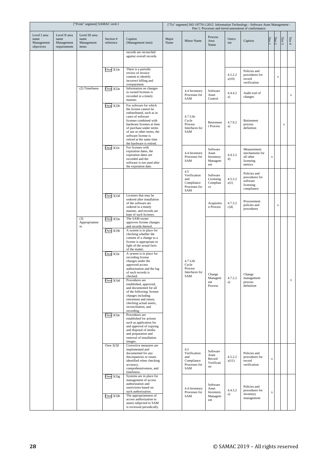|                                                  | ["From" segment] SAMAC ver4.1                       |                                               |                                           |                                                                                                                                                                                                                                                                                                     |               |                                                                  | ["To" segment] ISO 19770-1:2012 Information Technology - Software Asset Management -<br>Part 1: Processes and tiered assessment of conformance |                  |                                                                       |        |             |             |             |  |  |
|--------------------------------------------------|-----------------------------------------------------|-----------------------------------------------|-------------------------------------------|-----------------------------------------------------------------------------------------------------------------------------------------------------------------------------------------------------------------------------------------------------------------------------------------------------|---------------|------------------------------------------------------------------|------------------------------------------------------------------------------------------------------------------------------------------------|------------------|-----------------------------------------------------------------------|--------|-------------|-------------|-------------|--|--|
| Level I area<br>name<br>Management<br>objectives | Level II area<br>name<br>Management<br>requirements | Level III area<br>name<br>Management<br>items | Section #<br>reference                    | Caption<br>(Management item)                                                                                                                                                                                                                                                                        | Major<br>Name | Minor Name                                                       | Process<br>Area<br>Name                                                                                                                        | Outco<br>me      | Caption                                                               | Tier 1 | Tier $2$    | Tier $3$    | Tier $4$    |  |  |
|                                                  |                                                     |                                               |                                           | records are reconciled<br>against overall records.                                                                                                                                                                                                                                                  |               |                                                                  |                                                                                                                                                |                  |                                                                       |        |             |             |             |  |  |
|                                                  |                                                     |                                               | Own $3(1)e$                               | There is a periodic<br>review of invoice<br>content to identify<br>incorrect billing and<br>overpayment.                                                                                                                                                                                            |               |                                                                  |                                                                                                                                                | 4.5.2.2<br>a)10) | Policies and<br>procedures for<br>record<br>verification              |        | $\mathbf x$ |             |             |  |  |
|                                                  |                                                     | (2) Timeliness                                | Own $3(2)a$                               | Information on changes<br>in owned licenses is<br>recorded in a timely<br>manner.                                                                                                                                                                                                                   |               | 4.4 Inventory<br>Processes for<br>SAM                            | Software<br>Asset<br>Control                                                                                                                   | 4.4.4.2<br>a)    | Audit trail of<br>changes                                             |        |             |             | $\mathbf x$ |  |  |
|                                                  |                                                     |                                               | Own $3(2)b$                               | For software for which<br>the license cannot be<br>redistributed, such as in<br>cases of software<br>licenses combined with<br>hardware licenses at time<br>of purchase under terms<br>of use or other terms, the<br>software license is<br>retired at the same time<br>the hardware is retired.    |               | 4.7 Life<br>Cycle<br>Process<br>Interfaces for<br>SAM            | Retiremen<br>t Process                                                                                                                         | 4.7.9.2<br>a)    | Retirement<br>process<br>definition                                   |        |             | $\mathbf x$ |             |  |  |
|                                                  |                                                     |                                               | Own $3(2)c$                               | For licenses with<br>expiration dates, the<br>expiration dates are<br>recorded and the<br>software is not used after<br>the expiration date.                                                                                                                                                        |               | 4.4 Inventory<br>Processes for<br>SAM                            | Software<br>Asset<br>Inventory<br>Managem<br>ent                                                                                               | 4.4.3.2<br>d)    | Measurement<br>mechanisms for<br>all other<br>licensing<br>metrics    | X      |             |             |             |  |  |
|                                                  |                                                     |                                               |                                           |                                                                                                                                                                                                                                                                                                     |               | 4.5<br>Verification<br>and<br>Compliance<br>Processes for<br>SAM | Software<br>Licensing<br>Complian<br>ce                                                                                                        | 4.5.3.2<br>a)1)  | Policies and<br>procedures for<br>software<br>licensing<br>compliance |        |             |             |             |  |  |
|                                                  |                                                     |                                               | Own $3(2)d$                               | Licenses that may be<br>ordered after installation<br>of the software are<br>ordered in a timely<br>manner, and records are<br>kept of such licenses.                                                                                                                                               |               |                                                                  | Acquisitio<br>n Process                                                                                                                        | 4.7.3.2<br>c)4)  | Procurement<br>policies and<br>procedures                             |        | $\mathbf X$ |             |             |  |  |
|                                                  |                                                     | (3)<br>Appropriatene<br>SS                    | Own $3(3)a$<br>Own $3(3)b$<br>Own $3(3)c$ | The SAM owner<br>approves license changes<br>and records thereof.<br>A system is in place for<br>checking whether the<br>content of a change to a<br>license is appropriate in<br>light of the actual facts<br>of the matter.<br>A system is in place for<br>recording license<br>changes under the |               | 4.7 Life                                                         |                                                                                                                                                |                  |                                                                       |        |             |             |             |  |  |
|                                                  |                                                     |                                               | Own $3(3)d$                               | approved access<br>authorization and the log<br>of such records is<br>checked.<br>Procedures are<br>established, approved,<br>and documented for all<br>of the following: license<br>changes including<br>retirement and return,<br>checking actual assets,<br>reconciliation, and                  |               | Cycle<br>Process<br>Interfaces for<br>SAM                        | Change<br>Managem<br>ent<br>Process                                                                                                            | 4.7.2.2<br>a)    | Change<br>management<br>process<br>definition                         |        |             |             | $\mathbf x$ |  |  |
|                                                  |                                                     |                                               | Own $3(3)e$                               | recording.<br>Procedures are<br>established for actions<br>such as application for<br>and approval of copying<br>and disposal of media<br>and preparation and<br>removal of installation<br>images.                                                                                                 |               |                                                                  |                                                                                                                                                |                  |                                                                       |        |             |             |             |  |  |
|                                                  |                                                     |                                               | Own $3(3)f$                               | Corrective measures are<br>implemented and<br>documented for any<br>discrepancies or issues<br>identified when checking<br>accuracy,<br>comprehensiveness, and<br>timeliness.                                                                                                                       |               | 4.5<br>Verification<br>and<br>Compliance<br>Processes for<br>SAM | Software<br>Asset<br>Record<br>Verificati<br>on                                                                                                | 4.5.2.2<br>a)11) | Policies and<br>procedures for<br>record<br>verification              | X      |             |             |             |  |  |
|                                                  |                                                     |                                               | Own $3(3)g$<br>Own $3(3)h$                | Systems are in place for<br>management of access<br>authorization and<br>restrictions based on<br>such authorization.<br>The appropriateness of<br>access authorization to                                                                                                                          |               | 4.4 Inventory<br>Processes for<br>SAM                            | Software<br>Asset<br>Inventory<br>Managem<br>ent                                                                                               | 4.4.3.2<br>a)    | Policies and<br>procedures for<br>inventory<br>management             | X      |             |             |             |  |  |
|                                                  |                                                     |                                               |                                           | assets subjected to SAM<br>is reviewed periodically.                                                                                                                                                                                                                                                |               |                                                                  |                                                                                                                                                |                  |                                                                       |        |             |             |             |  |  |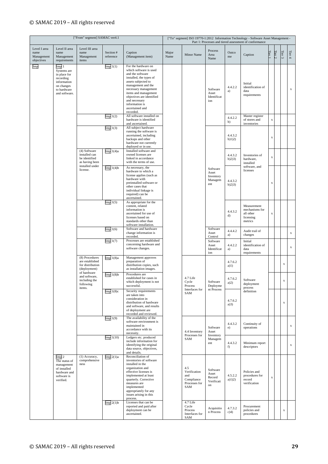| ["From" segment] SAMAC ver4.1                    |                                                                                                                      |                                                                                                                                               |                                                                                                                                                                                                                                                              |                                                                                                                                                                                                                                                                              |                                                                  |                                                       |                                                                                                                                                                                                    |                                                          | ["To" segment] ISO 19770-1:2012 Information Technology - Software Asset Management -<br>Part 1: Processes and tiered assessment of conformance |                                                  |                   |                           |             |  |  |  |
|--------------------------------------------------|----------------------------------------------------------------------------------------------------------------------|-----------------------------------------------------------------------------------------------------------------------------------------------|--------------------------------------------------------------------------------------------------------------------------------------------------------------------------------------------------------------------------------------------------------------|------------------------------------------------------------------------------------------------------------------------------------------------------------------------------------------------------------------------------------------------------------------------------|------------------------------------------------------------------|-------------------------------------------------------|----------------------------------------------------------------------------------------------------------------------------------------------------------------------------------------------------|----------------------------------------------------------|------------------------------------------------------------------------------------------------------------------------------------------------|--------------------------------------------------|-------------------|---------------------------|-------------|--|--|--|
| Level I area<br>name<br>Management<br>objectives | Level II area<br>name<br>Management<br>requirements                                                                  | Level III area<br>name<br>Management<br>items                                                                                                 | Section #<br>reference                                                                                                                                                                                                                                       | Caption<br>(Management item)                                                                                                                                                                                                                                                 | Major<br>Name                                                    | Minor Name                                            | Process<br>Area<br>Name                                                                                                                                                                            | Outco<br>me                                              | Caption                                                                                                                                        | Tier                                             | Tier $2$          | Tier $3\,$                | Tier $4$    |  |  |  |
| Imp                                              | Imp 1<br>Systems are<br>in place for<br>recording<br>information<br>on changes<br>to hardware<br>and software.       |                                                                                                                                               | Imp1(1)                                                                                                                                                                                                                                                      | For the hardware on<br>which software is used<br>and the software<br>installed, the types of<br>assets subjected to<br>management and the<br>necessary management<br>items and management<br>objectives are identified<br>and necessary<br>information is<br>ascertained and |                                                                  |                                                       | Software<br>Asset<br>Identificat<br>ion                                                                                                                                                            | 4.4.2.2<br>a)                                            | Initial<br>identification of<br>data<br>requirements                                                                                           |                                                  |                   |                           | $\mathbf x$ |  |  |  |
|                                                  |                                                                                                                      |                                                                                                                                               | Imp $1(2)$                                                                                                                                                                                                                                                   | recorded.<br>All software installed on<br>hardware is identified<br>and ascertained.                                                                                                                                                                                         |                                                                  |                                                       |                                                                                                                                                                                                    | 4.4.2.2<br>b)                                            | Master register<br>of stores and<br>inventories                                                                                                | X                                                |                   |                           |             |  |  |  |
|                                                  |                                                                                                                      |                                                                                                                                               | Imp1(3)                                                                                                                                                                                                                                                      | All subject hardware<br>running the software is<br>ascertained, including<br>backups and other<br>hardware not currently<br>deployed or in use.                                                                                                                              |                                                                  |                                                       |                                                                                                                                                                                                    | 4.4.3.2<br>b)1)2)                                        | Inventories of<br>hardware,<br>installed                                                                                                       | X                                                |                   |                           |             |  |  |  |
|                                                  |                                                                                                                      | (4) Software<br>installed can<br>be identified<br>as having been                                                                              | Imp $1(4)a$                                                                                                                                                                                                                                                  | Installed software and<br>owned licenses are<br>linked in accordance<br>with the terms of use.                                                                                                                                                                               |                                                                  |                                                       |                                                                                                                                                                                                    | 4.4.3.2<br>b)2)3)                                        |                                                                                                                                                | $\mathbf x$                                      |                   |                           |             |  |  |  |
|                                                  |                                                                                                                      | installed under<br>license.                                                                                                                   |                                                                                                                                                                                                                                                              |                                                                                                                                                                                                                                                                              |                                                                  | Imp $1(4)b$                                           | As necessary, the<br>hardware to which a<br>license applies (such as<br>hardware with<br>preinstalled software or<br>other cases that<br>individual linkage is<br>required) can be<br>ascertained. |                                                          |                                                                                                                                                | Software<br>Asset<br>Inventory<br>Managem<br>ent | 4.4.3.2<br>b)2)3) | software, and<br>licenses | X           |  |  |  |
|                                                  |                                                                                                                      |                                                                                                                                               | Imp $1(5)$                                                                                                                                                                                                                                                   | As appropriate for the<br>content, related<br>information is<br>ascertained for use of<br>licenses based on<br>standards other than<br>software installation.                                                                                                                |                                                                  |                                                       |                                                                                                                                                                                                    | 4.4.3.2<br>d)                                            | Measurement<br>mechanisms for<br>all other<br>licensing<br>metrics                                                                             | X                                                |                   |                           |             |  |  |  |
|                                                  |                                                                                                                      |                                                                                                                                               | Imp $1(6)$                                                                                                                                                                                                                                                   | Software and hardware<br>change information is<br>recorded.                                                                                                                                                                                                                  |                                                                  |                                                       | Software<br>Asset<br>Control                                                                                                                                                                       | 4.4.4.2<br>a)                                            | Audit trail of<br>changes                                                                                                                      |                                                  |                   |                           | $\mathbf x$ |  |  |  |
|                                                  |                                                                                                                      | (8) Procedures<br>are established<br>for distribution<br>(deployment)<br>of hardware<br>and software,<br>including the<br>following<br>items. | Imp $1(7)$                                                                                                                                                                                                                                                   | Processes are established<br>concerning hardware and<br>software changes.                                                                                                                                                                                                    |                                                                  |                                                       | Software<br>Asset<br>Identificat<br>ion                                                                                                                                                            | 4.4.2.2<br>a)                                            | Initial<br>identification of<br>data<br>requirements                                                                                           |                                                  |                   |                           | $\mathbf x$ |  |  |  |
|                                                  |                                                                                                                      |                                                                                                                                               | Imp $1(8)a$                                                                                                                                                                                                                                                  | Management approves<br>preparation of<br>distribution copies, such<br>as installation images.                                                                                                                                                                                |                                                                  | 4.7 Life<br>Cycle<br>Process<br>Interfaces for<br>SAM |                                                                                                                                                                                                    | 4.7.6.2<br>a)1)                                          | Software<br>deployment<br>process                                                                                                              |                                                  |                   | $\mathbf x$               |             |  |  |  |
|                                                  |                                                                                                                      |                                                                                                                                               | Imp $1(8)b$                                                                                                                                                                                                                                                  | Procedures are<br>established for cases in<br>which deployment is not<br>successful.                                                                                                                                                                                         |                                                                  |                                                       | Software<br>Deployme<br>nt Process                                                                                                                                                                 | 4.7.6.2<br>a)2)                                          |                                                                                                                                                |                                                  |                   |                           |             |  |  |  |
|                                                  |                                                                                                                      |                                                                                                                                               | Imp $1(8)c$                                                                                                                                                                                                                                                  | Security requirements<br>are taken into<br>consideration in<br>distribution of hardware<br>and software, and results<br>of deployment are<br>recorded and reviewed.                                                                                                          |                                                                  |                                                       |                                                                                                                                                                                                    | 4.7.6.2<br>a)3)                                          | definition                                                                                                                                     |                                                  |                   | $\mathbf x$               |             |  |  |  |
|                                                  |                                                                                                                      |                                                                                                                                               | Imp1(9)                                                                                                                                                                                                                                                      | The availability of the<br>software environment is<br>maintained in<br>accordance with its<br>necessity.                                                                                                                                                                     |                                                                  | 4.4 Inventory                                         | Software<br>Asset                                                                                                                                                                                  | 4.4.3.2<br>e)                                            | Continuity of<br>operations                                                                                                                    |                                                  |                   |                           | $\mathbf x$ |  |  |  |
|                                                  |                                                                                                                      |                                                                                                                                               | Imp $1(10)$                                                                                                                                                                                                                                                  | Ledgers etc. produced<br>include information for<br>identifying the original<br>data source, objectives,<br>and details.                                                                                                                                                     |                                                                  | Processes for<br>SAM                                  | Inventory<br>Managem<br>ent                                                                                                                                                                        | 4.4.3.2<br>f)                                            | Minimum report<br>descriptors                                                                                                                  |                                                  |                   |                           | $\mathbf x$ |  |  |  |
| Imp <sub>2</sub><br>verified.                    | (1) Accuracy,<br>comprehensive<br>The status of<br>ness<br>management<br>of installed<br>hardware and<br>software is | Imp $2(1)a$                                                                                                                                   | Reconciliation of<br>inventories of software<br>installed in the<br>organization and<br>effective licenses is<br>implemented at least<br>quarterly. Corrective<br>measures are<br>implemented<br>appropriately for any<br>issues arising in this<br>process. |                                                                                                                                                                                                                                                                              | 4.5<br>Verification<br>and<br>Compliance<br>Processes for<br>SAM | Software<br>Asset<br>Record<br>Verificati<br>on       | 4.5.2.2<br>a)1)2)                                                                                                                                                                                  | Policies and<br>procedures for<br>record<br>verification | X                                                                                                                                              |                                                  |                   |                           |             |  |  |  |
|                                                  |                                                                                                                      |                                                                                                                                               | $Imp$ 2(1) $b$                                                                                                                                                                                                                                               | Licenses that can be<br>reported and paid after<br>deployment can be<br>ascertained.                                                                                                                                                                                         |                                                                  | 4.7 Life<br>Cycle<br>Process<br>Interfaces for<br>SAM | Acquisitio<br>n Process                                                                                                                                                                            | 4.7.3.2<br>c)4)                                          | Procurement<br>policies and<br>procedures                                                                                                      |                                                  |                   | $\mathbf x$               |             |  |  |  |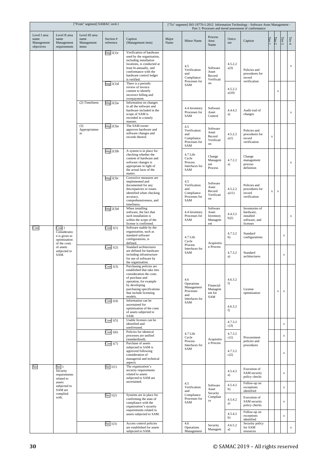| ["From" segment] SAMAC ver4.1                    |                                                                         |                                               |                            |                                                                                                                                                                                                                                                        |               | ["To" segment] ISO 19770-1:2012 Information Technology - Software Asset Management -<br>Part 1: Processes and tiered assessment of conformance |                                                  |                            |                                                                       |        |             |                            |             |  |
|--------------------------------------------------|-------------------------------------------------------------------------|-----------------------------------------------|----------------------------|--------------------------------------------------------------------------------------------------------------------------------------------------------------------------------------------------------------------------------------------------------|---------------|------------------------------------------------------------------------------------------------------------------------------------------------|--------------------------------------------------|----------------------------|-----------------------------------------------------------------------|--------|-------------|----------------------------|-------------|--|
| Level I area<br>name<br>Management<br>objectives | Level II area<br>name<br>Management<br>requirements                     | Level III area<br>name<br>Management<br>items | Section #<br>reference     | Caption<br>(Management item)                                                                                                                                                                                                                           | Major<br>Name | Minor Name                                                                                                                                     | Process<br>Area<br>Name                          | Outco<br>me                | Caption                                                               | Tier 1 | Tier2       | Tier $3\,$                 | Tier $4$    |  |
|                                                  |                                                                         |                                               | $Imp$ 2(1)c<br>Imp 2(1)d   | Verification of hardware<br>used by the organization,<br>including installation<br>locations, is conducted at<br>least bi-annually, and<br>conformance with the<br>hardware control ledger<br>is verified.<br>There is a periodic<br>review of invoice |               | 4.5<br>Verification<br>and<br>Compliance<br>Processes for<br>SAM                                                                               | Software<br>Asset<br>Record<br>Verificati<br>on  | 4.5.2.2<br>a)3)            | Policies and<br>procedures for<br>record<br>verification              |        |             |                            | $\mathbf x$ |  |
|                                                  |                                                                         | (2) Timeliness                                | Imp $2(2)a$                | content to identify<br>incorrect billing and<br>overpayment.<br>Information on changes                                                                                                                                                                 |               |                                                                                                                                                |                                                  | 4.5.2.2<br>a)10)           |                                                                       |        | X           |                            |             |  |
|                                                  |                                                                         |                                               |                            | in all the software and<br>hardware included in the<br>scope of SAM is<br>recorded in a timely<br>manner.                                                                                                                                              |               | 4.4 Inventory<br>Processes for<br>SAM                                                                                                          | Software<br>Asset<br>Control                     | 4.4.4.2<br>a)              | Audit trail of<br>changes                                             |        |             |                            | $\mathbf x$ |  |
|                                                  |                                                                         | (3)<br>Appropriatene<br>$_{\rm SS}$           | $Imp$ 2(3)a                | The SAM owner<br>approves hardware and<br>software changes and<br>records thereof.                                                                                                                                                                     |               | 4.5<br>Verification<br>and<br>Compliance<br>Processes for<br>SAM                                                                               | Software<br>Asset<br>Record<br>Verificati<br>on  | 4.5.2.2<br>a)1)            | Policies and<br>procedures for<br>record<br>verification              | X      |             |                            |             |  |
|                                                  |                                                                         |                                               | Imp $2(3)b$                | A system is in place for<br>checking whether the<br>content of hardware and<br>software changes is<br>appropriate in light of<br>the actual facts of the<br>matter.                                                                                    |               | 4.7 Life<br>Cycle<br>Process<br>Interfaces for<br>SAM                                                                                          | Change<br>Managem<br>ent<br>Process              | 4.7.2.2<br>a)              | Change<br>management<br>process<br>definition                         |        |             |                            | $\mathbf x$ |  |
|                                                  |                                                                         |                                               | $Imp$ 2(3) $c$             | Corrective measures are<br>implemented and<br>documented for any<br>discrepancies or issues<br>identified when checking<br>accuracy,<br>comprehensiveness, and<br>timeliness.                                                                          |               | 4.5<br>Verification<br>and<br>Compliance<br>Processes for<br>SAM                                                                               | Software<br>Asset<br>Record<br>Verificati<br>on  | 4.5.2.2<br>a)11)           | Policies and<br>procedures for<br>record<br>verification              | X      | $\mathbf x$ |                            |             |  |
|                                                  |                                                                         |                                               | Imp $2(3)d$                | When installing<br>software, the fact that<br>such installation is<br>within the scope of the<br>license is confirmed.                                                                                                                                 |               | 4.4 Inventory<br>Processes for<br>SAM                                                                                                          | Software<br>Asset<br>Inventory<br>Managem<br>ent | 4.4.3.2<br>b)2)            | Inventories of<br>hardware,<br>installed<br>software, and<br>licenses |        |             |                            | $\mathbf x$ |  |
| Cost                                             | Cost 1<br>Consideratio<br>n is given to<br>optimization<br>of the costs |                                               | Cost 1(1)                  | Software usable by the<br>organization, such as<br>standard software<br>configurations, is<br>defined.                                                                                                                                                 |               | 4.7 Life<br>Cycle<br>Process                                                                                                                   | Acquisitio                                       | 4.7.3.2<br>b)              | Standard<br>configurations                                            |        |             | $\mathbf x$                |             |  |
|                                                  | of assets<br>subjected to<br>SAM.                                       |                                               | Cost $1(2)$                | Standard architectures<br>are defined for hardware<br>including infrastructure<br>for use of software by<br>the organization.                                                                                                                          |               | Interfaces for<br>SAM                                                                                                                          | n Process                                        | 4.7.3.2<br>a)              | Standard<br>architectures                                             |        |             | $\mathbf x$                |             |  |
|                                                  |                                                                         |                                               | Cost $1(3)$                | Purchasing policies are<br>established that take into<br>consideration the costs<br>of purchase and<br>operation, for example<br>by developing<br>purchasing specifications<br>that include licensing<br>models.<br>Information can be                 |               | 4.6<br>Operations<br>Management<br>Processes<br>and<br>Interfaces for                                                                          | Financial<br>Managem<br>ent for<br>SAM           | 4.6.3.2<br>f)              | License<br>optimization                                               |        | $\bf{X}$    | $\mathbf x$                |             |  |
|                                                  |                                                                         |                                               | Cost $1(4)$                | ascertained for<br>optimization of the costs<br>of assets subjected to<br>SAM.                                                                                                                                                                         |               | SAM                                                                                                                                            |                                                  | 4.6.3.2<br>f)              |                                                                       |        |             |                            |             |  |
|                                                  |                                                                         |                                               | Cost $1(5)$<br>Cost $1(6)$ | Usable licenses can be<br>identified and<br>used/reused.<br>Policies for identical<br>processes are unified                                                                                                                                            |               | 4.7 Life                                                                                                                                       |                                                  | 4.7.3.2<br>c(3)<br>4.7.3.2 |                                                                       |        |             | $\mathbf x$<br>$\mathbf x$ |             |  |
|                                                  |                                                                         |                                               | Cost 1(7)                  | (standardized).<br>Purchase of assets<br>subjected to SAM is<br>approved following<br>consideration of<br>managerial and technical                                                                                                                     |               | Cycle<br>Process<br>Interfaces for<br>SAM                                                                                                      | Acquisitio<br>n Process                          | $c)$ 1)<br>4.7.3.2<br>c)2) | Procurement<br>policies and<br>procedures                             |        |             | $\mathbf x$                |             |  |
| Sec                                              | Sec 1<br>Security<br>requirements<br>related to                         |                                               | Sec $1(1)$                 | aspects<br>The organization's<br>security requirements<br>related to assets<br>subjected to SAM are                                                                                                                                                    |               |                                                                                                                                                |                                                  | 4.5.4.2<br>a)              | Execution of<br>SAM security<br>policy checks                         |        |             | $\mathbf x$                |             |  |
|                                                  | assets<br>subjected to<br>SAM are                                       |                                               |                            | ascertained.                                                                                                                                                                                                                                           |               | 4.5<br>Verification<br>and                                                                                                                     | Software<br>Asset<br>Security                    | 4.5.4.2<br>b)              | Follow-up on<br>exceptions<br>identified                              |        |             | $\mathbf x$                |             |  |
|                                                  | complied<br>with.                                                       |                                               | Sec $1(2)$                 | Systems are in place for<br>confirming the state of<br>compliance with the<br>organization's security                                                                                                                                                  |               | Compliance<br>Processes for<br>SAM                                                                                                             | Complian<br>ce                                   | 4.5.4.2<br>a)              | Execution of<br>SAM security<br>policy checks                         |        |             | $\mathbf x$                |             |  |
|                                                  |                                                                         |                                               | Sec $1(3)$                 | requirements related to<br>assets subjected to SAM.<br>Access control policies                                                                                                                                                                         |               | 4.6                                                                                                                                            |                                                  | 4.5.4.2<br>b)              | Follow-up on<br>exceptions<br>identified<br>Security policy           |        |             | $\mathbf x$                |             |  |
|                                                  |                                                                         |                                               |                            | are established for assets<br>subjected to SAM.                                                                                                                                                                                                        |               | Operations<br>Management                                                                                                                       | Security<br>Managem                              | 4.6.5.2<br>a)              | for SAM<br>resources                                                  |        |             |                            | $\mathbf X$ |  |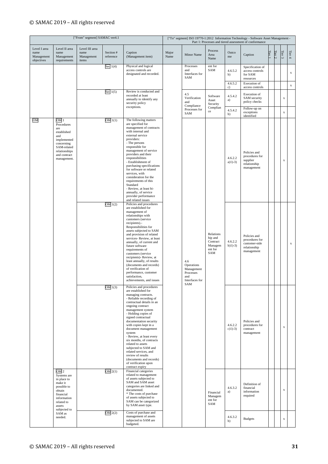| ["From" segment] SAMAC ver4.1                    |                                                                                                                                                        |                                               |                        |                                                                                                                                                                                                                                                                                                                                                                                                                                                                                                                                  |               |                                                                       |                                                               |                       | ["To" segment] ISO 19770-1:2012 Information Technology - Software Asset Management -<br>Part 1: Processes and tiered assessment of conformance |      |          |             |             |
|--------------------------------------------------|--------------------------------------------------------------------------------------------------------------------------------------------------------|-----------------------------------------------|------------------------|----------------------------------------------------------------------------------------------------------------------------------------------------------------------------------------------------------------------------------------------------------------------------------------------------------------------------------------------------------------------------------------------------------------------------------------------------------------------------------------------------------------------------------|---------------|-----------------------------------------------------------------------|---------------------------------------------------------------|-----------------------|------------------------------------------------------------------------------------------------------------------------------------------------|------|----------|-------------|-------------|
| Level I area<br>name<br>Management<br>objectives | Level II area<br>name<br>Management<br>requirements                                                                                                    | Level III area<br>name<br>Management<br>items | Section #<br>reference | Caption<br>(Management item)                                                                                                                                                                                                                                                                                                                                                                                                                                                                                                     | Major<br>Name | Minor Name                                                            | Process<br>Area<br>Name                                       | Outco<br>me           | Caption                                                                                                                                        | Tier | Tier $2$ | Tier $3$    | Tier $4\,$  |
|                                                  |                                                                                                                                                        |                                               | Sec $1(4)$             | Physical and logical<br>access controls are<br>designated and recorded.                                                                                                                                                                                                                                                                                                                                                                                                                                                          |               | Processes<br>and<br>Interfaces for<br>SAM                             | ent for<br>SAM                                                | 4.6.5.2<br>b)         | Specification of<br>access controls<br>for SAM<br>resources                                                                                    |      |          |             | $\mathbf x$ |
|                                                  |                                                                                                                                                        |                                               |                        |                                                                                                                                                                                                                                                                                                                                                                                                                                                                                                                                  |               |                                                                       |                                                               | 4.6.5.2<br>c)         | Execution of<br>access controls                                                                                                                |      |          |             | $\mathbf x$ |
|                                                  |                                                                                                                                                        |                                               | Sec $1(5)$             | Review is conducted and<br>recorded at least<br>annually to identify any<br>security policy                                                                                                                                                                                                                                                                                                                                                                                                                                      |               | 4.5<br>Verification<br>and<br>Compliance                              | Software<br>Asset<br>Security                                 | 4.5.4.2<br>a)         | Execution of<br>SAM security<br>policy checks                                                                                                  |      |          | $\mathbf x$ |             |
|                                                  |                                                                                                                                                        |                                               |                        | exceptions.                                                                                                                                                                                                                                                                                                                                                                                                                                                                                                                      |               | Processes for<br>SAM                                                  | Complian<br>ce                                                | 4.5.4.2<br>b)         | Follow-up on<br>exceptions<br>identified                                                                                                       |      |          | $\mathbf x$ |             |
| OM                                               | OM <sub>1</sub><br>Procedures<br>are<br>established<br>and<br>implemented<br>concerning<br>SAM-related<br>relationships<br>and contract<br>management. |                                               | OM1(1)<br>OM 1(2)      | The following matters<br>are specified for<br>management of contracts<br>with internal and<br>external service<br>providers:<br>- The persons<br>responsible for<br>management of service<br>providers and their<br>responsibilities<br>- Establishment of<br>purchasing specifications<br>for software or related<br>services, with<br>consideration for the<br>requirements of this<br>Standard<br>- Review, at least bi-<br>annually, of service<br>provider performance<br>and related issues<br>Policies and procedures     |               |                                                                       |                                                               | 4.6.2.2<br>$a)1) -3)$ | Policies and<br>procedures for<br>supplier<br>relationship<br>management                                                                       |      |          | $\mathbf x$ |             |
|                                                  |                                                                                                                                                        |                                               |                        | are established for<br>management of<br>relationships with<br>customers (service<br>recipients).-<br>Responsibilities for<br>assets subjected to SAM<br>and provision of related<br>services-Review, at least<br>annually, of current and<br>future software<br>requirements of<br>customers (service<br>recipients)- Review, at<br>least annually, of results<br>(documents and records)<br>of verification of<br>performance, customer<br>satisfaction,<br>achievements, and issues                                            |               | 4.6<br>Operations<br>Management<br>Processes<br>and<br>Interfaces for | Relations<br>hip and<br>Contract<br>Managem<br>ent for<br>SAM | 4.6.2.2<br>$b)1$ )-3) | Policies and<br>procedures for<br>customer-side<br>relationship<br>management                                                                  |      |          |             | $\mathbf x$ |
|                                                  |                                                                                                                                                        |                                               | OM $1(3)$              | Policies and procedures<br>are established for<br>managing contracts.<br>- Reliable recording of<br>contractual details in an<br>ongoing contract<br>management system<br>- Holding copies of<br>signed contractual<br>documentation security<br>with copies kept in a<br>document management<br>system<br>- Review, at least every<br>six months, of contracts<br>related to assets<br>subjected to SAM and<br>related services, and<br>review of results<br>(documents and records)<br>of verification upon<br>contract expiry |               | SAM                                                                   |                                                               | 4.6.2.2<br>$c)$ 1)-3) | Policies and<br>procedures for<br>contract<br>management                                                                                       |      |          | $\mathbf x$ |             |
|                                                  | OM 2<br>Systems are<br>in place to<br>make it<br>possible to<br>obtain<br>financial<br>information<br>related to<br>assets                             |                                               | OM2(1)                 | Financial categories<br>related to management<br>of assets subjected to<br>SAM and SAM asset<br>categories are linked and<br>documented.<br>* The costs of purchase<br>of assets subjected to<br>SAM can be categorized<br>by SAM asset type.                                                                                                                                                                                                                                                                                    |               |                                                                       | Financial<br>Managem<br>ent for<br>SAM                        | 4.6.3.2<br>a)         | Definition of<br>financial<br>information<br>required                                                                                          |      |          | $\mathbf x$ |             |
|                                                  | subjected to<br>SAM as<br>needed.                                                                                                                      |                                               | OM2(2)                 | Costs of purchase and<br>management of assets<br>subjected to SAM are<br>budgeted.                                                                                                                                                                                                                                                                                                                                                                                                                                               |               |                                                                       |                                                               | 4.6.3.2<br>b)         | <b>Budgets</b>                                                                                                                                 |      |          | $\mathbf x$ |             |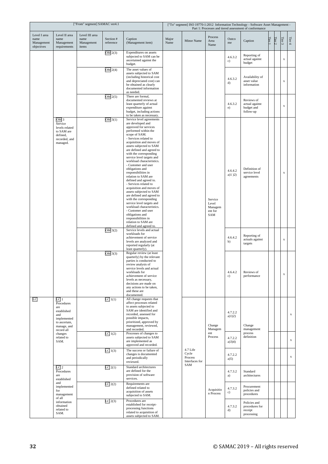| ["From" segment] SAMAC ver4.1                    |                                                                                                             |                                               |                        |                                                                                                                                                                                                                                                                                                                                                                                                                                                                                                                                                                                                                                                                                                                                                       |               | ["To" segment] ISO 19770-1:2012 Information Technology - Software Asset Management -<br>Part 1: Processes and tiered assessment of conformance |                                               |                        |                                                         |        |          |             |             |  |
|--------------------------------------------------|-------------------------------------------------------------------------------------------------------------|-----------------------------------------------|------------------------|-------------------------------------------------------------------------------------------------------------------------------------------------------------------------------------------------------------------------------------------------------------------------------------------------------------------------------------------------------------------------------------------------------------------------------------------------------------------------------------------------------------------------------------------------------------------------------------------------------------------------------------------------------------------------------------------------------------------------------------------------------|---------------|------------------------------------------------------------------------------------------------------------------------------------------------|-----------------------------------------------|------------------------|---------------------------------------------------------|--------|----------|-------------|-------------|--|
| Level I area<br>name<br>Management<br>objectives | Level II area<br>name<br>Management<br>requirements                                                         | Level III area<br>name<br>Management<br>items | Section #<br>reference | Caption<br>(Management item)                                                                                                                                                                                                                                                                                                                                                                                                                                                                                                                                                                                                                                                                                                                          | Major<br>Name | Minor Name                                                                                                                                     | Process<br>Area<br>Name                       | Outco<br>me            | Caption                                                 | Tier 1 | Tier $2$ | Tier $3\,$  | Tier $4$    |  |
|                                                  |                                                                                                             |                                               | OM $2(3)$              | Expenditures on assets<br>subjected to SAM can be<br>ascertained against the<br>budget.                                                                                                                                                                                                                                                                                                                                                                                                                                                                                                                                                                                                                                                               |               |                                                                                                                                                |                                               | 4.6.3.2<br>c)          | Reporting of<br>actual against<br>budget                |        |          | $\mathbf x$ |             |  |
|                                                  |                                                                                                             |                                               | OM 2(4)                | The asset values of<br>assets subjected to SAM<br>(including historical cost<br>and depreciated cost) can<br>be obtained as clearly<br>documented information<br>as needed.                                                                                                                                                                                                                                                                                                                                                                                                                                                                                                                                                                           |               |                                                                                                                                                |                                               | 4.6.3.2<br>d)          | Availability of<br>asset value<br>information           |        |          | X           |             |  |
|                                                  |                                                                                                             |                                               | OM2(5)                 | There are formal,<br>documented reviews at<br>least quarterly of actual<br>expenditure against<br>budget, including actions<br>to be taken as necessary.                                                                                                                                                                                                                                                                                                                                                                                                                                                                                                                                                                                              |               |                                                                                                                                                |                                               | 4.6.3.2<br>e)          | Reviews of<br>actual against<br>budget and<br>follow-up |        |          | $\mathbf X$ |             |  |
|                                                  | OM <sub>3</sub><br>Service<br>levels related<br>to SAM are<br>defined,<br>recorded, and<br>managed.         |                                               | OM 3(1)                | Service level agreements<br>are developed and<br>approved for services<br>performed within the<br>scope of SAM.<br>- Services related to<br>acquisition and moves of<br>assets subjected to SAM<br>are defined and agreed to<br>with the corresponding<br>service level targets and<br>workload characteristics.<br>- Customer and user<br>obligations and<br>responsibilities in<br>relation to SAM are<br>defined and agreed to.<br>- Services related to<br>acquisition and moves of<br>assets subjected to SAM<br>are defined and agreed to<br>with the corresponding<br>service level targets and<br>workload characteristics.<br>- Customer and user<br>obligations and<br>responsibilities in<br>relation to SAM are<br>defined and agreed to. |               |                                                                                                                                                | Service<br>Level<br>Managem<br>ent for<br>SAM | 4.6.4.2<br>$a)1$ $)2)$ | Definition of<br>service level<br>agreements            |        |          | $\mathbf x$ |             |  |
|                                                  |                                                                                                             |                                               | OM3(2)                 | Service levels and actual<br>workloads for<br>achievement of service<br>levels are analyzed and<br>reported regularly (at<br>least quarterly).                                                                                                                                                                                                                                                                                                                                                                                                                                                                                                                                                                                                        |               |                                                                                                                                                |                                               | 4.6.4.2<br>b)          | Reporting of<br>actuals against<br>targets              |        |          | $\mathbf X$ |             |  |
|                                                  |                                                                                                             |                                               | OM3(3)                 | Regular review (at least<br>quarterly) by the relevant<br>parties is conducted to<br>review analysis of<br>service levels and actual<br>workloads for<br>achievement of service<br>levels as necessary,<br>decisions are made on<br>any actions to be taken,<br>and these are<br>documented.                                                                                                                                                                                                                                                                                                                                                                                                                                                          |               |                                                                                                                                                |                                               | 4.6.4.2<br>c)          | Reviews of<br>performance                               |        |          | $\mathbf x$ |             |  |
| LC                                               | LC1<br>Procedures<br>are<br>established<br>and<br>implemented<br>to ascertain,<br>manage, and<br>record all |                                               | LC 1(1)                | All change requests that<br>affect processes related<br>to assets subjected to<br>SAM are identified and<br>recorded, assessed for<br>possible impacts,<br>prioritized, approved by<br>management, reviewed,<br>and recorded.                                                                                                                                                                                                                                                                                                                                                                                                                                                                                                                         |               |                                                                                                                                                | Change<br>Managem                             | 4.7.2.2<br>a)1)2)      | Change<br>management<br>process<br>definition           |        |          |             | $\mathbf x$ |  |
|                                                  | changes<br>related to<br>SAM.                                                                               |                                               | LC 1(2)                | Processes of changes to<br>assets subjected to SAM<br>are implemented as<br>approved and recorded.                                                                                                                                                                                                                                                                                                                                                                                                                                                                                                                                                                                                                                                    |               |                                                                                                                                                | ent<br>Process                                | 4.7.2.2<br>a)3)4)      |                                                         |        |          |             | $\mathbf x$ |  |
|                                                  |                                                                                                             |                                               | LC1(3)                 | The success or failure of<br>changes is documented<br>and periodically<br>reviewed.                                                                                                                                                                                                                                                                                                                                                                                                                                                                                                                                                                                                                                                                   |               | 4.7 Life<br>Cycle<br>Process<br>Interfaces for<br>SAM                                                                                          |                                               | 4.7.2.2<br>a)5)        |                                                         |        |          |             | $\mathbf x$ |  |
|                                                  | LC <sub>2</sub><br>Procedures<br>are<br>established                                                         |                                               | LC2(1)                 | Standard architectures<br>are defined for the<br>provision of software<br>services.                                                                                                                                                                                                                                                                                                                                                                                                                                                                                                                                                                                                                                                                   |               |                                                                                                                                                |                                               | 4.7.3.2<br>a)          | Standard<br>architectures                               |        |          |             |             |  |
|                                                  | and<br>implemented<br>for<br>management                                                                     |                                               | LC2(2)                 | Requirements are<br>defined related to<br>acquisition of assets<br>subjected to SAM.                                                                                                                                                                                                                                                                                                                                                                                                                                                                                                                                                                                                                                                                  |               |                                                                                                                                                | Acquisitio<br>n Process                       | 4.7.3.2<br>c)          | Procurement<br>policies and<br>procedures               |        |          |             |             |  |
|                                                  | of all<br>information<br>obtained<br>related to<br>SAM.                                                     |                                               | $LC$ 2(3)              | Procedures are<br>established for receipt-<br>processing functions<br>related to acquisition of<br>assets subjected to SAM.                                                                                                                                                                                                                                                                                                                                                                                                                                                                                                                                                                                                                           |               |                                                                                                                                                |                                               | 4.7.3.2<br>d)          | Policies and<br>procedures for<br>receipt<br>processing |        |          |             |             |  |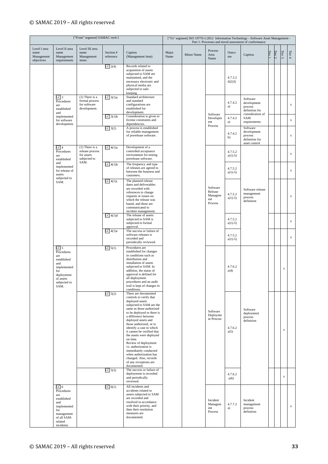|                                                  | ["From" segment] SAMAC ver4.1                                                                                                          |                                                                    |                                                                                                                |                                                                                                                                                                                                                                                                                                                                                                                                                                                                                                           |                        |            | ["To" segment] ISO 19770-1:2012 Information Technology - Software Asset Management -<br>Part 1: Processes and tiered assessment of conformance |                        |                                                                       |             |        |             |             |  |  |
|--------------------------------------------------|----------------------------------------------------------------------------------------------------------------------------------------|--------------------------------------------------------------------|----------------------------------------------------------------------------------------------------------------|-----------------------------------------------------------------------------------------------------------------------------------------------------------------------------------------------------------------------------------------------------------------------------------------------------------------------------------------------------------------------------------------------------------------------------------------------------------------------------------------------------------|------------------------|------------|------------------------------------------------------------------------------------------------------------------------------------------------|------------------------|-----------------------------------------------------------------------|-------------|--------|-------------|-------------|--|--|
| Level I area<br>name<br>Management<br>objectives | Level II area<br>name<br>Management<br>requirements                                                                                    | Level III area<br>name<br>Management<br>items                      | Section #<br>reference                                                                                         | Caption<br>(Management item)                                                                                                                                                                                                                                                                                                                                                                                                                                                                              | Major<br>Name          | Minor Name | Process<br>Area<br>Name                                                                                                                        | Outco<br>me            | Caption                                                               | Tier 1      | Tier 2 | Tier $3\,$  | Tier $4\,$  |  |  |
|                                                  |                                                                                                                                        |                                                                    | LC2(4)                                                                                                         | Records related to<br>acquisition of assets<br>subjected to SAM are<br>maintained, and the<br>necessary electronic and<br>physical media are<br>subjected to safe-<br>keeping.                                                                                                                                                                                                                                                                                                                            |                        |            |                                                                                                                                                | 4.7.3.2<br>d(2)3       |                                                                       |             |        |             |             |  |  |
|                                                  | LC3<br>Procedures<br>are<br>established<br>and                                                                                         | $(1)$ There is a<br>formal process<br>for software<br>development. | $LC_3(1)a$                                                                                                     | Standard architecture<br>and standard<br>configurations are<br>established for<br>development.                                                                                                                                                                                                                                                                                                                                                                                                            |                        |            |                                                                                                                                                | 4.7.4.2<br>a)          | Software<br>development<br>process<br>definition for                  |             |        |             | $\mathbf x$ |  |  |
|                                                  | implemented<br>for software<br>development.                                                                                            |                                                                    | LC 3(1)b                                                                                                       | Consideration is given to<br>license constraints and<br>dependencies.                                                                                                                                                                                                                                                                                                                                                                                                                                     |                        |            | Software<br>Developm<br>ent                                                                                                                    | 4.7.4.2<br>a)          | consideration of<br>SAM<br>requirements                               |             |        |             | $\mathbf x$ |  |  |
|                                                  |                                                                                                                                        |                                                                    | $LC$ 3(2)                                                                                                      | A process is established<br>for reliable management<br>of prerelease software.                                                                                                                                                                                                                                                                                                                                                                                                                            |                        |            | Process                                                                                                                                        | 4.7.4.2<br>b)          | Software<br>development<br>process<br>definition for<br>asset control |             |        |             | $\mathbf x$ |  |  |
|                                                  | LC4<br>Procedures<br>are<br>established                                                                                                | $(1)$ There is a<br>release process<br>for assets<br>subjected to  | LC4(1)a                                                                                                        | Development of a<br>controlled acceptance<br>environment for testing<br>prerelease software.                                                                                                                                                                                                                                                                                                                                                                                                              |                        |            |                                                                                                                                                | 4.7.5.2<br>$a)1) - 5)$ |                                                                       |             |        |             | $\mathbf x$ |  |  |
|                                                  | implemented<br>for release of<br>assets<br>subjected to                                                                                | SAM.<br>and                                                        | $LC$ 4(1) $b$<br>The frequency and type<br>of releases are agreed to<br>between the business and<br>customers. |                                                                                                                                                                                                                                                                                                                                                                                                                                                                                                           | 4.7.5.2<br>$a)1) - 5)$ |            |                                                                                                                                                |                        |                                                                       | $\mathbf x$ |        |             |             |  |  |
| SAM.                                             |                                                                                                                                        |                                                                    | $LC$ 4(1) $c$                                                                                                  | The planned release<br>dates and deliverables<br>are recorded with<br>references to change<br>requests or issues on<br>which the release was<br>based, and these are<br>communicated to<br>incident management.                                                                                                                                                                                                                                                                                           |                        |            | Software<br>Release<br>Managem<br>ent<br>Process                                                                                               | 4.7.5.2<br>$a)1) - 5)$ | Software release<br>management<br>process<br>definition               |             |        |             | $\mathbf x$ |  |  |
|                                                  |                                                                                                                                        |                                                                    | $LC$ 4(1)d                                                                                                     | The release of assets<br>subjected to SAM is<br>subjected to formal<br>approval.                                                                                                                                                                                                                                                                                                                                                                                                                          |                        |            |                                                                                                                                                | 4.7.5.2<br>$a)1) - 5)$ |                                                                       |             |        |             | $\mathbf x$ |  |  |
|                                                  |                                                                                                                                        |                                                                    | $LC$ 4(1) $e$                                                                                                  | The success or failure of<br>software releases is<br>recorded and<br>periodically reviewed.                                                                                                                                                                                                                                                                                                                                                                                                               |                        |            |                                                                                                                                                | 4.7.5.2<br>$a)1) - 5)$ |                                                                       |             |        |             | $\mathbf x$ |  |  |
|                                                  | LC 5<br>Procedures<br>are<br>established<br>and<br>implemented<br>for<br>deployment<br>of assets<br>subjected to<br>SAM.               |                                                                    | $LC$ 5(1)                                                                                                      | Procedures are<br>established for changes<br>in conditions such as<br>distribution and<br>installation of assets<br>subjected to SAM. In<br>addition, the status of<br>approval is defined for<br>all deployment<br>procedures and an audit<br>trail is kept of changes in<br>conditions.                                                                                                                                                                                                                 |                        |            |                                                                                                                                                | 4.7.6.2<br>a)4)        |                                                                       |             |        | $\mathbf x$ |             |  |  |
|                                                  |                                                                                                                                        |                                                                    | $LC$ 5(2)                                                                                                      | There are documented<br>controls to verify that<br>deployed assets<br>subjected to SAM are the<br>same as those authorized<br>to be deployed or there is<br>a difference between<br>deployed assets and<br>those authorized, or to<br>identify a case in which<br>it cannot be verified that<br>the assets were deployed<br>on time.<br>Review of deployment<br>vs. authorization is<br>immediately conducted<br>when authorization has<br>changed. Also, records<br>of any exceptions are<br>documented. |                        |            | Software<br>Deployme<br>nt Process                                                                                                             | 4.7.6.2<br>a)5)        | Software<br>deployment<br>process<br>definition                       |             |        | $\mathbf x$ |             |  |  |
|                                                  |                                                                                                                                        |                                                                    | $LC$ 5(3)                                                                                                      | The success or failure of<br>deployment is recorded<br>and periodically<br>reviewed.                                                                                                                                                                                                                                                                                                                                                                                                                      |                        |            |                                                                                                                                                | 4.7.6.2<br>a)6)        |                                                                       |             |        | $\mathbf x$ |             |  |  |
|                                                  | LC <sub>6</sub><br>Procedures<br>are<br>established<br>and<br>implemented<br>for<br>management<br>of all SAM-<br>related<br>incidents. |                                                                    | LC 6(1)                                                                                                        | All incidents and<br>accidents related to<br>assets subjected to SAM<br>are recorded and<br>resolved in accordance<br>with their priority, and<br>then their resolution<br>measures are<br>documented.                                                                                                                                                                                                                                                                                                    |                        |            | Incident<br>Managem<br>ent<br>Process                                                                                                          | 4.7.7.2<br>a)          | Incident<br>management<br>process<br>definition                       |             |        |             | $\mathbf x$ |  |  |